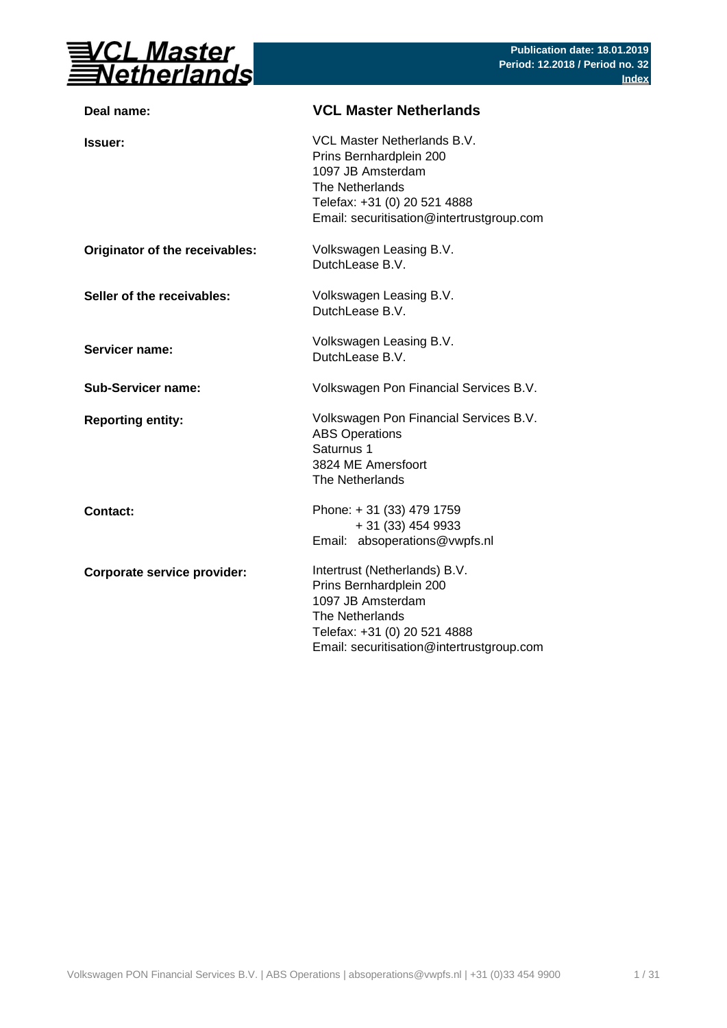

| Deal name:                     | <b>VCL Master Netherlands</b>                                                                                                                                                 |
|--------------------------------|-------------------------------------------------------------------------------------------------------------------------------------------------------------------------------|
| <b>Issuer:</b>                 | VCL Master Netherlands B.V.<br>Prins Bernhardplein 200<br>1097 JB Amsterdam<br>The Netherlands<br>Telefax: +31 (0) 20 521 4888<br>Email: securitisation@intertrustgroup.com   |
| Originator of the receivables: | Volkswagen Leasing B.V.<br>DutchLease B.V.                                                                                                                                    |
| Seller of the receivables:     | Volkswagen Leasing B.V.<br>DutchLease B.V.                                                                                                                                    |
| Servicer name:                 | Volkswagen Leasing B.V.<br>DutchLease B.V.                                                                                                                                    |
| <b>Sub-Servicer name:</b>      | Volkswagen Pon Financial Services B.V.                                                                                                                                        |
| <b>Reporting entity:</b>       | Volkswagen Pon Financial Services B.V.<br><b>ABS Operations</b><br>Saturnus 1<br>3824 ME Amersfoort<br>The Netherlands                                                        |
| <b>Contact:</b>                | Phone: +31 (33) 479 1759<br>+ 31 (33) 454 9933<br>Email: absoperations@vwpfs.nl                                                                                               |
| Corporate service provider:    | Intertrust (Netherlands) B.V.<br>Prins Bernhardplein 200<br>1097 JB Amsterdam<br>The Netherlands<br>Telefax: +31 (0) 20 521 4888<br>Email: securitisation@intertrustgroup.com |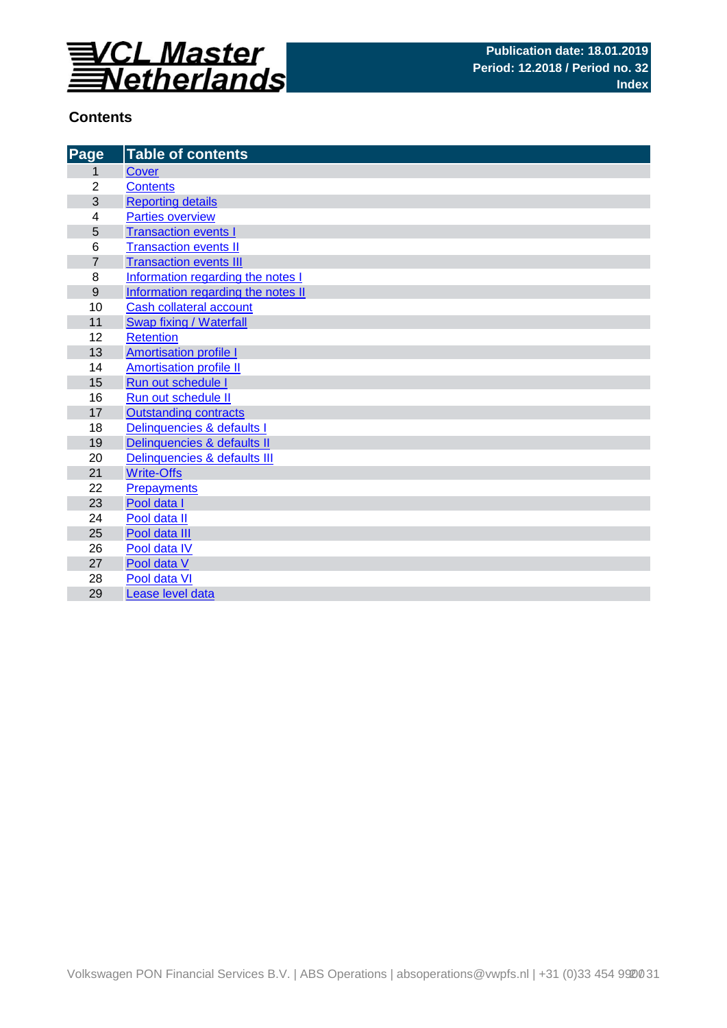

## **Contents**

| Page           | <b>Table of contents</b>           |
|----------------|------------------------------------|
| 1              | <b>Cover</b>                       |
| $\overline{2}$ | <b>Contents</b>                    |
| 3              | <b>Reporting details</b>           |
| 4              | <b>Parties overview</b>            |
| 5              | <b>Transaction events I</b>        |
| $\,6$          | <b>Transaction events II</b>       |
| $\overline{7}$ | <b>Transaction events III</b>      |
| 8              | Information regarding the notes I  |
| 9              | Information regarding the notes II |
| 10             | <b>Cash collateral account</b>     |
| 11             | Swap fixing / Waterfall            |
| 12             | <b>Retention</b>                   |
| 13             | <b>Amortisation profile I</b>      |
| 14             | <b>Amortisation profile II</b>     |
| 15             | Run out schedule I                 |
| 16             | Run out schedule II                |
| 17             | <b>Outstanding contracts</b>       |
| 18             | Delinquencies & defaults I         |
| 19             | Delinquencies & defaults II        |
| 20             | Delinquencies & defaults III       |
| 21             | <b>Write-Offs</b>                  |
| 22             | <b>Prepayments</b>                 |
| 23             | Pool data I                        |
| 24             | Pool data II                       |
| 25             | Pool data III                      |
| 26<br>27       | Pool data IV                       |
| 28             | Pool data V<br>Pool data VI        |
| 29             | Lease level data                   |
|                |                                    |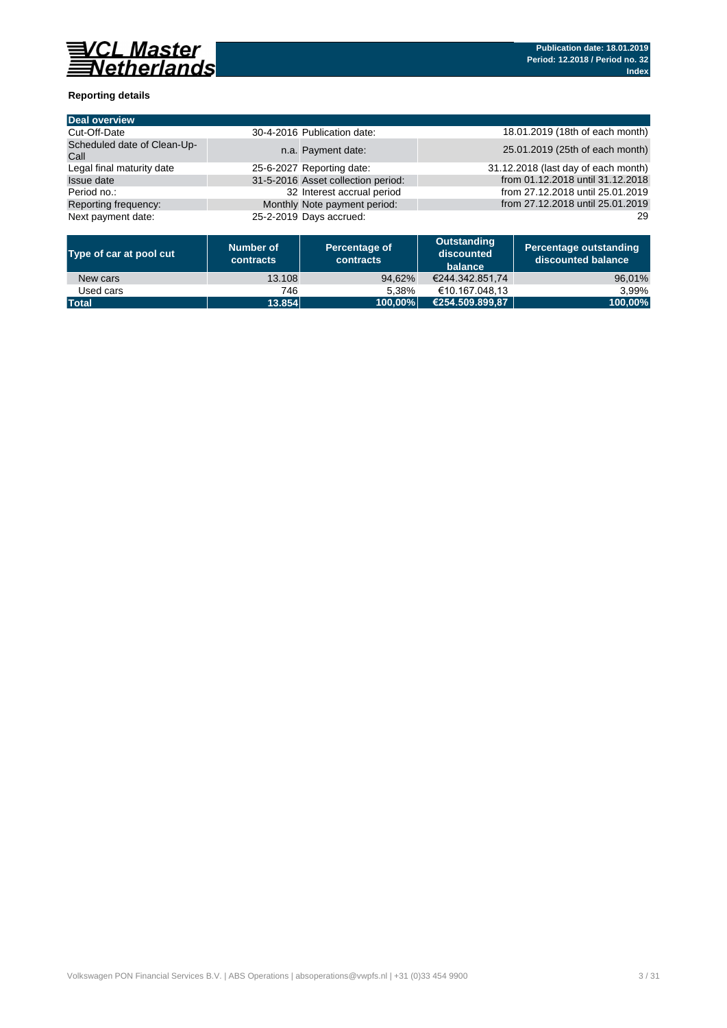

### **Reporting details**

| Deal overview                       |                                    |                                     |
|-------------------------------------|------------------------------------|-------------------------------------|
| Cut-Off-Date                        | 30-4-2016 Publication date:        | 18.01.2019 (18th of each month)     |
| Scheduled date of Clean-Up-<br>Call | n.a. Payment date:                 | 25.01.2019 (25th of each month)     |
| Legal final maturity date           | 25-6-2027 Reporting date:          | 31.12.2018 (last day of each month) |
| <b>Issue date</b>                   | 31-5-2016 Asset collection period: | from 01.12.2018 until 31.12.2018    |
| Period no.:                         | 32 Interest accrual period         | from 27.12.2018 until 25.01.2019    |
| Reporting frequency:                | Monthly Note payment period:       | from 27.12.2018 until 25.01.2019    |
| Next payment date:                  | 25-2-2019 Days accrued:            | 29                                  |

| Type of car at pool cut | Number of<br>contracts | Percentage of<br>contracts | Outstanding<br>discounted<br>balance | Percentage outstanding<br>discounted balance |
|-------------------------|------------------------|----------------------------|--------------------------------------|----------------------------------------------|
| New cars                | 13.108                 | 94.62%                     | €244.342.851.74                      | 96,01%                                       |
| Used cars               | 746                    | 5.38%                      | €10.167.048.13                       | 3.99%                                        |
| <b>Total</b>            | 13.854                 | 100.00%                    | €254.509.899.87                      | 100.00%                                      |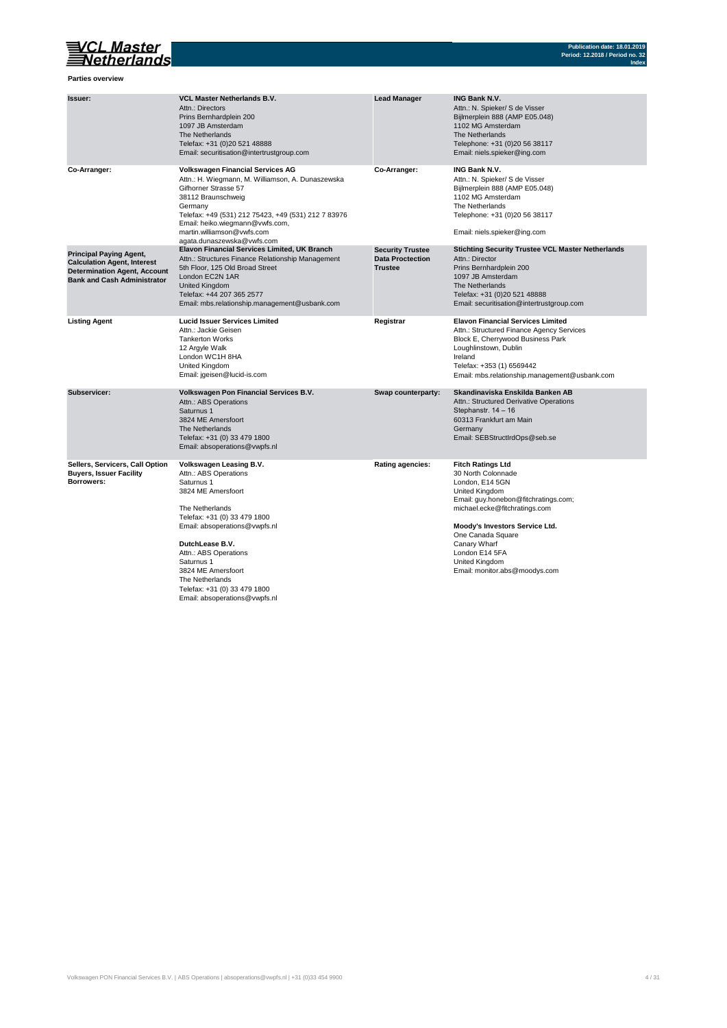

**Parties overview**

| Issuer:                                                                                                                                           | <b>VCL Master Netherlands B.V.</b><br>Attn.: Directors<br>Prins Bernhardplein 200<br>1097 JB Amsterdam<br>The Netherlands<br>Telefax: +31 (0)20 521 48888<br>Email: securitisation@intertrustgroup.com                                                                                                                                       | <b>Lead Manager</b>                                                  | <b>ING Bank N.V.</b><br>Attn.: N. Spieker/ S de Visser<br>Bijlmerplein 888 (AMP E05.048)<br>1102 MG Amsterdam<br>The Netherlands<br>Telephone: +31 (0)20 56 38117<br>Email: niels.spieker@ing.com                                                                                                        |
|---------------------------------------------------------------------------------------------------------------------------------------------------|----------------------------------------------------------------------------------------------------------------------------------------------------------------------------------------------------------------------------------------------------------------------------------------------------------------------------------------------|----------------------------------------------------------------------|----------------------------------------------------------------------------------------------------------------------------------------------------------------------------------------------------------------------------------------------------------------------------------------------------------|
| Co-Arranger:                                                                                                                                      | <b>Volkswagen Financial Services AG</b><br>Attn.: H. Wiegmann, M. Williamson, A. Dunaszewska<br>Gifhorner Strasse 57<br>38112 Braunschweig<br>Germany<br>Telefax: +49 (531) 212 75423, +49 (531) 212 7 83976<br>Email: heiko.wiegmann@vwfs.com,<br>martin.williamson@vwfs.com<br>agata.dunaszewska@vwfs.com                                  | Co-Arranger:                                                         | <b>ING Bank N.V.</b><br>Attn.: N. Spieker/ S de Visser<br>Bijlmerplein 888 (AMP E05.048)<br>1102 MG Amsterdam<br>The Netherlands<br>Telephone: +31 (0)20 56 38117<br>Email: niels.spieker@ing.com                                                                                                        |
| <b>Principal Paying Agent,</b><br><b>Calculation Agent, Interest</b><br><b>Determination Agent, Account</b><br><b>Bank and Cash Administrator</b> | Elavon Financial Services Limited, UK Branch<br>Attn.: Structures Finance Relationship Management<br>5th Floor, 125 Old Broad Street<br>London EC2N 1AR<br><b>United Kingdom</b><br>Telefax: +44 207 365 2577<br>Email: mbs.relationship.management@usbank.com                                                                               | <b>Security Trustee</b><br><b>Data Proctection</b><br><b>Trustee</b> | <b>Stichting Security Trustee VCL Master Netherlands</b><br>Attn.: Director<br>Prins Bernhardplein 200<br>1097 JB Amsterdam<br>The Netherlands<br>Telefax: +31 (0)20 521 48888<br>Email: securitisation@intertrustgroup.com                                                                              |
| <b>Listing Agent</b>                                                                                                                              | <b>Lucid Issuer Services Limited</b><br>Attn.: Jackie Geisen<br><b>Tankerton Works</b><br>12 Argyle Walk<br>London WC1H 8HA<br>United Kingdom<br>Email: jgeisen@lucid-is.com                                                                                                                                                                 | Registrar                                                            | <b>Elavon Financial Services Limited</b><br>Attn.: Structured Finance Agency Services<br>Block E, Cherrywood Business Park<br>Loughlinstown, Dublin<br>Ireland<br>Telefax: +353 (1) 6569442<br>Email: mbs.relationship.management@usbank.com                                                             |
| Subservicer:                                                                                                                                      | Volkswagen Pon Financial Services B.V.<br>Attn.: ABS Operations<br>Saturnus 1<br>3824 ME Amersfoort<br>The Netherlands<br>Telefax: +31 (0) 33 479 1800<br>Email: absoperations@vwpfs.nl                                                                                                                                                      | Swap counterparty:                                                   | Skandinaviska Enskilda Banken AB<br>Attn.: Structured Derivative Operations<br>Stephanstr. 14 - 16<br>60313 Frankfurt am Main<br>Germany<br>Email: SEBStructIrdOps@seb.se                                                                                                                                |
| Sellers, Servicers, Call Option<br><b>Buyers, Issuer Facility</b><br>Borrowers:                                                                   | Volkswagen Leasing B.V.<br>Attn.: ABS Operations<br>Saturnus 1<br>3824 ME Amersfoort<br>The Netherlands<br>Telefax: +31 (0) 33 479 1800<br>Email: absoperations@vwpfs.nl<br>DutchLease B.V.<br>Attn.: ABS Operations<br>Saturnus 1<br>3824 ME Amersfoort<br>The Netherlands<br>Telefax: +31 (0) 33 479 1800<br>Email: absoperations@vwpfs.nl | <b>Rating agencies:</b>                                              | <b>Fitch Ratings Ltd</b><br>30 North Colonnade<br>London, E14 5GN<br>United Kingdom<br>Email: guy.honebon@fitchratings.com;<br>michael.ecke@fitchratings.com<br>Moody's Investors Service Ltd.<br>One Canada Square<br>Canary Wharf<br>London E14 5FA<br>United Kingdom<br>Email: monitor.abs@moodys.com |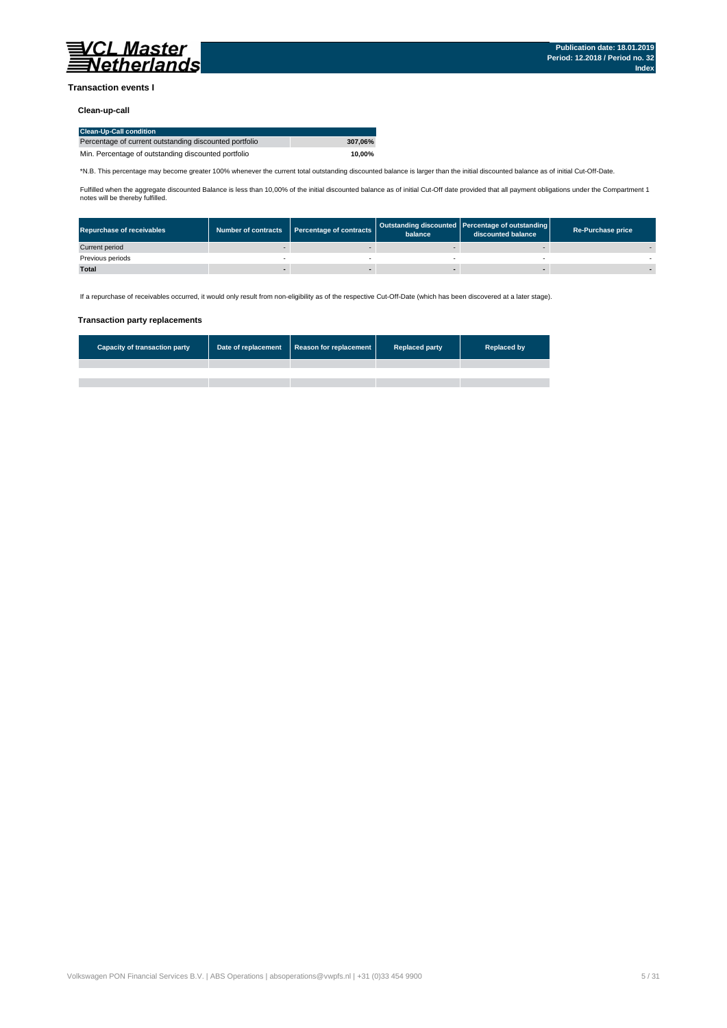

#### **Transaction events I**

#### **Clean-up-call**

| <b>Clean-Up-Call condition</b>                         |         |
|--------------------------------------------------------|---------|
| Percentage of current outstanding discounted portfolio | 307.06% |
| Min. Percentage of outstanding discounted portfolio    | 10.00%  |

\*N.B. This percentage may become greater 100% whenever the current total outstanding discounted balance is larger than the initial discounted balance as of initial Cut-Off-Date.

Fulfilled when the aggregate discounted Balance is less than 10,00% of the initial discounted balance as of initial Cut-Off date provided that all payment obligations under the Compartment 1 notes will be thereby fulfilled.

| <b>Repurchase of receivables</b> | Number of contracts Percentage of contracts | balance | Outstanding discounted Percentage of outstanding<br>discounted balance | <b>Re-Purchase price</b> |
|----------------------------------|---------------------------------------------|---------|------------------------------------------------------------------------|--------------------------|
| Current period                   |                                             |         |                                                                        |                          |
| Previous periods                 |                                             |         |                                                                        |                          |
| <b>Total</b>                     |                                             |         |                                                                        |                          |

If a repurchase of receivables occurred, it would only result from non-eligibility as of the respective Cut-Off-Date (which has been discovered at a later stage).

#### **Transaction party replacements**

| <b>Capacity of transaction party</b> | Date of replacement Reason for replacement | <b>Replaced party</b> | <b>Replaced by</b> |
|--------------------------------------|--------------------------------------------|-----------------------|--------------------|
|                                      |                                            |                       |                    |
|                                      |                                            |                       |                    |
|                                      |                                            |                       |                    |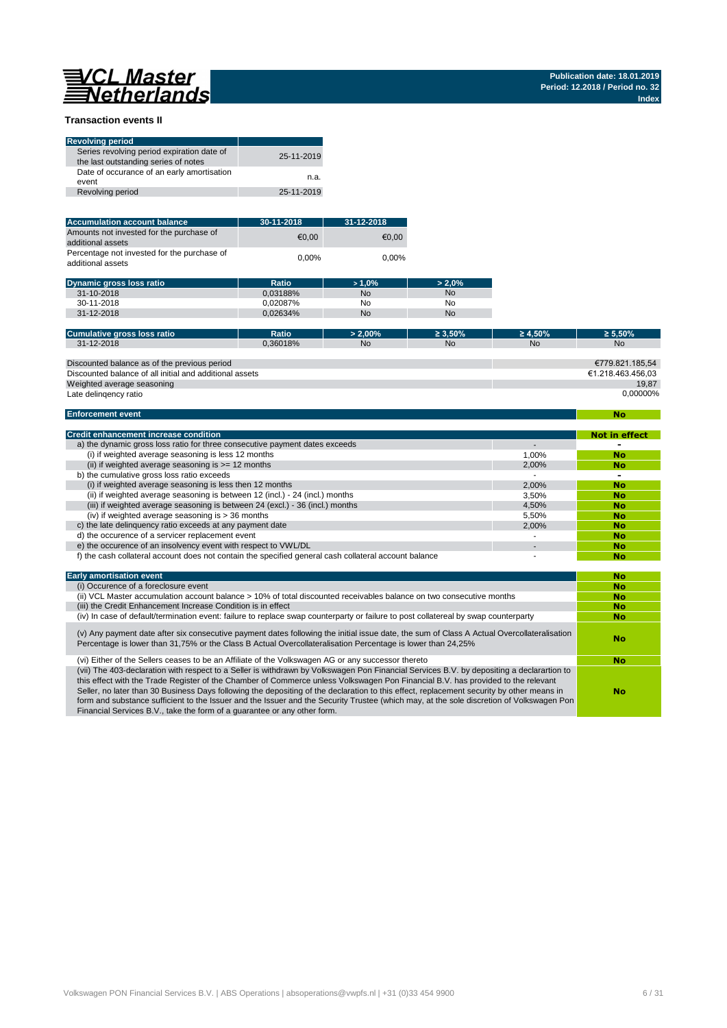**No**

#### **Transaction events II**

| <b>Revolving period</b>                                                            |            |
|------------------------------------------------------------------------------------|------------|
| Series revolving period expiration date of<br>the last outstanding series of notes | 25-11-2019 |
| Date of occurance of an early amortisation<br>event                                | n.a.       |
| Revolving period                                                                   | 25-11-2019 |

| <b>Accumulation account balance</b>                              | 30-11-2018 | 31-12-2018 |
|------------------------------------------------------------------|------------|------------|
| Amounts not invested for the purchase of<br>additional assets    | €0.00      | €0.00      |
| Percentage not invested for the purchase of<br>additional assets | 0.00%      | $0.00\%$   |

| <b>Dynamic gross loss ratio</b> | Ratio    | $>1.0\%$  | $> 2.0\%$ |
|---------------------------------|----------|-----------|-----------|
| 31-10-2018                      | 0.03188% | <b>No</b> | No        |
| 30-11-2018                      | 0.02087% | No        | No        |
| 31-12-2018                      | 0.02634% | <b>No</b> | No        |
|                                 |          |           |           |

| Cumulative gross loss ratio                             | Ratio    | $> 2.00\%$ | $\geq 3.50\%$ | $\geq 4.50\%$ | $\geq 5.50\%$     |
|---------------------------------------------------------|----------|------------|---------------|---------------|-------------------|
| 31-12-2018                                              | 0.36018% | <b>No</b>  | <b>No</b>     | <b>No</b>     | <b>No</b>         |
|                                                         |          |            |               |               |                   |
| Discounted balance as of the previous period            |          |            |               |               | €779.821.185.54   |
| Discounted balance of all initial and additional assets |          |            |               |               | €1.218.463.456.03 |
| Weighted average seasoning                              |          |            |               |               | 19.87             |
| Late delingency ratio                                   |          |            |               |               | 0.00000%          |

#### **Enforcement event**

| <b>Credit enhancement increase condition</b>                                                          |       | <b>Not in effect</b> |
|-------------------------------------------------------------------------------------------------------|-------|----------------------|
| a) the dynamic gross loss ratio for three consecutive payment dates exceeds                           |       |                      |
| (i) if weighted average seasoning is less 12 months                                                   | 1.00% | No                   |
| (ii) if weighted average seasoning is $>= 12$ months                                                  | 2.00% | No                   |
| b) the cumulative gross loss ratio exceeds                                                            |       | -                    |
| (i) if weighted average seasoning is less then 12 months                                              | 2.00% | <b>No</b>            |
| (ii) if weighted average seasoning is between 12 (incl.) - 24 (incl.) months                          | 3.50% | No                   |
| (iii) if weighted average seasoning is between 24 (excl.) - 36 (incl.) months                         | 4.50% | <b>No</b>            |
| (iv) if weighted average seasoning is $>$ 36 months                                                   | 5.50% | <b>No</b>            |
| c) the late delinguency ratio exceeds at any payment date                                             | 2.00% | No                   |
| d) the occurence of a servicer replacement event                                                      |       | No                   |
| e) the occurence of an insolvency event with respect to VWL/DL                                        |       | No                   |
| f) the cash collateral account does not contain the specified general cash collateral account balance |       | No                   |

| <b>Early amortisation event</b>                                                                                                                                                                                                                                                                                                                                                                                                                                                                                                                                                                                                                    | No        |
|----------------------------------------------------------------------------------------------------------------------------------------------------------------------------------------------------------------------------------------------------------------------------------------------------------------------------------------------------------------------------------------------------------------------------------------------------------------------------------------------------------------------------------------------------------------------------------------------------------------------------------------------------|-----------|
| (i) Occurence of a foreclosure event                                                                                                                                                                                                                                                                                                                                                                                                                                                                                                                                                                                                               | <b>No</b> |
| (ii) VCL Master accumulation account balance > 10% of total discounted receivables balance on two consecutive months                                                                                                                                                                                                                                                                                                                                                                                                                                                                                                                               | <b>No</b> |
| (iii) the Credit Enhancement Increase Condition is in effect                                                                                                                                                                                                                                                                                                                                                                                                                                                                                                                                                                                       | <b>No</b> |
| (iv) In case of default/termination event: failure to replace swap counterparty or failure to post collatereal by swap counterparty                                                                                                                                                                                                                                                                                                                                                                                                                                                                                                                | <b>No</b> |
| (v) Any payment date after six consecutive payment dates following the initial issue date, the sum of Class A Actual Overcollateralisation<br>Percentage is lower than 31,75% or the Class B Actual Overcollateralisation Percentage is lower than 24,25%                                                                                                                                                                                                                                                                                                                                                                                          | No        |
| (vi) Either of the Sellers ceases to be an Affiliate of the Volkswagen AG or any successor thereto                                                                                                                                                                                                                                                                                                                                                                                                                                                                                                                                                 | <b>No</b> |
| (vii) The 403-declaration with respect to a Seller is withdrawn by Volkswagen Pon Financial Services B.V. by depositing a declarartion to<br>this effect with the Trade Register of the Chamber of Commerce unless Volkswagen Pon Financial B.V. has provided to the relevant<br>Seller, no later than 30 Business Days following the depositing of the declaration to this effect, replacement security by other means in<br>form and substance sufficient to the Issuer and the Issuer and the Security Trustee (which may, at the sole discretion of Volkswagen Pon<br>Financial Services B.V., take the form of a quarantee or any other form. | No        |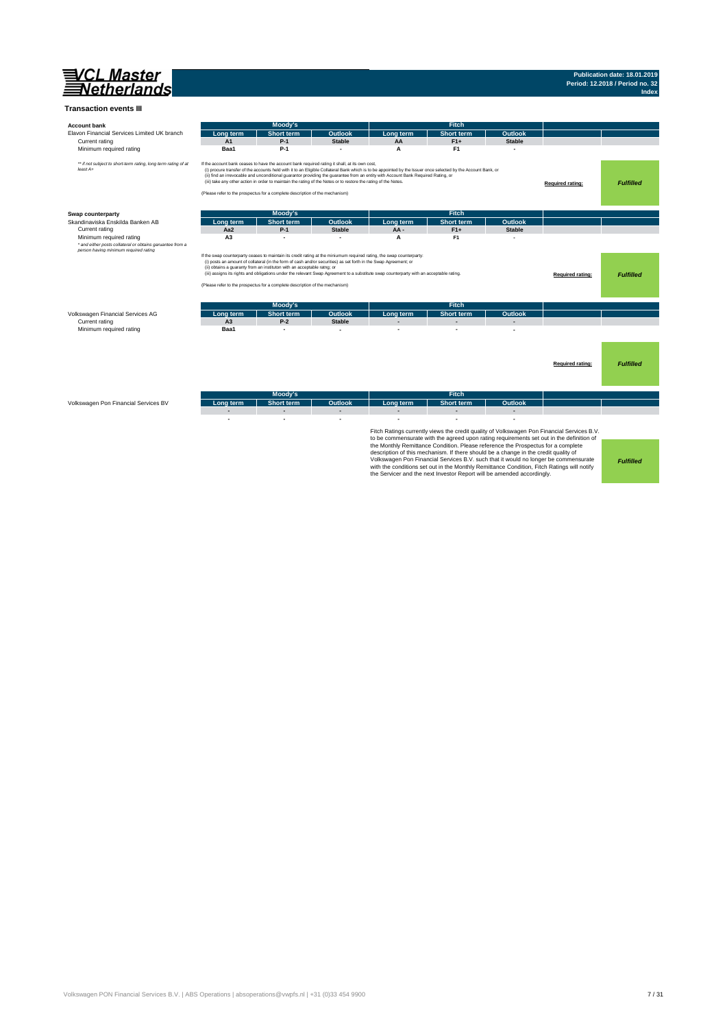

## **Publication date: 18.01.2019 Period: 12.2018 / Period no. 32 Index**

| <b>Account bank</b>                                                        |                | Moody's                                                                                                                                                                                                                                                                                           |                |                                                                                                                                                                                                                                                                                                    | Fitch                                                                                                                                                                                                                                                                                                                                           |                |                                                                                                                                                                                                                                                                               |                  |
|----------------------------------------------------------------------------|----------------|---------------------------------------------------------------------------------------------------------------------------------------------------------------------------------------------------------------------------------------------------------------------------------------------------|----------------|----------------------------------------------------------------------------------------------------------------------------------------------------------------------------------------------------------------------------------------------------------------------------------------------------|-------------------------------------------------------------------------------------------------------------------------------------------------------------------------------------------------------------------------------------------------------------------------------------------------------------------------------------------------|----------------|-------------------------------------------------------------------------------------------------------------------------------------------------------------------------------------------------------------------------------------------------------------------------------|------------------|
| Elavon Financial Services Limited UK branch                                | Lona term      | <b>Short term</b>                                                                                                                                                                                                                                                                                 | <b>Outlook</b> | Long term                                                                                                                                                                                                                                                                                          | <b>Short term</b>                                                                                                                                                                                                                                                                                                                               | <b>Outlook</b> |                                                                                                                                                                                                                                                                               |                  |
| Current rating                                                             | A1             | $P-1$                                                                                                                                                                                                                                                                                             | <b>Stable</b>  | AA                                                                                                                                                                                                                                                                                                 | $F1+$                                                                                                                                                                                                                                                                                                                                           | <b>Stable</b>  |                                                                                                                                                                                                                                                                               |                  |
| Minimum required rating                                                    | Baa1           | P-1                                                                                                                                                                                                                                                                                               |                | A                                                                                                                                                                                                                                                                                                  | F <sub>1</sub>                                                                                                                                                                                                                                                                                                                                  |                |                                                                                                                                                                                                                                                                               |                  |
| ** if not subject to short-term rating, long term rating of at<br>least A+ |                | If the account bank ceases to have the account bank required rating it shall, at its own cost,<br>(iii) take any other action in order to maintain the rating of the Notes or to restore the rating of the Notes.<br>(Please refer to the prospectus for a complete description of the mechanism) |                | (i) procure transfer of the accounts held with it to an Eligible Collateral Bank which is to be appointed by the Issuer once selected by the Account Bank, or<br>(ii) find an irrevocable and unconditional guarantor providing the guarantee from an entity with Account Bank Required Rating, or |                                                                                                                                                                                                                                                                                                                                                 |                | Required rating:                                                                                                                                                                                                                                                              | <b>Fulfilled</b> |
| Swap counterparty                                                          |                | Moody's                                                                                                                                                                                                                                                                                           |                |                                                                                                                                                                                                                                                                                                    | <b>Fitch</b>                                                                                                                                                                                                                                                                                                                                    |                |                                                                                                                                                                                                                                                                               |                  |
| Skandinaviska Enskilda Banken AB                                           | Lona term      | <b>Short term</b>                                                                                                                                                                                                                                                                                 | <b>Outlook</b> | Lona term                                                                                                                                                                                                                                                                                          | <b>Short term</b>                                                                                                                                                                                                                                                                                                                               | Outlook        |                                                                                                                                                                                                                                                                               |                  |
| Current rating                                                             | Aa2            | $P-1$                                                                                                                                                                                                                                                                                             | <b>Stable</b>  | AA-                                                                                                                                                                                                                                                                                                | $F1+$                                                                                                                                                                                                                                                                                                                                           | <b>Stable</b>  |                                                                                                                                                                                                                                                                               |                  |
| Minimum required rating                                                    | A <sub>3</sub> |                                                                                                                                                                                                                                                                                                   |                | A                                                                                                                                                                                                                                                                                                  | F <sub>1</sub>                                                                                                                                                                                                                                                                                                                                  |                |                                                                                                                                                                                                                                                                               |                  |
| * and either posts collateral or obtains garuantee from a                  |                |                                                                                                                                                                                                                                                                                                   |                |                                                                                                                                                                                                                                                                                                    |                                                                                                                                                                                                                                                                                                                                                 |                |                                                                                                                                                                                                                                                                               |                  |
|                                                                            |                | (i) posts an amount of collateral (in the form of cash and/or securities) as set forth in the Swap Agreement; or<br>(ii) obtains a guaranty from an instituton with an acceptable ratng; or<br>(Please refer to the prospectus for a complete description of the mechanism)                       |                | If the swap counterparty ceases to maintain its credit rating at the miniumum required rating, the swap counterparty:<br>(iii) assigns its rights and obligations under the relevant Swap Agreement to a substitute swap counterparty with an acceptable rating.                                   |                                                                                                                                                                                                                                                                                                                                                 |                | Required rating:                                                                                                                                                                                                                                                              | <b>Fulfilled</b> |
|                                                                            |                | Moody's                                                                                                                                                                                                                                                                                           |                |                                                                                                                                                                                                                                                                                                    | <b>Fitch</b>                                                                                                                                                                                                                                                                                                                                    |                |                                                                                                                                                                                                                                                                               |                  |
| Volkswagen Financial Services AG                                           | Lona term      | <b>Short term</b>                                                                                                                                                                                                                                                                                 | <b>Outlook</b> | Long term                                                                                                                                                                                                                                                                                          | <b>Short term</b>                                                                                                                                                                                                                                                                                                                               | Outlook        |                                                                                                                                                                                                                                                                               |                  |
| Current rating                                                             | A <sub>3</sub> | $P-2$                                                                                                                                                                                                                                                                                             | <b>Stable</b>  |                                                                                                                                                                                                                                                                                                    |                                                                                                                                                                                                                                                                                                                                                 |                |                                                                                                                                                                                                                                                                               |                  |
| Minimum required rating                                                    | Baa1           | ٠                                                                                                                                                                                                                                                                                                 |                |                                                                                                                                                                                                                                                                                                    |                                                                                                                                                                                                                                                                                                                                                 |                |                                                                                                                                                                                                                                                                               |                  |
|                                                                            |                |                                                                                                                                                                                                                                                                                                   |                |                                                                                                                                                                                                                                                                                                    |                                                                                                                                                                                                                                                                                                                                                 |                | Required rating:                                                                                                                                                                                                                                                              | <b>Fulfilled</b> |
|                                                                            |                | Moody's                                                                                                                                                                                                                                                                                           |                |                                                                                                                                                                                                                                                                                                    | <b>Fitch</b>                                                                                                                                                                                                                                                                                                                                    |                |                                                                                                                                                                                                                                                                               |                  |
| Volkswagen Pon Financial Services BV                                       | Lona term      | <b>Short term</b>                                                                                                                                                                                                                                                                                 | Outlook        | Long term                                                                                                                                                                                                                                                                                          | <b>Short term</b>                                                                                                                                                                                                                                                                                                                               | Outlook        |                                                                                                                                                                                                                                                                               |                  |
|                                                                            |                | L.                                                                                                                                                                                                                                                                                                |                |                                                                                                                                                                                                                                                                                                    |                                                                                                                                                                                                                                                                                                                                                 |                |                                                                                                                                                                                                                                                                               |                  |
|                                                                            |                |                                                                                                                                                                                                                                                                                                   |                |                                                                                                                                                                                                                                                                                                    | the Monthly Remittance Condition. Please reference the Prospectus for a complete<br>description of this mechanism. If there should be a change in the credit quality of<br>with the conditions set out in the Monthly Remittance Condition, Fitch Ratings will notify<br>the Servicer and the next Investor Report will be amended accordingly. |                | Fitch Ratings currently views the credit quality of Volkswagen Pon Financial Services B.V.<br>to be commensurate with the agreed upon rating requirements set out in the definition of<br>Volkswagen Pon Financial Services B.V. such that it would no longer be commensurate | <b>Fulfilled</b> |

Volkswagen PON Financial Services B.V. | ABS Operations | absoperations@vwpfs.nl | +31 (0)33 454 9900 7 / 31 / 31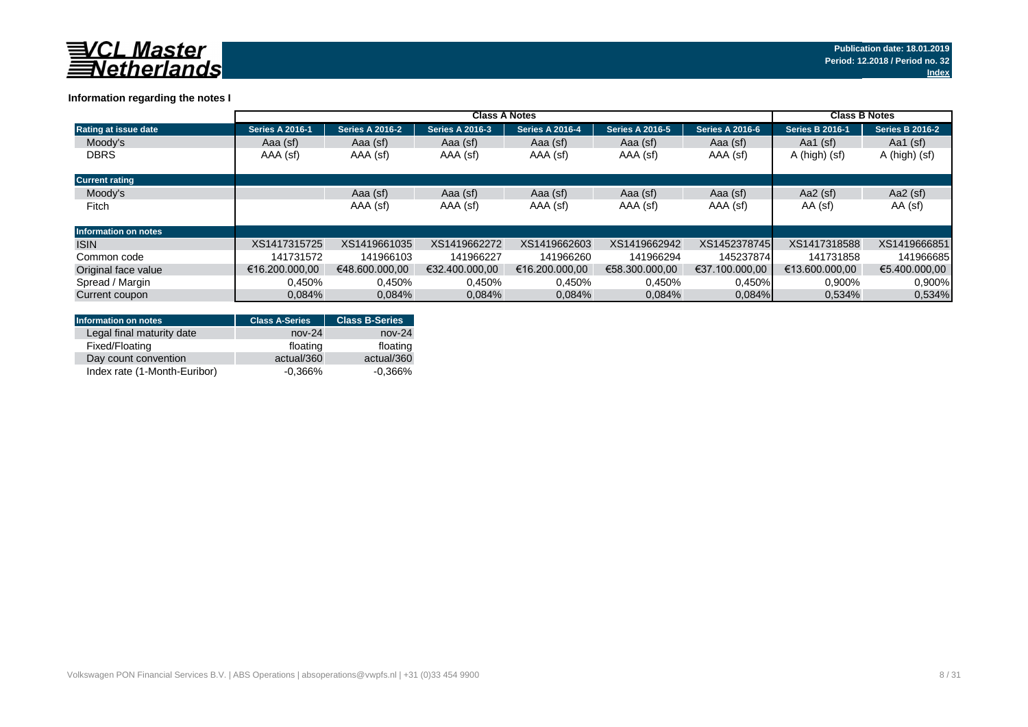

### **Information regarding the notes I**

|                             | <b>Class A Notes</b>   |                        |                        |                        |                        |                        |                        | <b>Class B Notes</b>   |  |
|-----------------------------|------------------------|------------------------|------------------------|------------------------|------------------------|------------------------|------------------------|------------------------|--|
| <b>Rating at issue date</b> | <b>Series A 2016-1</b> | <b>Series A 2016-2</b> | <b>Series A 2016-3</b> | <b>Series A 2016-4</b> | <b>Series A 2016-5</b> | <b>Series A 2016-6</b> | <b>Series B 2016-1</b> | <b>Series B 2016-2</b> |  |
| Moody's                     | Aaa (sf)               | Aaa (sf)               | Aaa (sf)               | Aaa (sf)               | Aaa (sf)               | Aaa (sf)               | Aa1 $(sf)$             | Aa1 $(sf)$             |  |
| <b>DBRS</b>                 | AAA (sf)               | AAA (sf)               | AAA (sf)               | AAA (sf)               | AAA (sf)               | AAA (sf)               | A (high) (sf)          | A (high) (sf)          |  |
| <b>Current rating</b>       |                        |                        |                        |                        |                        |                        |                        |                        |  |
| Moody's                     |                        | Aaa (sf)               | Aaa (sf)               | Aaa (sf)               | Aaa (sf)               | Aaa (sf)               | Aa2 $(sf)$             | Aa2 $(sf)$             |  |
| Fitch                       |                        | AAA (sf)               | AAA (sf)               | AAA (sf)               | AAA (sf)               | AAA (sf)               | AA (sf)                | AA (sf)                |  |
| <b>Information on notes</b> |                        |                        |                        |                        |                        |                        |                        |                        |  |
| <b>ISIN</b>                 | XS1417315725           | XS1419661035           | XS1419662272           | XS1419662603           | XS1419662942           | XS1452378745           | XS1417318588           | XS1419666851           |  |
| Common code                 | 141731572              | 141966103              | 141966227              | 141966260              | 141966294              | 145237874              | 141731858              | 141966685              |  |
| Original face value         | €16.200.000.00         | €48,600,000,00         | €32.400.000.00         | €16.200.000.00         | €58.300.000.00         | €37.100.000.00         | €13.600.000.00         | €5.400.000.00          |  |
| Spread / Margin             | 0.450%                 | 0,450%                 | 0,450%                 | 0,450%                 | 0,450%                 | 0,450%                 | 0,900%                 | 0.900%                 |  |
| Current coupon              | 0.084%                 | 0.084%                 | 0.084%                 | 0.084%                 | 0,084%                 | $0.084\%$              | 0.534%                 | 0,534%                 |  |

| <b>Information on notes</b>  | <b>Class A-Series</b> | <b>Class B-Series</b> |
|------------------------------|-----------------------|-----------------------|
| Legal final maturity date    | $nov-24$              | $nov-24$              |
| Fixed/Floating               | floating              | floating              |
| Day count convention         | actual/360            | actual/360            |
| Index rate (1-Month-Euribor) | $-0.366\%$            | $-0.366%$             |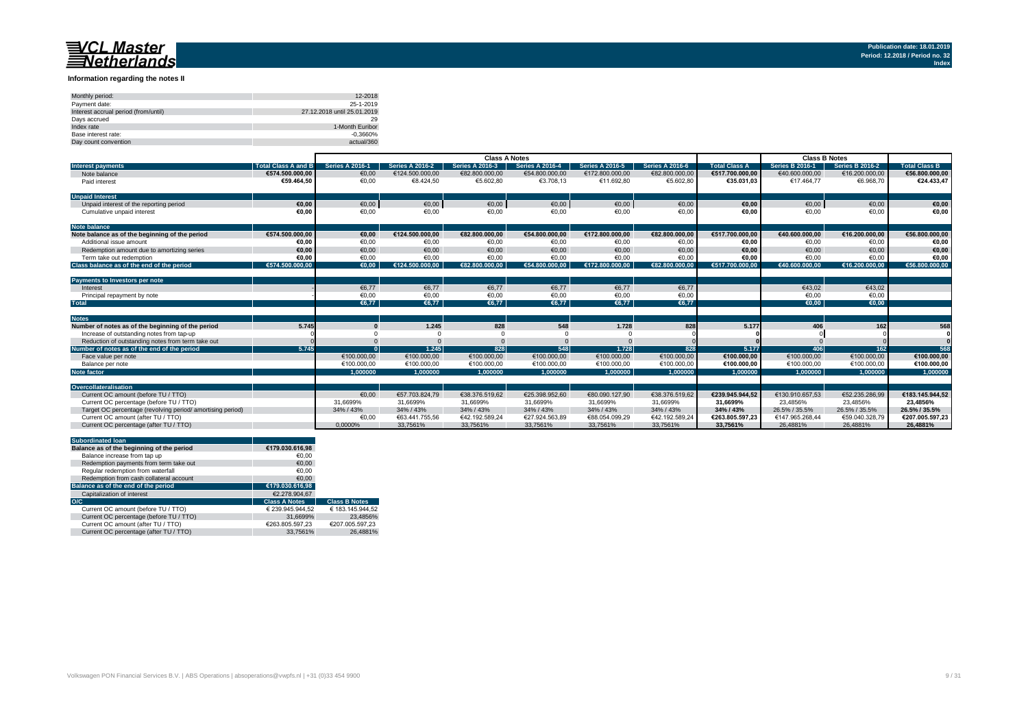#### **Information regarding the notes II**

| Monthly period:                      | 12-2018                     |
|--------------------------------------|-----------------------------|
| Payment date:                        | 25-1-2019                   |
| Interest accrual period (from/until) | 27.12.2018 until 25.01.2019 |
| Davs accrued                         | 29                          |
| Index rate                           | 1-Month Euribor             |
| Base interest rate:                  | $-0.3660%$                  |
| Day count convention                 | actual/360                  |

|                                                           |                            | <b>Class A Notes</b>   |                        |                        |                        |                        |                        | <b>Class B Notes</b> |                        |                 |                      |
|-----------------------------------------------------------|----------------------------|------------------------|------------------------|------------------------|------------------------|------------------------|------------------------|----------------------|------------------------|-----------------|----------------------|
| <b>Interest payments</b>                                  | <b>Total Class A and B</b> | <b>Series A 2016-1</b> | <b>Series A 2016-2</b> | <b>Series A 2016-3</b> | <b>Series A 2016-4</b> | <b>Series A 2016-5</b> | <b>Series A 2016-6</b> | <b>Total Class A</b> | <b>Series B 2016-1</b> | Series B 2016-2 | <b>Total Class B</b> |
| Note balance                                              | €574.500.000.00            | €0.00                  | €124.500.000.00        | €82,800,000,00         | €54,800,000,00         | €172.800.000.00        | €82.800.000,00         | €517.700.000.00      | €40.600.000.00         | €16.200.000,00  | €56.800.000,00       |
| Paid interest                                             | €59.464.50                 | €0,00                  | €8.424,50              | €5.602,80              | €3.708,13              | €11.692,80             | €5.602,80              | €35.031,03           | €17.464,77             | €6.968,70       | €24.433,47           |
| <b>Unpaid Interest</b>                                    |                            |                        |                        |                        |                        |                        |                        |                      |                        |                 |                      |
| Unpaid interest of the reporting period                   | €0.00                      | €0,00                  | $\epsilon$ 0,00        | €0,00                  | €0,00                  | €0,00                  | €0,00                  | €0,00                | €0,00                  | €0,00           | €0,00                |
| Cumulative unpaid interest                                | €0.00                      | €0,00                  | €0,00                  | €0,00                  | €0,00                  | €0,00                  | €0,00                  | €0.00                | €0,00                  | €0,00           | €0,00                |
| <b>Note balance</b>                                       |                            |                        |                        |                        |                        |                        |                        |                      |                        |                 |                      |
| Note balance as of the beginning of the period            | €574.500.000.00            | €0.00                  | €124.500.000.00        | €82.800.000.00         | €54.800.000.00         | €172.800.000.00        | €82.800.000,00         | €517.700.000.00      | €40.600.000.00         | €16.200.000,00  | €56.800.000,00       |
| Additional issue amount                                   | €0.00                      | €0,00                  | €0.00                  | €0,00                  | €0,00                  | €0.00                  | €0,00                  | €0.00                | €0.00                  | €0,00           | €0,00                |
| Redemption amount due to amortizing series                | €0.00                      | €0.00                  | €0.00                  | €0.00                  | €0.00                  | €0.00                  | €0,00                  | €0.00                | €0.00                  | €0,00           | €0,00                |
| Term take out redemption                                  | €0.00                      | €0,00                  | €0,00                  | €0,00                  | €0,00                  | €0,00                  | €0,00                  | €0,00                | €0,00                  | €0,00           | €0,00                |
| Class balance as of the end of the period                 | €574.500.000.00            | €0.00                  | €124.500.000.00        | €82.800.000.00         | €54.800.000.00         | €172.800.000.00        | €82.800.000.00         | €517.700.000.00      | €40.600.000.00         | €16.200.000.00  | €56.800.000.00       |
| Payments to Investors per note                            |                            |                        |                        |                        |                        |                        |                        |                      |                        |                 |                      |
| Interest                                                  |                            | €6,77                  | €6.77                  | €6,77                  | €6.77                  | €6.77                  | €6,77                  |                      | €43.02                 | €43,02          |                      |
| Principal repayment by note                               |                            | €0,00                  | €0,00                  | €0.00                  | €0,00                  | €0,00                  | €0,00                  |                      | €0.00                  | €0,00           |                      |
| <b>Total</b>                                              |                            | €6.77                  | €6.77                  | €6.77                  | €6.77                  | €6.77                  | €6.77                  |                      | €0.00                  | €0.00           |                      |
|                                                           |                            |                        |                        |                        |                        |                        |                        |                      |                        |                 |                      |
| <b>Notes</b>                                              |                            |                        |                        |                        |                        |                        |                        |                      |                        |                 |                      |
| Number of notes as of the beginning of the period         | 5.745                      |                        | 1.245                  | 828                    | 548                    | 1.728                  | 828                    | 5.177                | 406                    | 162             | 568                  |
| Increase of outstanding notes from tap-up                 |                            |                        |                        |                        |                        |                        |                        |                      |                        |                 |                      |
| Reduction of outstanding notes from term take out         |                            |                        |                        |                        |                        |                        |                        |                      |                        |                 |                      |
| Number of notes as of the end of the period               | 5.745                      |                        | 1.245                  | 828                    | 548                    | 1.728                  | 828                    | 5.177                | 406                    | 162             | 568                  |
| Face value per note                                       |                            | €100.000,00            | €100.000,00            | €100.000,00            | €100.000,00            | €100.000,00            | €100.000,00            | €100.000,00          | €100.000,00            | €100.000,00     | €100.000,00          |
| Balance per note                                          |                            | €100.000.00            | €100.000.00            | €100.000.00            | €100.000.00            | €100.000.00            | €100.000.00            | €100.000.00          | €100,000.00            | €100.000.00     | €100.000,00          |
| <b>Note factor</b>                                        |                            | 1.000000               | 1.000000               | 1.000000               | 1.000000               | 1.000000               | 1.000000               | 1.000000             | 1.000000               | 1.000000        | 1.000000             |
|                                                           |                            |                        |                        |                        |                        |                        |                        |                      |                        |                 |                      |
| Overcollateralisation                                     |                            |                        |                        |                        |                        |                        |                        |                      |                        |                 |                      |
| Current OC amount (before TU / TTO)                       |                            | €0.00                  | €57.703.824.79         | €38.376.519.62         | €25.398.952.60         | €80.090.127.90         | €38.376.519.62         | €239.945.944.52      | €130.910.657.53        | €52.235.286.99  | €183.145.944.52      |
| Current OC percentage (before TU / TTO)                   |                            | 31.6699%               | 31,6699%               | 31,6699%               | 31,6699%               | 31,6699%               | 31.6699%               | 31.6699%             | 23.4856%               | 23.4856%        | 23.4856%             |
| Target OC percentage (revolving period/amortising period) |                            | 34% / 43%              | 34% / 43%              | 34% / 43%              | 34% / 43%              | 34% / 43%              | 34% / 43%              | 34% / 43%            | 26.5% / 35.5%          | 26.5% / 35.5%   | 26.5% / 35.5%        |
| Current OC amount (after TU / TTO)                        |                            | €0,00                  | €63.441.755.56         | €42.192.589.24         | €27.924.563.89         | €88.054.099.29         | €42.192.589.24         | €263.805.597.23      | €147.965.268.44        | €59.040.328.79  | €207.005.597,23      |
| Current OC percentage (after TU / TTO)                    |                            | 0.0000%                | 33.7561%               | 33,7561%               | 33.7561%               | 33.7561%               | 33,7561%               | 33.7561%             | 26.4881%               | 26.4881%        | 26.4881%             |

|     | <b>Subordinated loan</b>                  |                      |                      |
|-----|-------------------------------------------|----------------------|----------------------|
|     | Balance as of the beginning of the period | €179.030.616.98      |                      |
|     | Balance increase from tap up              | €0.00                |                      |
|     | Redemption payments from term take out    | €0.00                |                      |
|     | Regular redemption from waterfall         | €0.00                |                      |
|     | Redemption from cash collateral account   | €0.00                |                      |
|     | Balance as of the end of the period       | €179.030.616.98      |                      |
|     | Capitalization of interest                | €2.278.904.67        |                      |
| O/C |                                           | <b>Class A Notes</b> | <b>Class B Notes</b> |
|     | Current OC amount (before TU / TTO)       | € 239.945.944.52     | € 183.145.944.52     |
|     | Current OC percentage (before TU / TTO)   | 31.6699%             | 23.4856%             |
|     | Current OC amount (after TU / TTO)        | €263.805.597.23      | €207.005.597.23      |
|     | Current OC percentage (after TU / TTO)    | 33.7561%             | 26.4881%             |
|     |                                           |                      |                      |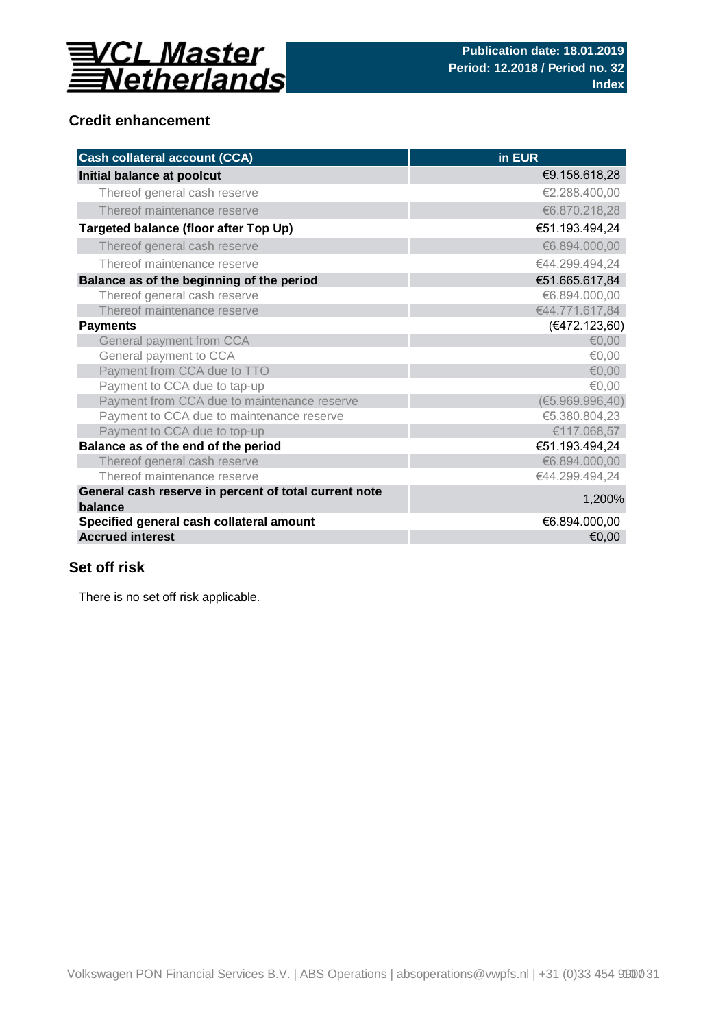

## **Credit enhancement**

| <b>Cash collateral account (CCA)</b>                             | in EUR           |
|------------------------------------------------------------------|------------------|
| Initial balance at poolcut                                       | €9.158.618,28    |
| Thereof general cash reserve                                     | €2.288.400,00    |
| Thereof maintenance reserve                                      | €6.870.218,28    |
| Targeted balance (floor after Top Up)                            | €51.193.494,24   |
| Thereof general cash reserve                                     | €6.894.000,00    |
| Thereof maintenance reserve                                      | €44.299.494,24   |
| Balance as of the beginning of the period                        | €51.665.617,84   |
| Thereof general cash reserve                                     | €6.894.000,00    |
| Thereof maintenance reserve                                      | €44.771.617,84   |
| <b>Payments</b>                                                  | (€472.123,60)    |
| General payment from CCA                                         | €0,00            |
| General payment to CCA                                           | €0,00            |
| Payment from CCA due to TTO                                      | €0,00            |
| Payment to CCA due to tap-up                                     | €0,00            |
| Payment from CCA due to maintenance reserve                      | (65.969.996, 40) |
| Payment to CCA due to maintenance reserve                        | €5.380.804,23    |
| Payment to CCA due to top-up                                     | €117.068,57      |
| Balance as of the end of the period                              | €51.193.494,24   |
| Thereof general cash reserve                                     | €6.894.000,00    |
| Thereof maintenance reserve                                      | €44.299.494,24   |
| General cash reserve in percent of total current note<br>balance | 1,200%           |
| Specified general cash collateral amount                         | €6.894.000,00    |
| <b>Accrued interest</b>                                          | €0,00            |

## **Set off risk**

There is no set off risk applicable.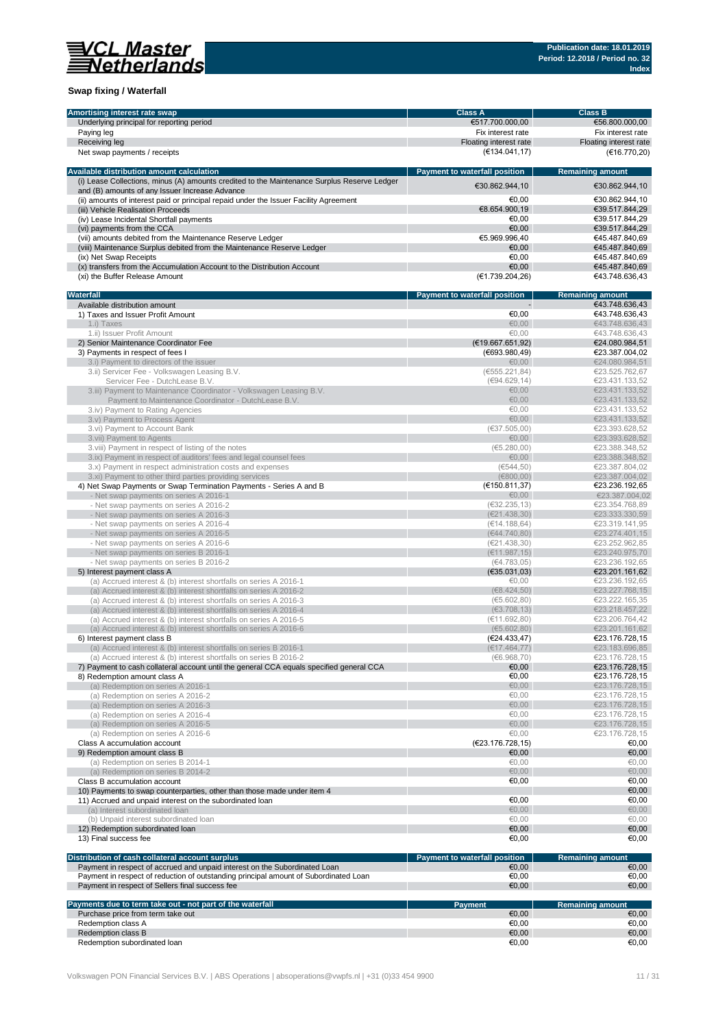

### **Swap fixing / Waterfall**

| Amortising interest rate swap                                                               | <b>Class A</b>                         | <b>Class B</b>          |
|---------------------------------------------------------------------------------------------|----------------------------------------|-------------------------|
| Underlying principal for reporting period                                                   | €517.700.000,00                        | €56.800.000,00          |
| Paying leg                                                                                  | Fix interest rate                      | Fix interest rate       |
| Receiving leg                                                                               | Floating interest rate                 | Floating interest rate  |
| Net swap payments / receipts                                                                | (€134.041, 17)                         | (€16.770,20)            |
|                                                                                             |                                        |                         |
| Available distribution amount calculation                                                   | Payment to waterfall position          | <b>Remaining amount</b> |
| (i) Lease Collections, minus (A) amounts credited to the Maintenance Surplus Reserve Ledger |                                        |                         |
| and (B) amounts of any Issuer Increase Advance                                              | €30.862.944,10                         | €30.862.944,10          |
| (ii) amounts of interest paid or principal repaid under the Issuer Facility Agreement       | €0,00                                  | €30.862.944,10          |
| (iii) Vehicle Realisation Proceeds                                                          | €8.654.900,19                          | €39.517.844,29          |
| (iv) Lease Incidental Shortfall payments                                                    | €0.00                                  | €39.517.844,29          |
| (vi) payments from the CCA                                                                  | €0.00                                  | €39.517.844,29          |
| (vii) amounts debited from the Maintenance Reserve Ledger                                   | €5.969.996,40                          | €45.487.840.69          |
| (viii) Maintenance Surplus debited from the Maintenance Reserve Ledger                      | €0,00                                  | €45.487.840,69          |
| (ix) Net Swap Receipts                                                                      | €0.00                                  | €45.487.840,69          |
| (x) transfers from the Accumulation Account to the Distribution Account                     | €0,00                                  | €45.487.840,69          |
|                                                                                             | (€1.739.204,26)                        |                         |
| (xi) the Buffer Release Amount                                                              |                                        | €43.748.636,43          |
|                                                                                             |                                        |                         |
| Waterfall                                                                                   | Payment to waterfall position          | <b>Remaining amount</b> |
| Available distribution amount                                                               |                                        | €43.748.636,43          |
| 1) Taxes and Issuer Profit Amount                                                           | €0,00                                  | €43.748.636,43          |
| 1.i) Taxes                                                                                  | €0.00                                  | €43.748.636,43          |
| 1.ii) Issuer Profit Amount                                                                  | €0,00                                  | €43.748.636,43          |
| 2) Senior Maintenance Coordinator Fee                                                       | (E19.667.651,92)                       | €24.080.984,51          |
| 3) Payments in respect of fees I                                                            | (€693.980,49)                          | €23.387.004,02          |
| 3.i) Payment to directors of the issuer                                                     | €0,00                                  | €24.080.984,51          |
| 3.ii) Servicer Fee - Volkswagen Leasing B.V.                                                | (6555.221, 84)                         | €23.525.762,67          |
| Servicer Fee - DutchLease B.V.                                                              | (€94.629,14)                           | €23.431.133.52          |
| 3.iii) Payment to Maintenance Coordinator - Volkswagen Leasing B.V.                         | € $0,00$                               | €23.431.133,52          |
| Payment to Maintenance Coordinator - DutchLease B.V.                                        | €0,00                                  | €23.431.133,52          |
| 3.iv) Payment to Rating Agencies                                                            | €0.00                                  | €23.431.133,52          |
| 3.v) Payment to Process Agent                                                               | €0,00                                  | €23.431.133,52          |
| 3.vi) Payment to Account Bank                                                               | (637.505,00)                           | €23.393.628,52          |
| 3.vii) Payment to Agents                                                                    | €0,00                                  | €23.393.628,52          |
| 3.viii) Payment in respect of listing of the notes                                          | (65.280,00)                            | €23.388.348,52          |
| 3.ix) Payment in respect of auditors' fees and legal counsel fees                           | €0,00                                  | €23.388.348,52          |
| 3.x) Payment in respect administration costs and expenses                                   | (6544, 50)                             | €23.387.804,02          |
| 3.xi) Payment to other third parties providing services                                     | (E800,00)                              | €23.387.004,02          |
| 4) Net Swap Payments or Swap Termination Payments - Series A and B                          | (€150.811,37)                          | €23.236.192,65          |
| - Net swap payments on series A 2016-1                                                      | €0,00                                  | €23.387.004,02          |
| - Net swap payments on series A 2016-2                                                      | (632.235, 13)                          | €23.354.768,89          |
| - Net swap payments on series A 2016-3                                                      | (E21.438,30)                           | €23.333.330,59          |
| - Net swap payments on series A 2016-4                                                      | (€14.188,64)                           | €23.319.141,95          |
| - Net swap payments on series A 2016-5                                                      | (€44.740.80)                           | €23.274.401,15          |
| - Net swap payments on series A 2016-6                                                      | (E21.438,30)                           | €23.252.962,85          |
| - Net swap payments on series B 2016-1                                                      | (E11.987, 15)                          | €23.240.975,70          |
| - Net swap payments on series B 2016-2                                                      | (€4.783,05)                            | €23.236.192,65          |
| 5) Interest payment class A                                                                 | (€35.031,03)                           | €23.201.161,62          |
| (a) Accrued interest & (b) interest shortfalls on series A 2016-1                           | €0,00                                  | €23.236.192,65          |
| (a) Accrued interest & (b) interest shortfalls on series A 2016-2                           | (68.424, 50)                           | €23.227.768,15          |
| (a) Accrued interest & (b) interest shortfalls on series A 2016-3                           | (65.602, 80)                           | €23.222.165,35          |
| (a) Accrued interest & (b) interest shortfalls on series A 2016-4                           | (63.708, 13)                           | €23.218.457,22          |
| (a) Accrued interest & (b) interest shortfalls on series A 2016-5                           | (€11.692,80)                           | €23.206.764,42          |
| (a) Accrued interest & (b) interest shortfalls on series A 2016-6                           | (65.602, 80)                           | €23.201.161.62          |
| 6) Interest payment class B                                                                 | (E24.433, 47)                          | €23.176.728,15          |
| (a) Accrued interest & (b) interest shortfalls on series B 2016-1                           | (E17.464, 77)                          | €23.183.696.85          |
| (a) Accrued interest & (b) interest shortfalls on series B 2016-2                           | (6.968, 70)                            | €23.176.728,15          |
| 7) Payment to cash collateral account until the general CCA equals specified general CCA    | €0,00                                  | €23.176.728,15          |
| 8) Redemption amount class A                                                                | €0,00                                  | €23.176.728,15          |
| (a) Redemption on series A 2016-1                                                           | €0,00                                  | €23.176.728,15          |
| (a) Redemption on series A 2016-2                                                           | €0,00                                  | €23.176.728,15          |
| (a) Redemption on series A 2016-3                                                           | €0,00                                  | €23.176.728,15          |
| (a) Redemption on series A 2016-4                                                           | €0,00                                  | €23.176.728,15          |
| (a) Redemption on series A 2016-5                                                           | €0,00                                  | €23.176.728,15          |
| (a) Redemption on series A 2016-6                                                           | €0,00                                  | €23.176.728,15          |
| Class A accumulation account                                                                | (€23.176.728,15)                       | €0,00                   |
| 9) Redemption amount class B                                                                | €0,00                                  | €0,00                   |
| (a) Redemption on series B 2014-1                                                           | €0,00                                  | €0,00                   |
| (a) Redemption on series B 2014-2                                                           | € $0,00$                               | €0,00                   |
| Class B accumulation account                                                                | €0,00                                  | €0,00                   |
| 10) Payments to swap counterparties, other than those made under item 4                     |                                        | €0,00                   |
| 11) Accrued and unpaid interest on the subordinated loan                                    | €0,00                                  | €0,00                   |
| (a) Interest subordinated loan                                                              | €0,00                                  | €0,00                   |
|                                                                                             | €0,00                                  | €0,00                   |
| (b) Unpaid interest subordinated loan                                                       |                                        |                         |
| 12) Redemption subordinated loan                                                            | €0,00                                  | €0,00                   |
| 13) Final success fee                                                                       | €0,00                                  | €0,00                   |
|                                                                                             |                                        |                         |
| Distribution of cash collateral account surplus                                             | Payment to waterfall position<br>€0,00 | <b>Remaining amount</b> |
| Payment in respect of accrued and unpaid interest on the Subordinated Loan                  |                                        | €0,00                   |
| Payment in respect of reduction of outstanding principal amount of Subordinated Loan        | €0,00                                  | €0,00                   |
| Payment in respect of Sellers final success fee                                             | €0,00                                  | €0,00                   |
|                                                                                             |                                        |                         |
| Payments due to term take out - not part of the waterfall                                   | <b>Payment</b>                         | <b>Remaining amount</b> |
| Purchase price from term take out                                                           | €0,00<br>€0,00                         | €0,00<br>€0,00          |
| Redemption class A                                                                          |                                        |                         |
| Redemption class B                                                                          | €0,00                                  | €0,00                   |
| Redemption subordinated loan                                                                | €0,00                                  | €0,00                   |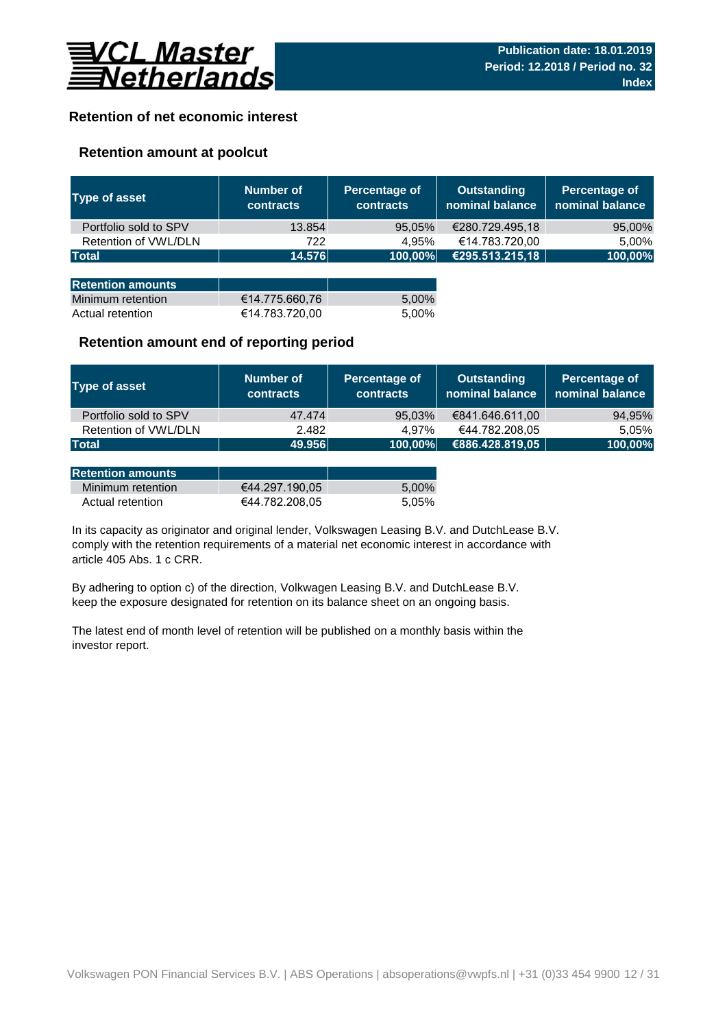

## **Retention of net economic interest**

### **Retention amount at poolcut**

| <b>Type of asset</b>     | Number of<br><b>contracts</b> | Percentage of<br><b>contracts</b> | <b>Outstanding</b><br>nominal balance | Percentage of<br>nominal balance |
|--------------------------|-------------------------------|-----------------------------------|---------------------------------------|----------------------------------|
| Portfolio sold to SPV    | 13.854                        | 95,05%                            | €280.729.495,18                       | 95,00%                           |
| Retention of VWL/DLN     | 722                           | 4.95%                             | €14.783.720,00                        | 5,00%                            |
| <b>Total</b>             | 14.576                        | 100,00%                           | €295.513.215,18                       | 100,00%                          |
|                          |                               |                                   |                                       |                                  |
| <b>Retention amounts</b> |                               |                                   |                                       |                                  |
| Minimum retention        | €14.775.660,76                | 5,00%                             |                                       |                                  |
| Actual retention         | €14.783.720,00                | 5.00%                             |                                       |                                  |

### **Retention amount end of reporting period**

| Type of asset         | Number of<br><b>contracts</b> | Percentage of<br><b>contracts</b> | Outstanding<br>nominal balance | Percentage of<br>nominal balance |
|-----------------------|-------------------------------|-----------------------------------|--------------------------------|----------------------------------|
| Portfolio sold to SPV | 47.474                        | 95,03%                            | €841.646.611,00                | 94,95%                           |
| Retention of VWL/DLN  | 2.482                         | 4.97%                             | €44.782.208,05                 | 5.05%                            |
| <b>Total</b>          | 49.956                        | 100,00%                           | €886.428.819,05                | 100,00%                          |

| <b>Retention amounts</b> |                |       |
|--------------------------|----------------|-------|
| Minimum retention        | €44.297.190.05 | 5.00% |
| Actual retention         | €44.782.208.05 | 5.05% |

article 405 Abs. 1 c CRR. In its capacity as originator and original lender, Volkswagen Leasing B.V. and DutchLease B.V. comply with the retention requirements of a material net economic interest in accordance with

By adhering to option c) of the direction, Volkwagen Leasing B.V. and DutchLease B.V. keep the exposure designated for retention on its balance sheet on an ongoing basis.

The latest end of month level of retention will be published on a monthly basis within the investor report.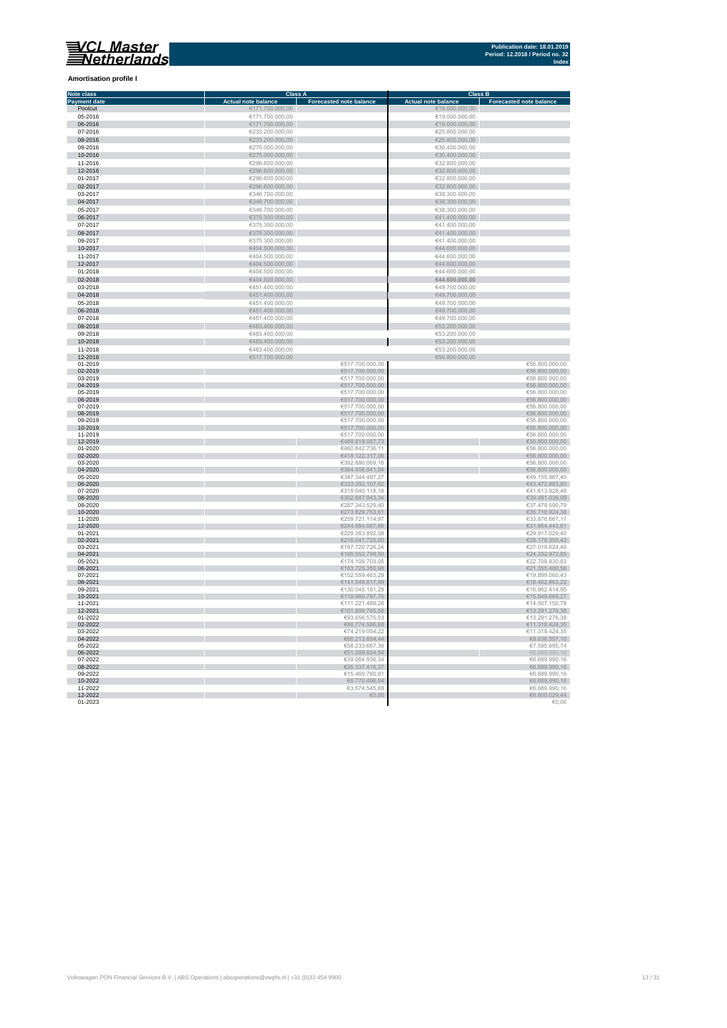**Amortisation profile I**

#### **Class A Class B Class B Class B Class B Class B Class B Class B Class B Class B Eq. 1 Note class Payment date and the Sale of the Case of the Sale of the Sale of the Sale of the Sale of the Sale of the Sale of the Sale of the Sale of the Sale of the Sale of the Sale of the Sale of the Sale of the Sale of the Sale of** Poolcut ∈19.000.000,00 ∈171.700.000,00 ∈171.700.000,00 ∈19.000.000,00 ∈19.000.000,00 ∈19.000.000,00 ∈19.000.000,00 ∈19.000.000,00 ∈19.000.000,00 ∈19.000.000,00 ∈19.000.000,00 ∈19.000.000,00 ∈19.000.000,00 ∈19.000.000,00 ∈ r 06-2016 €171.700.000,00 €19.000.000,00  $\begin{array}{r}\n 07-2016 \\
\hline\n 623.200.000,00 \\
\hline\n 625.800.000,00 \\
\hline\n 625.800.000,00 \\
\hline\n 625.800.000,00 \\
\hline\n 625.800.000,00 \\
\hline\n 625.800.000,00 \\
\hline\n 625.800.000,00 \\
\hline\n 625.800.000,00 \\
\hline\n 625.800.000,00 \\
\hline\n 625.800.000,00 \\
\h$ Ì. 08-2016 €233.200.000,00 €25.800.000,00 09-2016 €275.000.000,00 €30.400.000,00 10-2016 €275.000.000,00 €30.400.000,00 11-2016 €296.600.000,00 €32.800.000,00 11-2016<br>  $C296.600.000,00$ <br>  $C296.600.000,00$ <br>  $C296.600.000,00$ <br>  $C296.600.000,00$ <br>  $C296.600.000,00$ <br>  $C296.600.000,00$ <br>  $C296.600.000,00$ <br>  $C296.600.000,00$ <br>  $C286.600.000,00$ <br>  $C286.600.000,00$ <br>  $C286.600.000,00$ <br>  $C$ 12-2016 €296.600.000,00 €32.800.000,00 01-2017 €296.600.000,00 €32.800.000,00  $6346.700.000,00$  ∈38.300.000,00 ∈38.300.000,00 × 0**4-2017** €38.300.000,00 €346.700.000,00 €346.700.000,00 €38.300.000,00 €38.300.000,00 €38.300.000,00 €38.300.000,00<br>05-2017 €38.300.000,00 €346.700.000,00 €346.700.000,00 €346.700.000,00 €346.700 €38.300.000,00 €38.300.0 × 06-2017 €375.300.000,00 €41.400.000,00  $\epsilon$ 375.300.000,00  $\epsilon$  (and the set of  $\epsilon$ 41.400.000,00  $\epsilon$ 0**8-2017 ∈**41.400.000,00 ∈375.300.000,00 ∈375.300.000,00 ∈41.400.000,00 ∈41.400.000,00 ∈41.400.000,00 ∈41.400.000,00 ∈41.400.000,00 ∈41.400.000,00 ∈41.400.000,00 ∈41.400.000,00 ∈41.400.000,00 ∈41.400.000,00 ∈41.400.000,00 п 10-2017 €404.500.000,00 €44.600.000,00 11-2017 €404.500.000,00 €404.500.000,00 €404.500.000,00 €404.500.000,00 €404.500.000,00 €44.600.000,00 €44.600.000,00 r. 12-2017 €404.500.000,00 €404.500.000,00 €404.500.000,00 €404.500.000,00 €44.600.000,00 €44.600.000,00  $01-2018$  ∈404.500.000,00 ∈404.500.000,00 ∈404.500.000,00 ∈404.600.000,00 × 02-2018 €404.500.000,00 **€44.600.000,00** 03-2018 €451.400.000,00 €49.700.000,00 п 04-2018 €451.400.000,00 €49.700.000,00  $65-2018$  ∈451.400.000,00 ∈451.400.000,00 ∈451.400.000,00 ∈49.700.000,00 × 06-2018 €49.700.000,00 €451.400.000,00 € 451.400.000,00 € 5451.400.000,00 € 5451.400.000,00 € 549.700.000,00 07-2018 €451.400.000,00 €49.700.000,00 r  $\frac{6483.400.000,00}{6483.400.000,00}$   $\frac{6483.400.000,00}{6483.400,000,00}$   $\frac{653.200.000,00}{653.200,000,00}$  $6483.400.000,00$   $6483.400.000,00$   $653.200.000,00$ 10-2018 €53.200.000,00<br>11-2018 €53.200.000,00 € 6313.400.000,00<br>12-2018 €56.800.000,00 €517.700.000,00 €56.800.000,00 €56.800.00,00 01-2019 €517.700.000,00 €517.700.000,00 €517.700.000,00 €517.700.000,00 €517.700.000,00 €517.700.000,00 €517.700.000,00 €517.700.000,00 €517.700.000,00 €517.700.000,00 €517.700.000,00 €517.700.000,00 €517.700.000,00 €517 × 02-2019 €517.700.000,00 €517.700.000,00 €517.700.000,00 €617.700.000,00 €617.700.000,00 €617.700.000,00 €6.800.000,00  $03-2019$  ∈56.800.000,00 i. 0**4-2019** €56.800.000,00 €517.700.000,00 €517.700.000,00 €517.700.000,00 €517.700.000,00 €517.700.000,00 €56.800.000,00  $0.2019$  ∈517.700.000,00 ∈517.700.000,00 ∈ €517.700.000,00 ∈ €517.700.000,00 ∈ €517.700.000,00 ∈ €51.700.000,00 ∈ €51.700.000,00 ∈ €51.700.000,00 ∈ €51.700.000,00 ∈ ∈ €51.700.000,00 ∈ ∈ €51.700.000,00 ∈ ∈ €51.700.000,00 ×. 06-2019 €56.800.000,00 €517.700.000,00 €517.700.000,00 €517.700.000,00 €517.700.000,00 €517.700.000,00 €56.800.000,00  $07-2019$  ∈56.800.000,00 i. 08-2019 €517.700.000,00 €56.800.000,00  $09-2019$  ∈56.800.000,00 10-2019 €517.700.000,00 €56.800.000,00 11-2019 €517.700.000,00 €56.800.000,00 12-2019 €489.819.087,73 €56.800.000,00 01-2020 ∈56.800.000,00 п 02-2020 €56.800.000,00,00 € 56.800.000,00 € 57.5 € 57.5 € 57.5 € 57.5 € 57.5 € 57.5 € 57.5 € 57.5 € 57.5 € 57.5 € 57.5 € 57.5 € 57.5 € 57.5 € 57.5 € 57.5 € 57.5 € 57.5 € 57.5 € 57.5 € 57.5 € 57.5 € 57.5 € 57.5 € 57.5 € 5  $03$ -2020 ∈56.800.000,00 Ì. 04-2020 €56.800.000,00 € 66.800.000,00 € 66.800.000,00 € 66.800.000,00 € 66.800.000,00 € 66.800.000,00 € 65.800  $6347.344.497,27$   $649.155.967,4020$   $6347.344.497,27$   $649.155.967,4020$ п 06-2020 ∈43.472.883,60 €43.472.883,60 € 533.292.107,62 € 533.292.107,62 € 43.472.883,60  $07$ -2020 ∈41.613.928,46 ∈41.613.928,46 r. 08-2020 €39.481.036,09 €302.687.943,34 €302.687.943,34 €302.687.943,34 €302.687.943,34 €30.481.036,09  $09-2020$  ∈37.479.590,79 €37.479.590,79 п 10-2020 €273.829.753,61 €35.716.924,38 11-2020 €259.721.114,97 €33.876.667,17 12-2020 €31.954.443,61 €31.954.443,61 €31.954.443,61 €31.954.443,61 €31.954.443,61 €31.954.443,61 €31.954.443,61 01-2021 ∈29.917.029,40 €229.363.892,08 ∈229.363.892,08 ∈29.917.029,40 02-2021 €28.179.355,43  $03$ -2021 ∈27.019.624,46 ∈27.019.624,46 04-2021 €186.552.799,50 €24.332.973,85  **∈22.709.830,83** 06-2021 €163.725.350,98 €21.355.480,56  $07-2021$  ∈19.899.060,43 08-2021 €141.548.617,99 €18.462.863,22  $09-2021$  ∈ 130.045.181,29  $\blacksquare$   $045.181,29$   $\blacksquare$   $05.2021$   $\blacksquare$   $05.2414,95$ 10-2021 €119.980.797,76 €15.649.669,27 11-2021 €111.221.489,28 €14.507.150,78 12-2021 €101.899.785,58 €13.291.276,38 01-2022 ∈93.656.575,03 ∈93.656.575,03 ∈93.656.575,03 €93.656.575,03 €93.656.575,03 €13.291.276,38 02-2022 €86.774.586,68 €11.318.424,35  $03-2022$  ∈11.318.424,35 I. 04-2022  $\epsilon$  68.636.557,10  $05-2022$  ∈58.233.667,36  $\epsilon$ 58.233.667,36  $\epsilon$ 7.595.695,74 06-2022  $\epsilon$ 51.289.924,54  $\epsilon$ 51.289.924,54  $\epsilon$ 51.289.924,54  $\epsilon$ 51.289.924,54  $\epsilon$ 5.689.990,16  $07-2022$  ∈39.064.936,34 ∈6.689.990,16 08-2022 €26.337.416,37 €6.689.990,16  $09-2022$  ∈ 6.689.990,16 10-2022 €8.689.990,16 €8.770.496,04 €8.770.496,04 €8.770.496,04 €8.770.496,04 €8.770.496,04 €8.689.990,16 11-2022 ∈ 3.574.545,88 ∈ 3.574.545,88 ∈ 3.574.545,88 ∈ 3.574.545,88 ∈ 3.574.545,88 ∈ 3.574.545,88 ∈ 3.574.545,88 ∈ 3.574.545,88 ∈ 3.574.545,88 ∈ 3.574.545,88 ∈ 3.574.545,88 ∈ 3.574.545,88 ∈ 3.574.545,88 ∈ 3.574.545,88 ∈

12-2022 €6.600.029,44  $01$ -2023  $\in$  0.00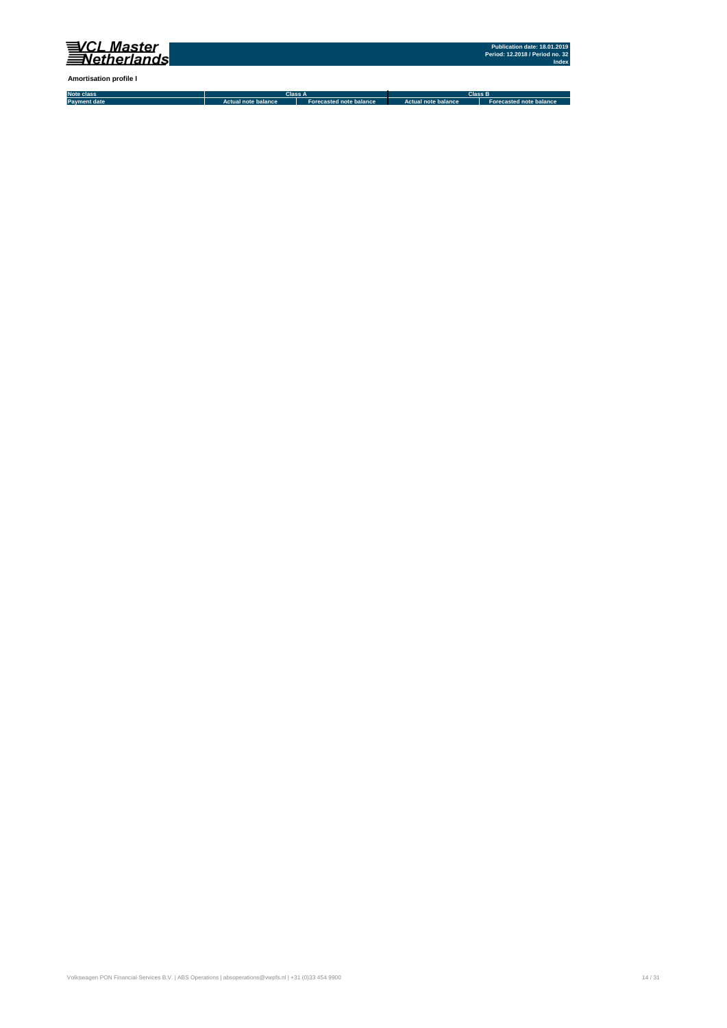

**Amortisation profile I**

**Note class Payment date Actual note balance Forecasted note balance Actual note balance2 Forecasted note balance3 Class A Class B**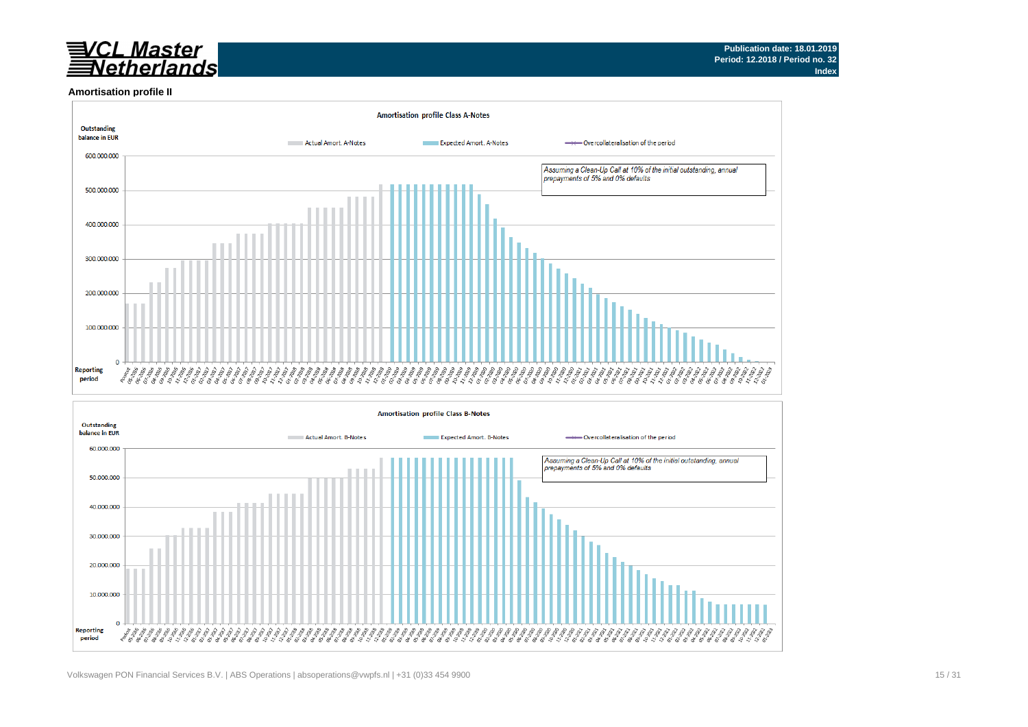# <u>VCL Master</u><br>∃Netherlands

#### **Amortisation profile II**



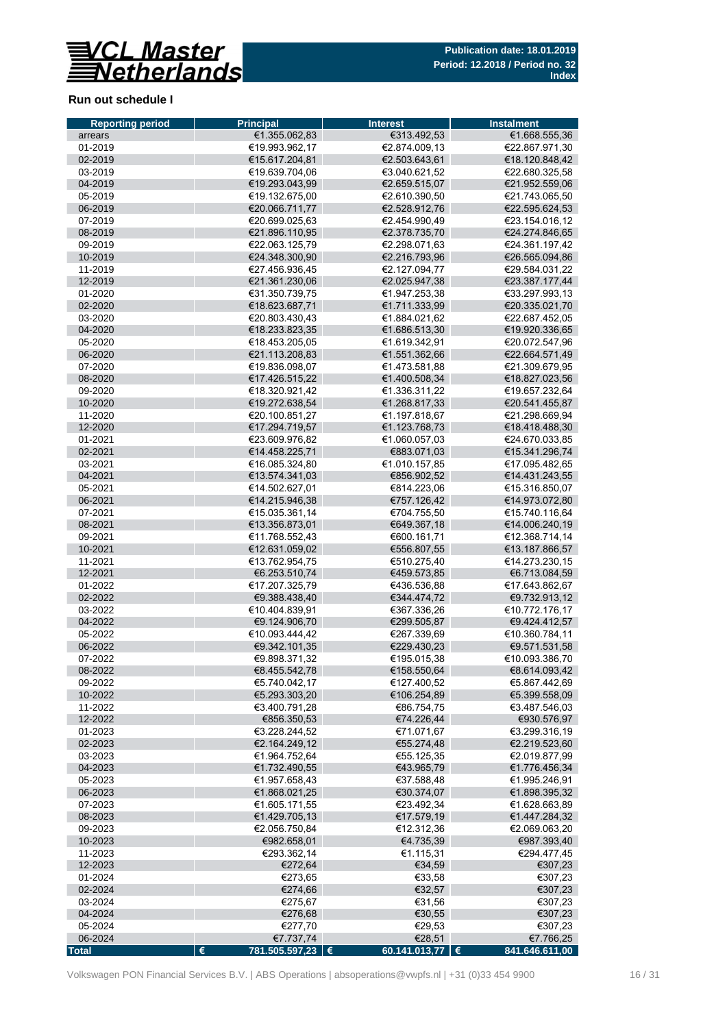

### **Run out schedule I**

| <b>Reporting period</b> | <b>Principal</b>                 | <b>Interest</b>                | <b>Instalment</b>                |
|-------------------------|----------------------------------|--------------------------------|----------------------------------|
| arrears                 | €1.355.062,83                    | €313.492,53                    | €1.668.555,36                    |
| 01-2019                 | €19.993.962,17                   | €2.874.009.13                  | €22.867.971,30                   |
| 02-2019                 | €15.617.204,81                   | €2.503.643,61                  | €18.120.848,42                   |
| 03-2019                 | €19.639.704,06                   | €3.040.621,52                  | €22.680.325,58                   |
| 04-2019                 | €19.293.043,99                   | €2.659.515,07                  | €21.952.559.06                   |
| 05-2019                 | €19.132.675,00                   | €2.610.390,50                  | €21.743.065,50                   |
| 06-2019                 | €20.066.711,77                   | €2.528.912,76                  | €22.595.624,53                   |
| 07-2019                 | €20.699.025,63                   | €2.454.990,49                  | €23.154.016,12                   |
| 08-2019                 | €21.896.110,95                   | €2.378.735,70                  | €24.274.846,65                   |
| 09-2019                 | €22.063.125,79                   | €2.298.071.63                  | €24.361.197,42                   |
| 10-2019                 | €24.348.300,90                   | €2.216.793,96                  | €26.565.094,86                   |
| 11-2019                 | €27.456.936.45                   | €2.127.094.77                  | €29.584.031,22                   |
| 12-2019                 | €21.361.230,06                   | €2.025.947,38                  | €23.387.177,44                   |
| 01-2020                 | €31.350.739,75                   | €1.947.253,38                  | €33.297.993,13                   |
| 02-2020                 | €18.623.687,71                   | €1.711.333,99                  | €20.335.021,70                   |
| 03-2020                 | €20.803.430,43                   | €1.884.021,62                  | €22.687.452,05                   |
| 04-2020                 | €18.233.823,35                   | €1.686.513,30                  | €19.920.336,65                   |
| 05-2020                 | €18.453.205,05                   | €1.619.342,91                  | €20.072.547,96                   |
| 06-2020                 | €21.113.208.83                   | €1.551.362,66                  | €22.664.571,49                   |
| 07-2020                 | €19.836.098.07                   | €1.473.581,88                  | €21.309.679,95                   |
| 08-2020                 | €17.426.515,22                   | €1.400.508,34                  | €18.827.023,56                   |
| 09-2020                 | €18.320.921,42                   | €1.336.311,22                  | €19.657.232,64                   |
| 10-2020<br>11-2020      | €19.272.638,54<br>€20.100.851.27 | €1.268.817,33                  | €20.541.455,87<br>€21.298.669.94 |
| 12-2020                 | €17.294.719,57                   | €1.197.818,67<br>€1.123.768,73 | €18.418.488,30                   |
| 01-2021                 | €23.609.976,82                   | €1.060.057,03                  | €24.670.033.85                   |
| 02-2021                 | €14.458.225,71                   | €883.071,03                    | €15.341.296,74                   |
| 03-2021                 | €16.085.324,80                   | €1.010.157,85                  | €17.095.482,65                   |
| 04-2021                 | €13.574.341,03                   | €856.902,52                    | €14.431.243,55                   |
| 05-2021                 | €14.502.627,01                   | €814.223,06                    | €15.316.850,07                   |
| 06-2021                 | €14.215.946,38                   | €757.126,42                    | €14.973.072,80                   |
| 07-2021                 | €15.035.361,14                   | €704.755,50                    | €15.740.116,64                   |
| 08-2021                 | €13.356.873,01                   | €649.367,18                    | €14.006.240,19                   |
| 09-2021                 | €11.768.552,43                   | €600.161,71                    | €12.368.714,14                   |
| 10-2021                 | €12.631.059,02                   | €556.807,55                    | €13.187.866,57                   |
| 11-2021                 | €13.762.954,75                   | €510.275,40                    | €14.273.230,15                   |
| 12-2021                 | €6.253.510,74                    | €459.573,85                    | €6.713.084,59                    |
| 01-2022                 | €17.207.325,79                   | €436.536,88                    | €17.643.862,67                   |
| 02-2022                 | €9.388.438,40                    | €344.474,72                    | €9.732.913,12                    |
| 03-2022                 | €10.404.839.91                   | €367.336,26                    | €10.772.176,17                   |
| 04-2022                 | €9.124.906,70                    | €299.505,87                    | €9.424.412,57                    |
| 05-2022                 | €10.093.444,42                   | €267.339,69                    | €10.360.784,11                   |
| 06-2022                 | €9.342.101,35                    | €229.430,23                    | €9.571.531,58                    |
| 07-2022                 | €9.898.371,32                    | €195.015,38                    | €10.093.386,70                   |
| 08-2022                 | €8.455.542,78                    | €158.550,64                    | €8.614.093,42                    |
| 09-2022                 | €5.740.042,17                    | €127.400,52                    | €5.867.442,69                    |
| 10-2022                 | €5.293.303,20                    | €106.254,89                    | €5.399.558,09                    |
| 11-2022                 | €3.400.791,28                    | €86.754,75                     | €3.487.546,03                    |
| 12-2022                 | €856.350,53                      | €74.226,44                     | €930.576,97                      |
| 01-2023                 | €3.228.244,52                    | €71.071,67                     | €3.299.316,19                    |
| 02-2023                 | €2.164.249,12                    | €55.274,48                     | €2.219.523,60                    |
| 03-2023                 | €1.964.752.64                    | €55.125,35                     | €2.019.877,99                    |
| 04-2023                 | €1.732.490,55                    | €43.965,79                     | €1.776.456,34                    |
| 05-2023                 | €1.957.658,43                    | €37.588,48                     | €1.995.246,91                    |
| 06-2023                 | €1.868.021,25                    | €30.374,07                     | €1.898.395,32                    |
| 07-2023                 | €1.605.171,55                    | €23.492,34                     | €1.628.663,89                    |
| 08-2023                 | €1.429.705,13                    | €17.579,19                     | €1.447.284,32                    |
| 09-2023                 | €2.056.750,84                    | €12.312,36                     | €2.069.063,20                    |
| 10-2023                 | €982.658,01                      | €4.735,39                      | €987.393,40                      |
| 11-2023                 | €293.362,14                      | €1.115,31                      | €294.477,45                      |
| 12-2023                 | €272,64                          | €34,59                         | €307,23                          |
| 01-2024                 | €273,65                          | €33,58                         | €307,23                          |
| 02-2024                 | €274,66                          | €32,57                         | €307,23                          |
| 03-2024                 | €275,67                          | €31,56                         | €307,23                          |
| 04-2024                 | €276,68                          | €30,55                         | €307,23                          |
| 05-2024                 | €277,70                          | €29,53                         | €307,23                          |
| 06-2024                 | €7.737,74                        | €28,51                         | €7.766,25                        |
| <b>Total</b>            | €<br>781.505.597,23   €          | 60.141.013,77 $\epsilon$       | 841.646.611,00                   |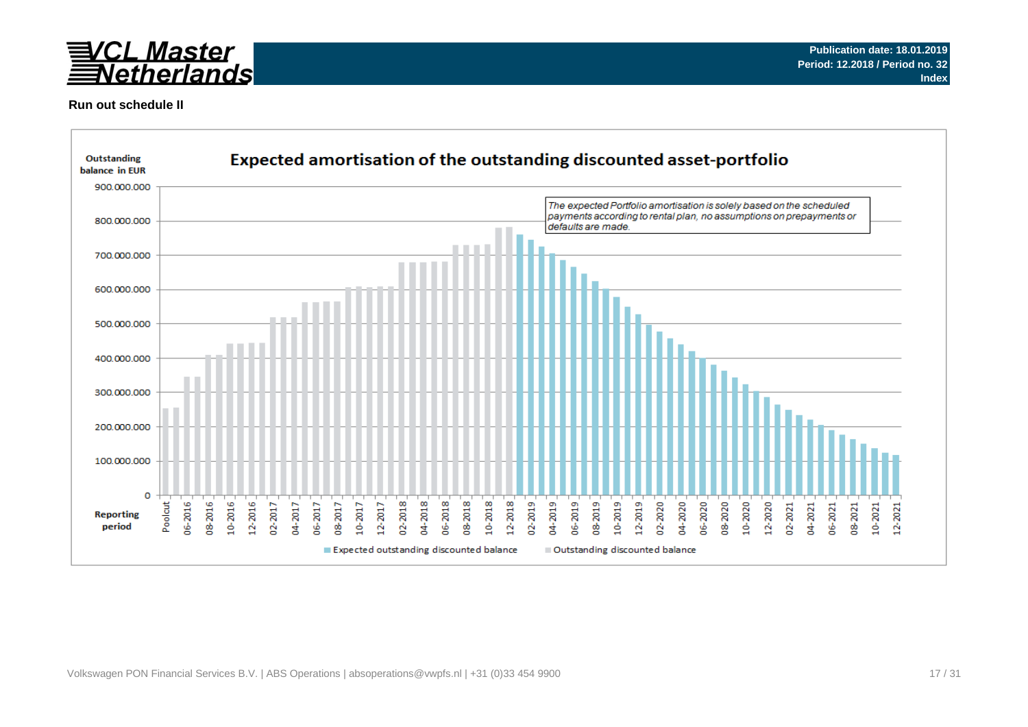

### **Run out schedule II**

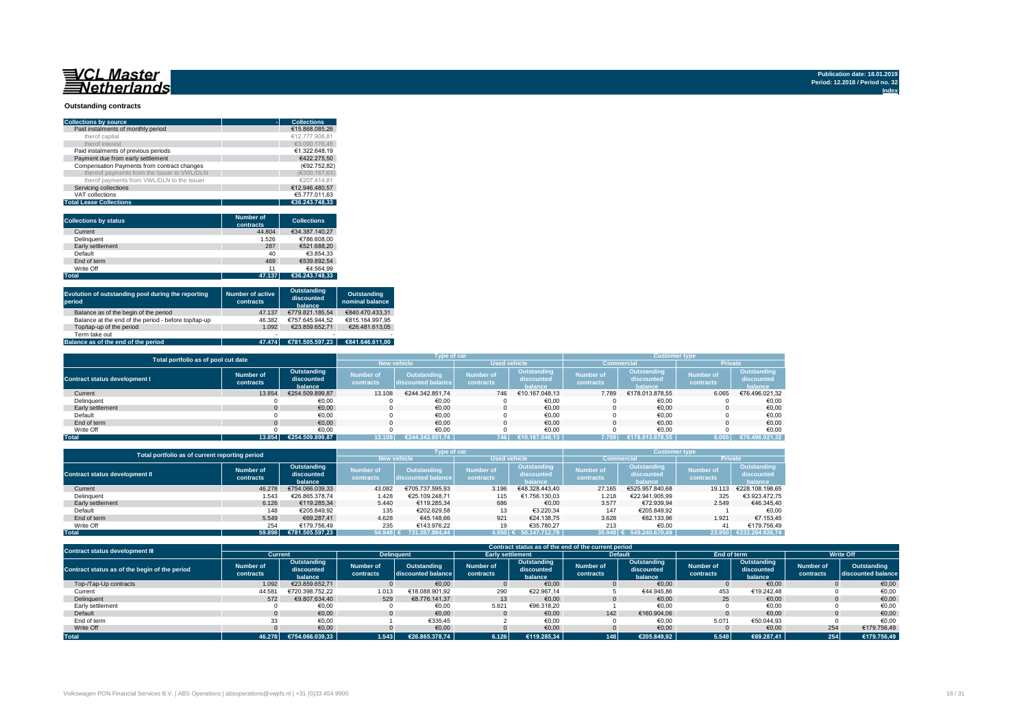#### **Outstanding contracts**

| <b>Collections by source</b>                | <b>Collections</b> |
|---------------------------------------------|--------------------|
| Paid instalments of monthly period          | €15.868.085.26     |
| therof capital                              | €12.777.908.81     |
| therof interest                             | €3.090.176.45      |
| Paid instalments of previous periods        | €1.322.648.19      |
| Payment due from early settlement           | €422.275.50        |
| Compensation Payments from contract changes | (€92.752.82)       |
| thereof payments from the Issuer to VWL/DLN | (€300.167.63)      |
| therof payments from VWL/DLN to the Issuer  | €207.414.81        |
| Servicing collections                       | €12.946.480.57     |
| VAT collections                             | €5.777.011.63      |
| <b>Total Lease Collections</b>              | €36.243.748.33     |

| <b>Collections by status</b> | <b>Number of</b><br>contracts | <b>Collections</b> |
|------------------------------|-------------------------------|--------------------|
| Current                      | 44.804                        | €34.387.140.27     |
| Delinquent                   | 1.526                         | €786.608.00        |
| Early settlement             | 287                           | €521.688.20        |
| Default                      | 40                            | €3.854.33          |
| End of term                  | 469                           | €539.892.54        |
| Write Off                    | 11                            | €4.564.99          |
| <b>Total</b>                 | 47.137                        | €36.243.748.33     |

| Evolution of outstanding pool during the reporting<br>period | <b>Number of active</b><br>contracts | Outstanding<br>discounted<br>balance | <b>Outstanding</b><br>nominal balance |
|--------------------------------------------------------------|--------------------------------------|--------------------------------------|---------------------------------------|
| Balance as of the begin of the period                        | 47.137                               | €779.821.185.54                      | €840.470.433.31                       |
| Balance at the end of the period - before top/tap-up         | 46.382                               | €757.645.944.52                      | €815.164.997.95                       |
| Top/tap-up of the period                                     | 1.092                                | €23.859.652.71                       | €26.481.613.05                        |
| Term take out                                                | $\overline{\phantom{a}}$             |                                      |                                       |
| Balance as of the end of the period                          | 47.474                               | €781.505.597.23                      | €841.646.611.00                       |

| Total portfolio as of pool cut date  |           |                           |           | Type of car        |                     |                           | <b>Customer type</b> |                                  |                  |                           |  |
|--------------------------------------|-----------|---------------------------|-----------|--------------------|---------------------|---------------------------|----------------------|----------------------------------|------------------|---------------------------|--|
|                                      |           |                           |           | <b>New vehicle</b> | <b>Used vehicle</b> |                           | <b>Commercial</b>    |                                  | Private          |                           |  |
| <b>Contract status development I</b> | Number of | Outstanding<br>discounted | Number of | Outstanding        | <b>Number of</b>    | Outstanding<br>discounted | Number of            | <b>Outstanding</b><br>discounted | <b>Number of</b> | Outstanding<br>discounted |  |
|                                      | contracts | balance                   | contracts | discounted balance | contracts           | halance                   | contracts            | halance                          | contracts        | <b>halance</b>            |  |
| Current                              | 13.854    | €254.509.899.87           | 13.108    | €244.342.851.74    | 746                 | €10.167.048.13            | 7.789                | €178.013.878.55                  | 6.065            | €76.496.021.32            |  |
| Delinquent                           |           | €0,00                     |           | €0,00              |                     | €0.00                     |                      | €0,00                            |                  | €0,00                     |  |
| Early settlement                     |           | €0,00                     |           | €0,00              |                     | €0.00                     |                      | €0,00                            |                  | €0,00                     |  |
| Default                              |           | €0,00                     |           | €0,00              |                     | €0.00                     |                      | €0,00                            |                  | €0,00                     |  |
| End of term                          |           | €0,00                     |           | €0.00              |                     | €0.00                     |                      | €0.00                            |                  | €0,00                     |  |
| Write Off                            |           | €0.00                     |           | €0.00              |                     | €0.00                     |                      | €0.00                            |                  | €0.00                     |  |
| <b>Total</b>                         |           | 13.854 €254.509.899.87    | 13.108    | €244.342.851.74    | 746                 | €10.167.048.13            | 7.789                | €178.013.878.55                  | 6.065            | €76.496.021,32            |  |

|                                       | Total portfolio as of current reporting period |                                      |                                                                           |                    |                               |                                      | <b>Customer type</b>   |                                      |                               |                                      |  |
|---------------------------------------|------------------------------------------------|--------------------------------------|---------------------------------------------------------------------------|--------------------|-------------------------------|--------------------------------------|------------------------|--------------------------------------|-------------------------------|--------------------------------------|--|
|                                       |                                                |                                      |                                                                           | <b>New vehicle</b> |                               | <b>Used vehicle</b>                  |                        | Commercial                           |                               | <b>Private</b>                       |  |
| <b>Contract status development II</b> | Number of<br>contracts                         | Outstanding<br>discounted<br>balance | <b>Number of</b><br><b>Outstanding</b><br>discounted balance<br>contracts |                    | <b>Number of</b><br>contracts | Outstanding<br>discounted<br>balance | Number of<br>contracts | Outstanding<br>discounted<br>balance | <b>Number of</b><br>contracts | Outstanding<br>discounted<br>balance |  |
| Current                               | 46.278                                         | €754.066.039.33                      | 43.082                                                                    | €705.737.595.93    | 3.196                         | €48.328.443.40                       | 27.165                 | €525.957.840.68                      | 19.113                        | €228.108.198.65                      |  |
| Delinquent                            | 1.543                                          | €26.865.378.74                       | 1.428                                                                     | €25.109.248.71     | 115                           | €1.756.130.03                        | 1.218                  | €22.941.905.99                       | 325                           | €3.923.472.75                        |  |
| Early settlement                      | 6.126                                          | €119.285.34                          | 5.440                                                                     | €119.285.34        | 686                           | €0.00                                | 3.577                  | €72.939.94                           | 2.549                         | €46.345.40                           |  |
| Default                               | 148                                            | €205.849.92                          | 135                                                                       | €202.629.58        | 13                            | €3.220.34                            | 147                    | €205.849.92                          |                               | €0.00                                |  |
| End of term                           | 5.549                                          | €69.287.41                           | 4.628                                                                     | €45.148.66         | 921                           | €24.138.75                           | 3.628                  | €62.133.96                           | 1.921                         | €7.153.45                            |  |
| Write Off                             | 254                                            | €179.756.49                          | 235                                                                       | €143.976.22        | 19                            | €35.780.27                           | 213                    | €0.00                                | 41                            | €179.756.49                          |  |
| <b>Total</b>                          | 59.898                                         | €781.505.597.23                      | $54.948$ $($                                                              | 731.357.884.44     | 1.950 E                       | 50.147.712.79                        | 35.948 €               | 549.240.670.49                       | 23.950                        | €232.264.926.74                      |  |

| <b>Contract status development III</b>        | Contract status as of the end of the current period |                                      |                        |                                   |                         |                                      |                        |                                      |                               |                                      |                        |                                   |
|-----------------------------------------------|-----------------------------------------------------|--------------------------------------|------------------------|-----------------------------------|-------------------------|--------------------------------------|------------------------|--------------------------------------|-------------------------------|--------------------------------------|------------------------|-----------------------------------|
|                                               | <b>Current</b>                                      |                                      |                        | <b>Delinguent</b>                 | <b>Early settlement</b> |                                      |                        | <b>Default</b>                       | End of term                   |                                      | <b>Write Off</b>       |                                   |
| Contract status as of the begin of the period | <b>Number of</b><br>contracts                       | Outstanding<br>discounted<br>balance | Number of<br>contracts | Outstanding<br>discounted balance | Number of<br>contracts  | Outstanding<br>discounted<br>balance | Number of<br>contracts | Outstanding<br>discounted<br>balance | <b>Number of</b><br>contracts | Outstanding<br>discounted<br>balance | Number of<br>contracts | Outstanding<br>discounted balance |
| Top-/Tap-Up contracts                         | 1.092                                               | €23.859.652.71                       |                        | €0.00                             |                         | €0.00                                |                        | €0.00                                |                               | €0.00                                |                        | €0,00                             |
| Current                                       | 44.58                                               | €720.398.752.22                      | 1.013                  | €18.088.901.92                    | 290                     | €22.967.14                           |                        | €44.945.86                           | 453                           | €19.242.48                           |                        | €0,00                             |
| Delinquent                                    | 572                                                 | €9.807.634.40                        | 529                    | €8.776.141.37                     | 13                      | €0.00                                |                        | €0.00                                | 25                            | €0.00                                |                        | €0,00                             |
| Early settlement                              |                                                     | €0,00                                |                        | €0,00                             | 5.821                   | €96.318,20                           |                        | €0,00                                |                               | €0,00                                |                        | €0,00                             |
| Default                                       |                                                     | €0.00                                |                        | €0,00                             |                         | €0.00                                | 142                    | €160.904.06                          |                               | €0.00                                |                        | €0,00                             |
| End of term                                   | 33                                                  | €0.00                                |                        | €335,45                           |                         | €0,00                                |                        | €0,00                                | 5.071                         | €50.044.93                           |                        | €0.00                             |
| Write Off                                     |                                                     | €0.00                                |                        | €0,00                             |                         | €0,00                                |                        | €0,00                                |                               | €0,00                                | 254                    | €179.756.49                       |
| <b>Total</b>                                  | 46.278                                              | €754.066.039.33                      | 1.543                  | €26.865.378.74                    | 6.126                   | €119.285.34                          | 148                    | €205.849.92                          | 5.549                         | €69.287.41                           | 254                    | €179.756.49                       |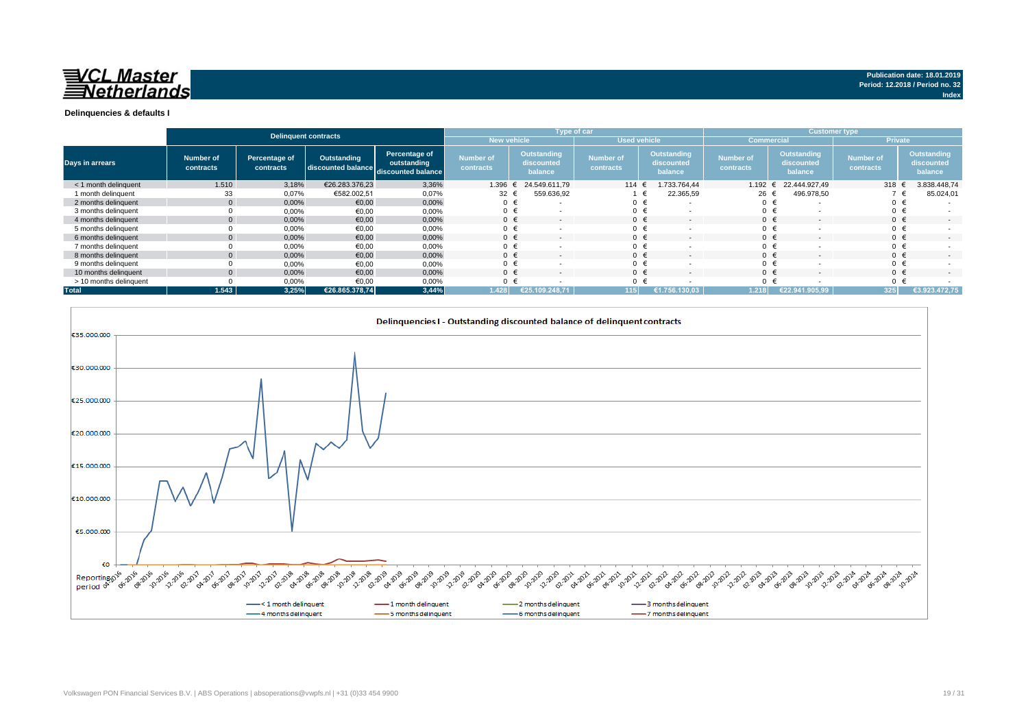

|                        |                        |                            | <b>Delinquent contracts</b>       |                                                    |                               |                                      | <b>Type of car</b>            |                                        | <b>Customer type</b>          |                                      |                               |                                      |  |
|------------------------|------------------------|----------------------------|-----------------------------------|----------------------------------------------------|-------------------------------|--------------------------------------|-------------------------------|----------------------------------------|-------------------------------|--------------------------------------|-------------------------------|--------------------------------------|--|
|                        |                        |                            |                                   |                                                    | <b>New vehicle</b>            |                                      | <b>Used vehicle</b>           |                                        | <b>Commercial</b>             |                                      | <b>Private</b>                |                                      |  |
| Days in arrears        | Number of<br>contracts | Percentage of<br>contracts | Outstanding<br>discounted balance | Percentage of<br>outstanding<br>discounted balance | <b>Number of</b><br>contracts | Outstanding<br>discounted<br>balance | <b>Number of</b><br>contracts | Outstanding<br>discounted<br>balance   | <b>Number of</b><br>contracts | Outstanding<br>discounted<br>balance | <b>Number of</b><br>contracts | Outstanding<br>discounted<br>balance |  |
| < 1 month delinguent   | 1.510                  | 3,18%                      | €26.283.376.23                    | 3,36%                                              | 1.396                         | 24.549.611.79                        | 114 $\in$                     | 1.733.764.44                           | $1.192$ €                     | 22.444.927.49                        | 318 $\epsilon$                | 3.838.448,74                         |  |
| 1 month delinquent     | 33                     | 0,07%                      | €582.002.51                       | 0,07%                                              | 32                            | 559.636,92                           |                               | 22.365,59                              | 26 €                          | 496.978,50                           |                               | 85.024,01                            |  |
| 2 months delinquent    |                        | 0,00%                      | €0,00                             | 0,00%                                              | 0 €                           |                                      | $0 \in$                       | $\overline{\phantom{a}}$               | $0 \in$                       |                                      | 0 €                           |                                      |  |
| 3 months delinquent    |                        | 0,00%                      | €0,00                             | 0,00%                                              | 0 €                           |                                      |                               | €                                      | 0 <sup>1</sup>                |                                      | $0 \in$                       |                                      |  |
| 4 months delinquent    |                        | 0.00%                      | €0.00                             | 0,00%                                              | $0 \in$                       | $\overline{\phantom{a}}$             | $0 \in$                       | $\overline{\phantom{a}}$               | $0 \in$                       |                                      | $0 \in$                       |                                      |  |
| 5 months delinquent    |                        | 0,00%                      | €0,00                             | 0,00%                                              | $0 \in$                       |                                      |                               | $\overline{\phantom{0}}$               | 0                             |                                      | $0 \in$                       |                                      |  |
| 6 months delinquent    |                        | 0,00%                      | €0.00                             | 0,00%                                              | $0 \in$                       |                                      | $\Omega$                      | $\epsilon$<br>$\overline{\phantom{0}}$ | $0 \in$                       |                                      | $0 \in$                       |                                      |  |
| 7 months delinquent    |                        | 0,00%                      | €0,00                             | 0,00%                                              | $0 \in$                       |                                      |                               | €                                      | $0 \in$                       |                                      | $0 \in$                       |                                      |  |
| 8 months delinquent    |                        | 0,00%                      | €0,00                             | 0,00%                                              | $0 \in$                       |                                      | $0 \in$                       | $\overline{\phantom{0}}$               | $0 \in$                       |                                      | $0 \in$                       |                                      |  |
| 9 months delinquent    |                        | 0,00%                      | €0,00                             | 0,00%                                              | $0 \in$                       |                                      |                               | $\overline{\phantom{0}}$               | $\Omega$                      |                                      | $0 \in$                       |                                      |  |
| 10 months delinquent   |                        | 0,00%                      | €0.00                             | 0,00%                                              | $0 \in$                       | $\overline{\phantom{a}}$             | $0 \in$                       | $\overline{\phantom{a}}$               | $0 \in$                       |                                      | $0 \in$                       | $\sim$                               |  |
| > 10 months delinquent |                        | 0,00%                      | €0.00                             | 0,00%                                              |                               |                                      |                               |                                        | $\Omega$                      |                                      | $0 \in$                       |                                      |  |
| <b>Total</b>           | 1.543                  | 3,25%                      | €26.865.378,74                    | 3,44%                                              | 1.428                         | .248.71                              | 115                           | 130.03                                 | 1.218                         | €22.941.905.99                       | 325                           | €3.923.472,75                        |  |

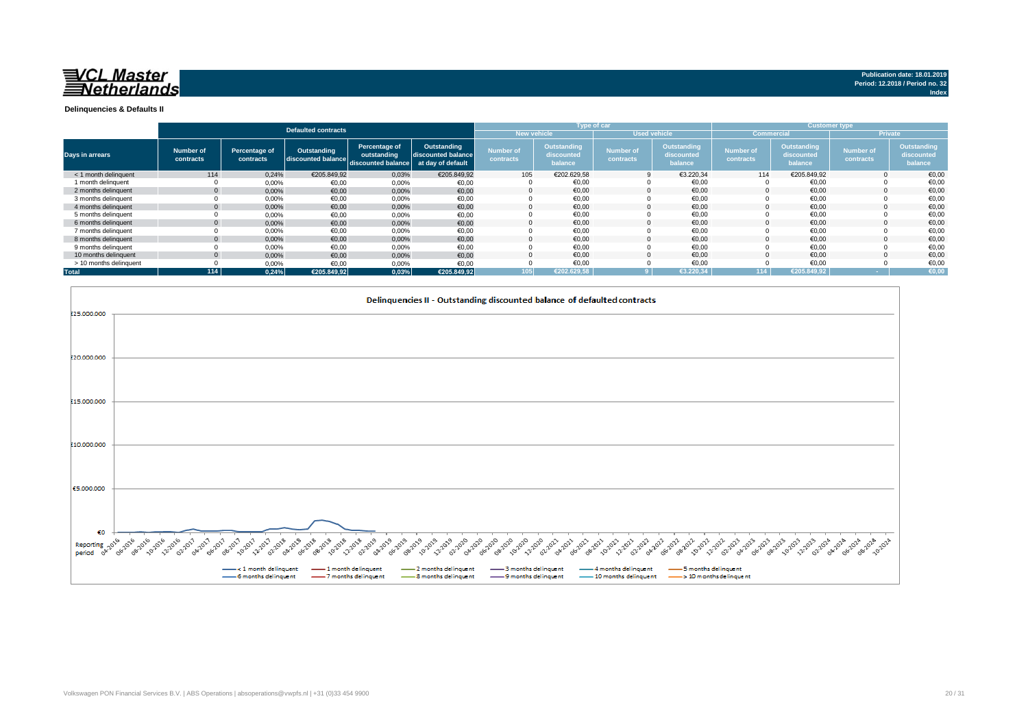

**Index**

**Delinquencies & Defaults II**

|                        |                        |                            |                                   |                                                                      |                                   |                               |                                      | Type of car                   |                                      | <b>Customer type</b>          |                                      |                               |                                      |
|------------------------|------------------------|----------------------------|-----------------------------------|----------------------------------------------------------------------|-----------------------------------|-------------------------------|--------------------------------------|-------------------------------|--------------------------------------|-------------------------------|--------------------------------------|-------------------------------|--------------------------------------|
|                        |                        |                            | Defaulted contracts               |                                                                      |                                   | <b>New vehicle</b>            |                                      | <b>Used vehicle</b>           |                                      | <b>Commercial</b>             |                                      |                               | <b>Private</b>                       |
| <b>Days in arrears</b> | Number of<br>contracts | Percentage of<br>contracts | Outstanding<br>discounted balance | Percentage of<br>outstanding<br>discounted balance at day of default | Outstanding<br>discounted balance | <b>Number of</b><br>contracts | Outstanding<br>discounted<br>balance | <b>Number of</b><br>contracts | Outstanding<br>discounted<br>balance | <b>Number of</b><br>contracts | Outstanding<br>discounted<br>balance | <b>Number of</b><br>contracts | Outstanding<br>discounted<br>balance |
| < 1 month delinquent   | 114                    | 0.24%                      | €205.849.92                       | 0,03%                                                                | €205.849,92                       | 105                           | €202.629.58                          |                               | €3.220,34                            | 114                           | €205.849,92                          |                               | €0,00                                |
| 1 month delinquent     |                        | 0,00%                      | €0,00                             | 0,00%                                                                | €0,00                             |                               | €0,00                                |                               | €0,00                                |                               | €0,00                                |                               | €0,00                                |
| 2 months delinguent    | $\mathbf{0}$           | 0,00%                      | €0.00                             | 0,00%                                                                | €0,00                             |                               | €0.00                                | $\Omega$                      | €0.00                                |                               | €0.00                                |                               | €0,00                                |
| 3 months delinquent    |                        | $0,00\%$                   | €0,00                             | 0,00%                                                                | €0,00                             |                               | €0,00                                |                               | €0,00                                |                               | €0,00                                |                               | €0,00                                |
| 4 months delinquent    | $\mathbf{0}$           | 0,00%                      | €0,00                             | 0,00%                                                                | €0,00                             |                               | €0.00                                |                               | €0.00                                |                               | €0.00                                |                               | €0,00                                |
| 5 months delinguent    |                        | 0,00%                      | €0,00                             | 0,00%                                                                | €0,00                             |                               | €0.00                                |                               | €0.00                                |                               | €0.00                                |                               | €0,00                                |
| 6 months delinquent    | $\Omega$               | 0,00%                      | €0,00                             | 0,00%                                                                | €0,00                             |                               | €0,00                                |                               | €0,00                                |                               | €0,00                                |                               | €0,00                                |
| 7 months delinquent    |                        | $0,00\%$                   | €0,00                             | 0,00%                                                                | €0,00                             |                               | €0,00                                |                               | €0,00                                |                               | €0,00                                |                               | €0,00                                |
| 8 months delinquent    | $\mathbf{0}$           | 0,00%                      | €0,00                             | 0,00%                                                                | €0,00                             |                               | €0.00                                |                               | €0.00                                |                               | €0.00                                |                               | €0.00                                |
| 9 months delinquent    |                        | 0,00%                      | €0,00                             | 0,00%                                                                | €0,00                             |                               | €0,00                                |                               | €0,00                                |                               | €0,00                                |                               | €0,00                                |
| 10 months delinguent   | $\Omega$               | 0,00%                      | €0,00                             | 0,00%                                                                | €0,00                             |                               | €0.00                                |                               | €0.00                                |                               | €0.00                                |                               | €0,00                                |
| > 10 months delinquent |                        | 0,00%                      | €0,00                             | 0,00%                                                                | €0,00                             |                               | €0.00                                |                               | €0,00                                |                               | €0,00                                |                               | €0,00                                |
| <b>Total</b>           | 114                    | 0.24%                      | €205.849,92                       | 0,03%                                                                | €205.849,92                       | 105                           | €202.629.58                          |                               | €3.220.34                            | 114                           | €205.849.92                          |                               | €0,00                                |

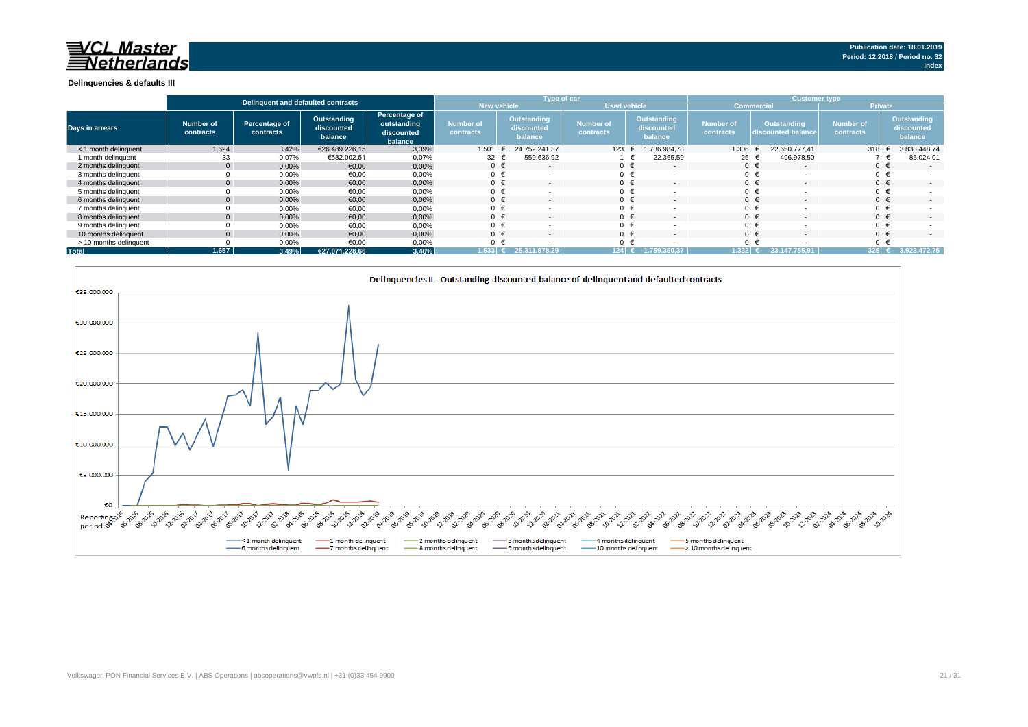#### **Delinquencies & defaults III**

|                        |                        | Delinguent and defaulted contracts |                                      |                                                       |                                      |                                      | Type of car                   |                                             | <b>Customer type</b>          |                                          |                               |                                      |  |
|------------------------|------------------------|------------------------------------|--------------------------------------|-------------------------------------------------------|--------------------------------------|--------------------------------------|-------------------------------|---------------------------------------------|-------------------------------|------------------------------------------|-------------------------------|--------------------------------------|--|
|                        |                        |                                    |                                      |                                                       | <b>New vehicle</b>                   |                                      | <b>Used vehicle</b>           |                                             | <b>Commercial</b>             |                                          | <b>Private</b>                |                                      |  |
| <b>Days in arrears</b> | Number of<br>contracts | Percentage of<br>contracts         | Outstanding<br>discounted<br>balance | Percentage of<br>outstanding<br>discounted<br>balance | <b>Number of</b><br><b>contracts</b> | Outstanding<br>discounted<br>balance | <b>Number of</b><br>contracts | <b>Outstanding</b><br>discounted<br>balance | <b>Number of</b><br>contracts | <b>Outstanding</b><br>discounted balance | <b>Number of</b><br>contracts | Outstanding<br>discounted<br>balance |  |
| < 1 month delinquent   | 1.624                  | 3,42%                              | €26.489.226,15                       | 3,39%                                                 | 1.501                                | 24.752.241.37<br>ŧ                   | 123                           | .736.984,78                                 | 1.306                         | 22.650.777.41                            | 318                           | 3.838.448,74                         |  |
| 1 month delinquent     | 33                     | 0,07%                              | €582.002,51                          | 0,07%                                                 | 32 $\epsilon$                        | 559.636,92                           |                               | 22.365,59                                   | 26 €                          | 496.978,50                               |                               | 85.024,01                            |  |
| 2 months delinquent    |                        | 0,00%                              | €0,00                                | 0,00%                                                 | $0 \in$                              | $\sim$                               | $0 \in$                       | $\overline{\phantom{a}}$                    |                               | $0 \in$                                  | $0 \in$                       | $\sim$                               |  |
| 3 months delinquent    |                        | 0,00%                              | €0,00                                | 0,00%                                                 | $0 \in$                              |                                      | $0 \in$                       |                                             |                               | $0 \in$                                  |                               |                                      |  |
| 4 months delinguent    |                        | 0,00%                              | €0,00                                | 0,00%                                                 | $0 \in$                              | $\sim$                               | $0 \in$                       |                                             | $0 \in$                       | $\overline{\phantom{a}}$                 | $0 \in$                       | $\sim$                               |  |
| 5 months delinguent    |                        | 0,00%                              | €0,00                                | 0,00%                                                 | 0 <sup>1</sup>                       |                                      | $0 \in$                       |                                             | $0 \in$                       |                                          |                               |                                      |  |
| 6 months delinguent    |                        | 0,00%                              | €0,00                                | 0,00%                                                 | $0 \in$                              |                                      | $0 \in$                       |                                             | $0 \in$                       |                                          | $0 \in$                       | $\sim$                               |  |
| 7 months delinguent    |                        | 0,00%                              | €0,00                                | 0,00%                                                 | 0 <sup>1</sup>                       |                                      | $0 \in$                       |                                             |                               | $0 \in$                                  |                               |                                      |  |
| 8 months delinguent    |                        | 0,00%                              | €0,00                                | 0,00%                                                 | $0 \in$                              |                                      | $0 \in$                       |                                             | $0 \in$                       |                                          | $0 \in$                       | $\sim$                               |  |
| 9 months delinquent    |                        | 0,00%                              | €0,00                                | 0,00%                                                 | $\mathbf{0}$                         |                                      | $0 \in$                       |                                             |                               | $0 \in$                                  |                               |                                      |  |
| 10 months delinquent   |                        | 0,00%                              | €0,00                                | 0,00%                                                 | $0 \in$                              |                                      | $0 \in$                       |                                             | $0 \in$                       |                                          | $0 \in$                       | $\sim$                               |  |
| > 10 months delinquent |                        | 0,00%                              | €0,00                                | 0,00%                                                 | $\Omega$                             |                                      |                               |                                             |                               | $0 \in$                                  |                               |                                      |  |
| <b>Total</b>           | 1.657.                 | 3,49%                              | €27.071.228.66                       | 3,46%                                                 | 1.533                                | 25.311.878.29                        | 124                           |                                             | 1.332                         |                                          | 325                           | 3.923.472.75                         |  |

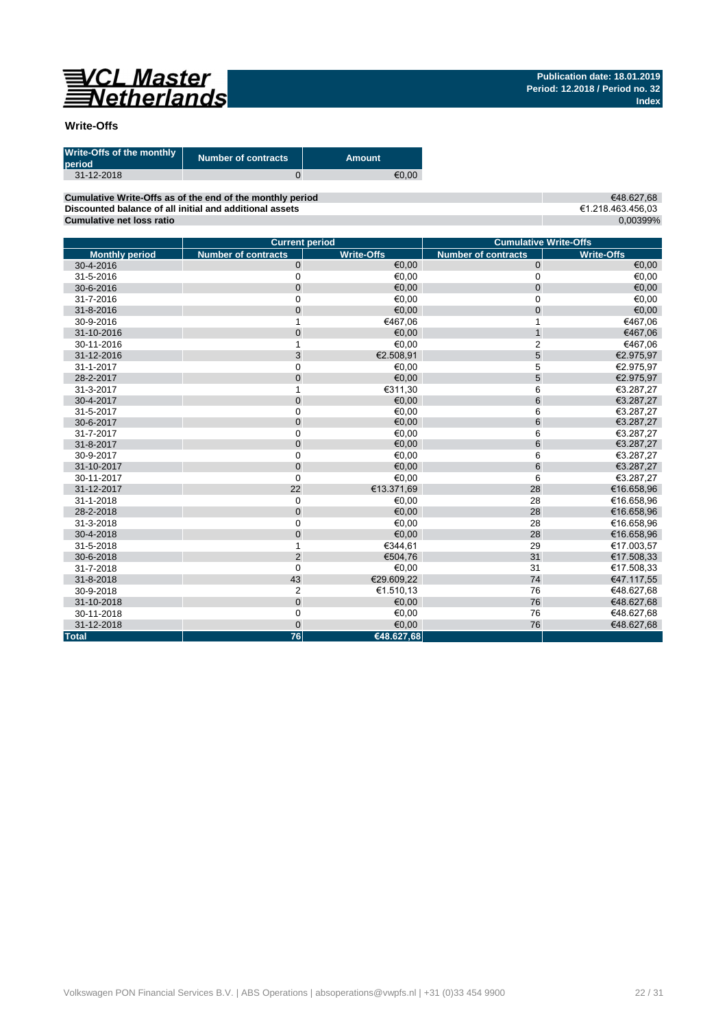

### **Write-Offs**

| Write-Offs of the monthly<br>period | <b>Number of contracts</b> | Amount |
|-------------------------------------|----------------------------|--------|
| 31-12-2018                          |                            | €0.00  |

**Cumulative Write-Offs as of the end of the monthly period Discounted balance of all initial and additional assets Cumulative net loss ratio**

€48.627,68 €1.218.463.456,03 0,00399%

|                       | <b>Current period</b>      |                   | <b>Cumulative Write-Offs</b> |                   |
|-----------------------|----------------------------|-------------------|------------------------------|-------------------|
| <b>Monthly period</b> | <b>Number of contracts</b> | <b>Write-Offs</b> | <b>Number of contracts</b>   | <b>Write-Offs</b> |
| 30-4-2016             | $\mathbf 0$                | €0,00             | $\mathbf 0$                  | €0,00             |
| 31-5-2016             | $\mathbf 0$                | €0,00             | 0                            | €0,00             |
| 30-6-2016             | $\mathbf 0$                | €0,00             | 0                            | €0,00             |
| 31-7-2016             | 0                          | €0.00             | 0                            | €0,00             |
| 31-8-2016             | $\mathbf 0$                | €0,00             | 0                            | €0,00             |
| 30-9-2016             | 1                          | €467,06           | $\mathbf{1}$                 | €467,06           |
| 31-10-2016            | $\mathbf{0}$               | €0,00             | $\mathbf{1}$                 | €467,06           |
| 30-11-2016            | 1                          | €0,00             | $\overline{2}$               | €467,06           |
| 31-12-2016            | 3                          | €2.508,91         | 5                            | €2.975,97         |
| 31-1-2017             | $\mathbf 0$                | €0.00             | 5                            | €2.975,97         |
| 28-2-2017             | $\mathbf{0}$               | €0,00             | 5                            | €2.975,97         |
| 31-3-2017             | 1                          | €311,30           | 6                            | €3.287,27         |
| 30-4-2017             | $\mathbf 0$                | €0,00             | 6                            | €3.287,27         |
| 31-5-2017             | $\mathbf 0$                | €0,00             | 6                            | €3.287,27         |
| 30-6-2017             | $\mathbf 0$                | €0,00             | 6                            | €3.287,27         |
| 31-7-2017             | $\mathbf 0$                | €0,00             | 6                            | €3.287,27         |
| 31-8-2017             | $\overline{0}$             | €0,00             | 6                            | €3.287,27         |
| 30-9-2017             | $\mathbf 0$                | €0,00             | 6                            | €3.287,27         |
| 31-10-2017            | $\mathbf 0$                | €0,00             | 6                            | €3.287,27         |
| 30-11-2017            | $\mathbf 0$                | €0,00             | 6                            | €3.287,27         |
| 31-12-2017            | 22                         | €13.371,69        | 28                           | €16.658,96        |
| 31-1-2018             | $\mathbf 0$                | €0,00             | 28                           | €16.658,96        |
| 28-2-2018             | $\overline{0}$             | €0.00             | 28                           | €16.658,96        |
| 31-3-2018             | $\mathbf 0$                | €0,00             | 28                           | €16.658,96        |
| 30-4-2018             | $\mathbf 0$                | €0,00             | 28                           | €16.658,96        |
| 31-5-2018             | 1                          | €344.61           | 29                           | €17.003,57        |
| 30-6-2018             | $\overline{2}$             | €504,76           | 31                           | €17.508,33        |
| 31-7-2018             | $\Omega$                   | €0,00             | 31                           | €17.508,33        |
| 31-8-2018             | 43                         | €29.609.22        | 74                           | €47.117,55        |
| 30-9-2018             | $\overline{2}$             | €1.510,13         | 76                           | €48.627,68        |
| 31-10-2018            | $\mathbf 0$                | €0,00             | 76                           | €48.627,68        |
| 30-11-2018            | $\mathbf 0$                | €0,00             | 76                           | €48.627.68        |
| 31-12-2018            | $\mathbf{0}$               | €0,00             | 76                           | €48.627,68        |
| <b>Total</b>          | 76                         | €48.627,68        |                              |                   |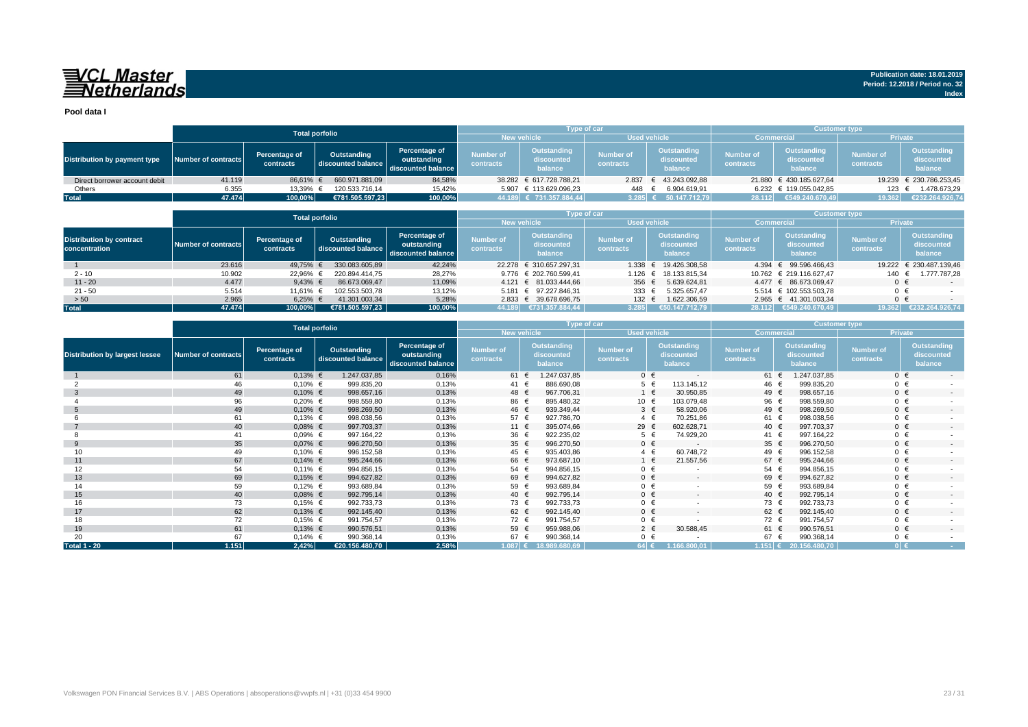## VCL Master<br>ENetherlands

**Pool data I**

|                               |                                                                                                                                              |          | <b>Total porfolio</b>         |                                      |                                    | <b>Type of car</b>                   |                               |                                             | <b>Customer type</b>          |                                             |        |                         |
|-------------------------------|----------------------------------------------------------------------------------------------------------------------------------------------|----------|-------------------------------|--------------------------------------|------------------------------------|--------------------------------------|-------------------------------|---------------------------------------------|-------------------------------|---------------------------------------------|--------|-------------------------|
|                               |                                                                                                                                              |          |                               |                                      | <b>Used vehicle</b><br>New vehicle |                                      | <b>Commercial</b>             |                                             | <b>Private</b>                |                                             |        |                         |
| Distribution by payment type  | Percentage of<br>Outstanding<br>Percentage of<br>Number of contracts<br>outstanding<br>discounted balance<br>contracts<br>discounted balance |          | <b>Number of</b><br>contracts | Outstanding<br>discounted<br>balance | Number of<br>contracts             | Outstanding<br>discounted<br>balance | <b>Number of</b><br>contracts | <b>Outstanding</b><br>discounted<br>balance | <b>Number of</b><br>contracts | <b>Outstanding</b><br>discounted<br>balance |        |                         |
| Direct borrower account debit | 41.119                                                                                                                                       | 86.61% € | 660.971.881.09                | 84,58%                               |                                    | 38.282 € 617.728.788.21              |                               | 2.837 € 43.243.092,88                       |                               | 21.880 € 430.185.627,64                     |        | 19.239 € 230.786.253,45 |
| Others                        | 6.355                                                                                                                                        | 13,39% € | 120.533.716.14                | 15,42%                               |                                    | 5.907 € 113.629.096,23               | 448                           | 6.904.619,91                                |                               | 6.232 € 119.055.042,85                      | 123    | 1.478.673,29            |
| <b>Total</b>                  | 47.474                                                                                                                                       | 100,00%  | €781.505.597.23               | 100,00%                              |                                    | 44.189 € 731.357.884.44              |                               | $3.285$ € 50.147.712,79                     | 28.112                        | €549.240.670.49                             | 19.362 | €232.264.926,74         |

|                                                  |                     |                            | <b>Total porfolio</b>             |                                                    |                                           | Type of car                          |                                      |                                      | <b>Customer type</b>          |                                             |                               |                                      |
|--------------------------------------------------|---------------------|----------------------------|-----------------------------------|----------------------------------------------------|-------------------------------------------|--------------------------------------|--------------------------------------|--------------------------------------|-------------------------------|---------------------------------------------|-------------------------------|--------------------------------------|
|                                                  |                     |                            |                                   |                                                    | <b>New vehicle</b><br><b>Used vehicle</b> |                                      |                                      |                                      |                               | <b>Commercial</b>                           | <b>Private</b>                |                                      |
| <b>Distribution by contract</b><br>concentration | Number of contracts | Percentage of<br>contracts | Outstanding<br>discounted balance | Percentage of<br>outstanding<br>discounted balance | <b>Number of</b><br>contracts             | Outstanding<br>discounted<br>balance | <b>Number of</b><br><b>contracts</b> | Outstanding<br>discounted<br>balance | <b>Number of</b><br>contracts | <b>Outstanding</b><br>discounted<br>balance | <b>Number of</b><br>contracts | Outstanding<br>discounted<br>balance |
|                                                  | 23.616              | 49,75%                     | 330.083.605.89                    | 42,24%                                             |                                           | 22.278 € 310.657.297,31              | 1.338                                | € 19.426.308.58                      |                               | 4.394 € 99.596.466.43                       |                               | 19.222 € 230.487.139,46              |
| $2 - 10$                                         | 10.902              | 22,96%                     | 220.894.414.75                    | 28.27%                                             |                                           | 9.776 € 202.760.599.41               |                                      | 1.126 € 18.133.815.34                |                               | 10.762 € 219.116.627.47                     | 140                           | 1.777.787.28                         |
| $11 - 20$                                        | 4.477               | 9,43% $\in$                | 86.673.069.47                     | 11,09%                                             |                                           | 4.121 € 81.033.444.66                | 356 €                                | 5.639.624.81                         |                               | 4.477 € 86.673.069.47                       | $0 \in$                       | $-$                                  |
| $21 - 50$                                        | 5.514               | 11.61%                     | 102.553.503.78                    | 13,12%                                             |                                           | 5.181 € 97.227.846.31                | 333 $\epsilon$                       | 5.325.657.47                         |                               | 5.514 € 102.553.503.78                      | $0 \in$                       |                                      |
| > 50                                             | 2.965               | 6,25%                      | 41.301.003,34                     | 5,28%                                              |                                           | 2.833 € 39.678.696,75                | $132 \epsilon$                       | 1.622.306,59                         |                               | 2.965 € 41.301.003.34                       | $0 \in$                       |                                      |
| <b>Total</b>                                     | 47.474              | 100.00%                    | €781.505.597.23                   | 100,00%                                            | 44.189                                    | €731.357.884.44                      | 3.285                                | €50.147.712.79                       |                               | 28.112 €549.240.670.49                      | 19.362                        | €232.264.926.74                      |

|                                       |                            |                            | <b>Total porfolio</b>             |                                                    |                               |                                      | Type of car                   |                                      | <b>Customer type</b>          |                                             |                               |                                             |
|---------------------------------------|----------------------------|----------------------------|-----------------------------------|----------------------------------------------------|-------------------------------|--------------------------------------|-------------------------------|--------------------------------------|-------------------------------|---------------------------------------------|-------------------------------|---------------------------------------------|
|                                       |                            |                            |                                   |                                                    |                               | <b>New vehicle</b>                   | <b>Used vehicle</b>           |                                      | <b>Commercial</b>             |                                             | Private                       |                                             |
| <b>Distribution by largest lessee</b> | <b>Number of contracts</b> | Percentage of<br>contracts | Outstanding<br>discounted balance | Percentage of<br>outstanding<br>discounted balance | <b>Number of</b><br>contracts | Outstanding<br>discounted<br>balance | <b>Number of</b><br>contracts | Outstanding<br>discounted<br>balance | <b>Number of</b><br>contracts | <b>Outstanding</b><br>discounted<br>balance | <b>Number of</b><br>contracts | <b>Outstanding</b><br>discounted<br>balance |
|                                       | 61                         | $0,13%$ €                  | 1.247.037,85                      | 0,16%                                              | 61 €                          | 1.247.037,85                         | $0 \in$                       | $\overline{\phantom{a}}$             | 61 €                          | 1.247.037,85                                | $0 \in$                       | $\sim$                                      |
|                                       | 46                         | $0,10%$ €                  | 999.835,20                        | 0,13%                                              | 41 €                          | 886.690,08                           |                               | $5 \in$<br>113.145,12                | 46 €                          | 999.835,20                                  | $0 \in$                       |                                             |
| -3                                    | 49                         | $0,10%$ €                  | 998.657,16                        | 0,13%                                              | 48 €                          | 967.706,31                           |                               | $1 \in$<br>30.950,85                 | 49 €                          | 998.657,16                                  | $0 \in$                       | $\sim$                                      |
|                                       | 96                         | $0,20%$ €                  | 998.559,80                        | 0,13%                                              | 86 €                          | 895.480,32                           | 10 €                          | 103.079,48                           | 96 €                          | 998.559,80                                  | $0 \in$                       |                                             |
|                                       | 49                         | $0,10%$ €                  | 998.269,50                        | 0,13%                                              | 46 €                          | 939.349,44                           |                               | $3 \in$<br>58.920,06                 | 49 €                          | 998.269,50                                  | $0 \in$                       | $\sim$                                      |
|                                       | 61                         | $0,13%$ €                  | 998.038,56                        | 0,13%                                              | 57 €                          | 927.786,70                           | $4 \in$                       | 70.251,86                            | 61 €                          | 998.038,56                                  | $0 \in$                       |                                             |
|                                       | 40                         | $0,08%$ €                  | 997.703,37                        | 0,13%                                              | 11 €                          | 395.074,66                           | 29 €                          | 602.628,71                           | 40 €                          | 997.703.37                                  | $0 \in$                       | $\overline{\phantom{a}}$                    |
|                                       | 41                         | $0.09%$ €                  | 997.164,22                        | 0,13%                                              | 36 €                          | 922.235,02                           | $5 \in$                       | 74.929,20                            | 41 €                          | 997.164,22                                  | $0 \in$                       |                                             |
| 9                                     | 35                         | $0,07%$ €                  | 996.270,50                        | 0,13%                                              | 35 $\epsilon$                 | 996.270,50                           | $0 \in$                       | $\overline{\phantom{a}}$             | 35 $\epsilon$                 | 996.270,50                                  | $0 \in$                       | $\sim$                                      |
| 10                                    | 49                         | $0,10%$ €                  | 996.152,58                        | 0,13%                                              | 45 €                          | 935.403,86                           |                               | 60.748,72<br>$4 \in$                 | 49 €                          | 996.152,58                                  | $0 \in$                       |                                             |
| 11                                    | 67                         | $0,14%$ €                  | 995.244,66                        | 0,13%                                              | 66 €                          | 973.687,10                           |                               | 21.557,56<br>1 €                     | 67 €                          | 995.244.66                                  | $0 \in$                       | $\overline{\phantom{a}}$                    |
| 12                                    | 54                         | $0,11\%$ €                 | 994.856,15                        | 0,13%                                              | 54 €                          | 994.856,15                           | $0 \in$                       |                                      | $54 \in$                      | 994.856,15                                  | $0 \in$                       |                                             |
| 13                                    | 69                         | $0,15%$ €                  | 994.627,82                        | 0,13%                                              | 69 €                          | 994.627,82                           |                               | $0 \in$<br>$\sim$                    | 69 €                          | 994.627,82                                  | $0 \in$                       | $\sim$                                      |
| 14                                    | 59                         | $0,12%$ €                  | 993.689,84                        | 0,13%                                              | 59 €                          | 993.689,84                           |                               | $0 \in$                              | 59                            | 993.689,84                                  | $0 \in$                       |                                             |
| 15                                    | 40                         | $0,08%$ €                  | 992.795,14                        | 0,13%                                              | 40 €                          | 992.795,14                           | $0 \in$                       | $\overline{\phantom{a}}$             | 40 €                          | 992.795,14                                  | $0 \in$                       | $\overline{\phantom{a}}$                    |
| 16                                    | 73                         | $0,15%$ €                  | 992.733,73                        | 0,13%                                              | 73 €                          | 992.733,73                           | $0 \in$                       | $\overline{\phantom{a}}$             | 73 €                          | 992.733,73                                  | $0 \in$                       |                                             |
| 17                                    | 62                         | $0,13%$ €                  | 992.145,40                        | 0,13%                                              | 62 $\epsilon$                 | 992.145,40                           |                               | $0 \in$<br>$\sim$                    | 62 €                          | 992.145,40                                  | $0 \in$                       | $\sim$                                      |
| 18                                    | 72                         | $0,15%$ €                  | 991.754,57                        | 0,13%                                              | 72 €                          | 991.754,57                           |                               | $0 \in$                              | 72 €                          | 991.754.57                                  | $0 \in$                       |                                             |
| 19                                    | 61                         | $0,13%$ €                  | 990.576,51                        | 0,13%                                              | 59 €                          | 959.988,06                           |                               | $2 \in$<br>30.588,45                 | 61 €                          | 990.576,51                                  | $0 \in$                       | $\overline{\phantom{a}}$                    |
| 20                                    | 67                         | $0,14%$ €                  | 990.368,14                        | 0,13%                                              | 67 €                          | 990.368,14                           | $0 \in$                       |                                      | 67 €                          | 990.368,14                                  | $0 \in$                       |                                             |
| <b>Total 1 - 20</b>                   | 1.151                      | 2,42%                      | €20.156.480,70                    | 2,58%                                              |                               | $1.087$ € 18.989.680,69              | $64 \in$                      | 1.166.800.01                         |                               | $1.151$ € 20.156.480,70                     | $0 \in$                       | <b>Contract</b>                             |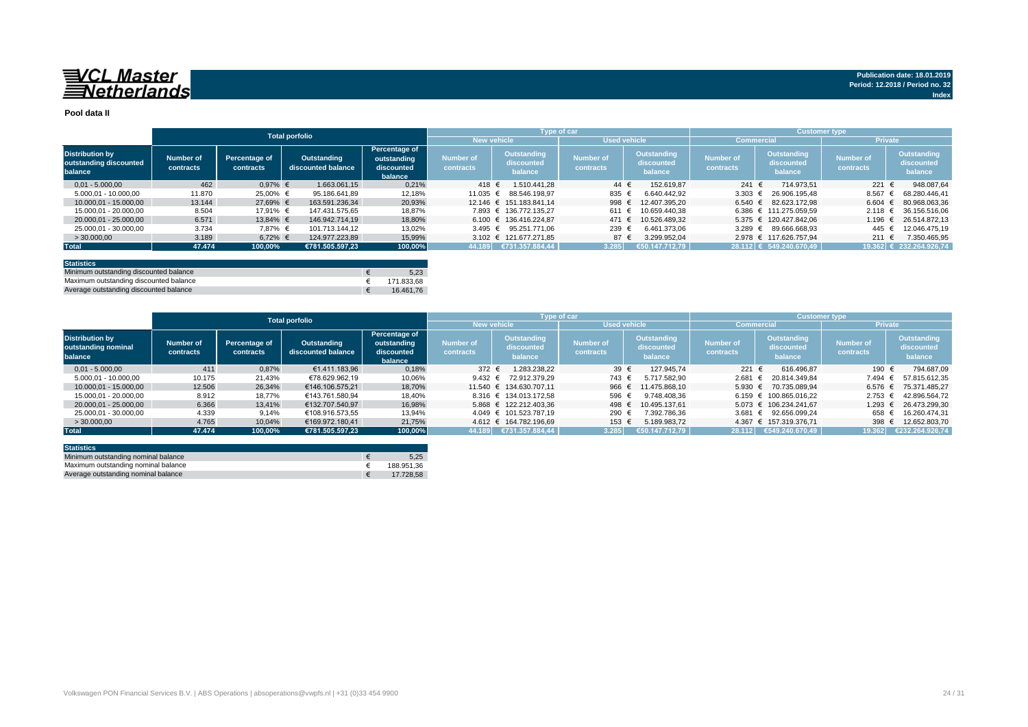#### **Pool data II**

|                                                             |                        |                            | <b>Total porfolio</b>             |                                                       |                               |                                             | Type of car                   |                                      | <b>Customer type</b>          |                                             |                               |                                             |
|-------------------------------------------------------------|------------------------|----------------------------|-----------------------------------|-------------------------------------------------------|-------------------------------|---------------------------------------------|-------------------------------|--------------------------------------|-------------------------------|---------------------------------------------|-------------------------------|---------------------------------------------|
|                                                             |                        |                            |                                   |                                                       | <b>New vehicle</b>            |                                             | <b>Used vehicle</b>           |                                      | <b>Commercial</b>             |                                             | <b>Private</b>                |                                             |
| <b>Distribution by</b><br>outstanding discounted<br>balance | Number of<br>contracts | Percentage of<br>contracts | Outstanding<br>discounted balance | Percentage of<br>outstanding<br>discounted<br>balance | <b>Number of</b><br>contracts | <b>Outstanding</b><br>discounted<br>balance | <b>Number of</b><br>contracts | Outstanding<br>discounted<br>balance | <b>Number of</b><br>contracts | <b>Outstanding</b><br>discounted<br>balance | <b>Number of</b><br>contracts | <b>Outstanding</b><br>discounted<br>balance |
| $0.01 - 5.000.00$                                           | 462                    | $0,97%$ €                  | 1.663.061.15                      | 0,21%                                                 | 418 €                         | 1.510.441.28                                | 44 €                          | 152.619.87                           | 241 $\in$                     | 714.973.51                                  | 221                           | 948.087,64                                  |
| 5.000.01 - 10.000.00                                        | 11.870                 | 25.00% €                   | 95.186.641.89                     | 12,18%                                                | 11.035 €                      | 88.546.198.97                               | 835 €                         | 6.640.442.92                         | 3.303 $\epsilon$              | 26.906.195.48                               | 8.567                         | 68.280.446.41                               |
| 10.000.01 - 15.000.00                                       | 13.144                 | 27,69% €                   | 163.591.236.34                    | 20,93%                                                |                               | 12.146 € 151.183.841.14                     | 998                           | 12.407.395.20                        | 6.540 $€$                     | 82.623.172.98                               | 6.604                         | 80.968.063.36                               |
| 15.000.01 - 20.000.00                                       | 8.504                  | 17.91% €                   | 147.431.575.65                    | 18,87%                                                |                               | 7.893 € 136.772.135.27                      | 611                           | 10.659.440.38                        |                               | 6.386 € 111.275.059.59                      | 2.118                         | 36.156.516.06                               |
| 20.000.01 - 25.000.00                                       | 6.571                  | 13.84% €                   | 146.942.714.19                    | 18,80%                                                |                               | 6.100 € 136.416.224.87                      | 471                           | 10.526.489.32                        |                               | 5.375 € 120.427.842.06                      | 1.196                         | 26.514.872.13                               |
| 25.000.01 - 30.000.00                                       | 3.734                  | 7.87% €                    | 101.713.144.12                    | 13,02%                                                |                               | 3.495 € 95.251.771.06                       | 239 €                         | 6.461.373.06                         |                               | 3.289 € 89.666.668.93                       | 445                           | 12.046.475.19                               |
| >30.000,00                                                  | 3.189                  | $6,72%$ €                  | 124.977.223,89                    | 15,99%                                                |                               | 3.102 € 121.677.271.85                      | 87 €                          | 3.299.952,04                         |                               | 2.978 € 117.626.757.94                      | 211                           | 7.350.465,95                                |
| <b>Total</b>                                                | 47.474                 | 100,00%                    | €781.505.597.23                   | 100,00%                                               |                               | $ 44.189 $ €731.357.884,44                  | 3.285                         | 650.147.712.79                       |                               | 28.112 € 549.240.670,49                     |                               | $19.362$ € 232.264.926,74                   |
|                                                             |                        |                            |                                   |                                                       |                               |                                             |                               |                                      |                               |                                             |                               |                                             |

| <b>Statistics</b>                      |            |
|----------------------------------------|------------|
| Minimum outstanding discounted balance | 5.23       |
| Maximum outstanding discounted balance | 171.833.68 |
| Average outstanding discounted balance | 16.461.76  |

|                                                          |                        |                            | <b>Total porfolio</b>             |                                                              |                        | <b>Type of car</b>                   |                               |                                      | <b>Customer type</b>          |                                      |                               |                                      |
|----------------------------------------------------------|------------------------|----------------------------|-----------------------------------|--------------------------------------------------------------|------------------------|--------------------------------------|-------------------------------|--------------------------------------|-------------------------------|--------------------------------------|-------------------------------|--------------------------------------|
|                                                          |                        |                            |                                   |                                                              |                        | <b>New vehicle</b>                   |                               | <b>Used vehicle</b>                  |                               | <b>Commercial</b>                    | <b>Private</b>                |                                      |
| <b>Distribution by</b><br>outstanding nominal<br>balance | Number of<br>contracts | Percentage of<br>contracts | Outstanding<br>discounted balance | <b>Percentage of</b><br>outstanding<br>discounted<br>balance | Number of<br>contracts | Outstanding<br>discounted<br>balance | <b>Number of</b><br>contracts | Outstanding<br>discounted<br>balance | <b>Number of</b><br>contracts | Outstanding<br>discounted<br>balance | <b>Number of</b><br>contracts | Outstanding<br>discounted<br>balance |
| $0.01 - 5.000.00$                                        | 411                    | 0.87%                      | €1.411.183.96                     | 0,18%                                                        | 372 €                  | 1.283.238.22                         | 39 $\epsilon$                 | 127.945.74                           | 221 €                         | 616.496.87                           | 190 €                         | 794.687.09                           |
| 5.000.01 - 10.000.00                                     | 10.175                 | 21,43%                     | €78.629.962.19                    | 10,06%                                                       | 9.432 $\epsilon$       | 72.912.379.29                        | 743 €                         | 5.717.582.90                         | $2.681 \in$                   | 20.814.349.84                        | 7.494 €                       | 57.815.612.35                        |
| 10.000.01 - 15.000.00                                    | 12.506                 | 26,34%                     | €146.106.575.21                   | 18.70%                                                       |                        | 11.540 € 134.630.707.11              | 966                           | 11.475.868.10<br>€                   |                               | 5.930 € 70.735.089.94                |                               | 6.576 € 75.371.485.27                |
| 15.000.01 - 20.000.00                                    | 8.912                  | 18.77%                     | €143.761.580.94                   | 18.40%                                                       |                        | 8.316 € 134.013.172.58               | 596 €                         | 9.748.408.36                         |                               | $6.159 \text{ } \in 100.865.016.22$  | $2.753$ €                     | 42.896.564.72                        |
| 20.000.01 - 25.000.00                                    | 6.366                  | 13.41%                     | €132.707.540.97                   | 16,98%                                                       |                        | 5.868 € 122.212.403.36               | 498 €                         | 10.495.137.61                        |                               | 5.073 € 106.234.241.67               | $1.293$ €                     | 26.473.299.30                        |
| 25.000.01 - 30.000.00                                    | 4.339                  | 9,14%                      | €108.916.573.55                   | 13,94%                                                       |                        | 4.049 € 101.523.787.19               | 290                           | 7.392.786.36                         | $3.681 \in$                   | 92.656.099.24                        | 658 €                         | 16.260.474.31                        |
| >30.000,00                                               | 4.765                  | 10,04%                     | €169.972.180.41                   | 21,75%                                                       |                        | 4.612 € 164.782.196.69               | 153 €                         | 5.189.983.72                         |                               | 4.367 € 157.319.376,71               | 398 $\epsilon$                | 12.652.803,70                        |
| <b>Total</b>                                             | 47.474                 | 100.00%                    | €781.505.597.23                   | 100.00%                                                      | 44.189                 | €731.357.884,44                      | 3.285                         | €50.147.712.79                       | 28.112                        | €549.240.670,49                      | 19.362                        | €232.264.926.74                      |

| <b>Statistics</b>                   |            |
|-------------------------------------|------------|
| Minimum outstanding nominal balance | 5.25       |
| Maximum outstanding nominal balance | 188.951.36 |
| Average outstanding nominal balance | 17.728.58  |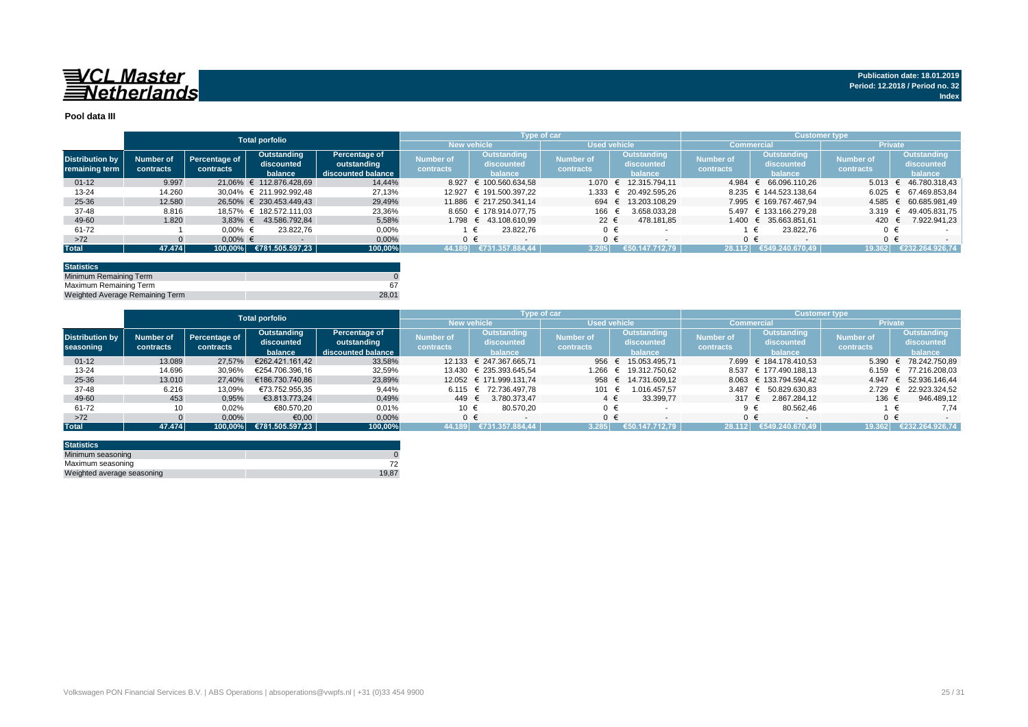

#### **Pool data III**

|                                          |                        |                            | <b>Total porfolio</b>                |                                                    |                               |                                      | Type of car                   |                                             | <b>Customer type</b>          |                                      |                               |                                      |  |
|------------------------------------------|------------------------|----------------------------|--------------------------------------|----------------------------------------------------|-------------------------------|--------------------------------------|-------------------------------|---------------------------------------------|-------------------------------|--------------------------------------|-------------------------------|--------------------------------------|--|
|                                          |                        |                            |                                      |                                                    |                               | <b>New vehicle</b>                   |                               | Used vehicle                                |                               | <b>Commercial</b>                    | <b>Private</b>                |                                      |  |
| <b>Distribution by</b><br>remaining term | Number of<br>contracts | Percentage of<br>contracts | Outstanding<br>discounted<br>balance | Percentage of<br>outstanding<br>discounted balance | <b>Number of</b><br>contracts | Outstanding<br>discounted<br>balance | <b>Number of</b><br>contracts | <b>Outstanding</b><br>discounted<br>balance | <b>Number of</b><br>contracts | Outstanding<br>discounted<br>balance | <b>Number of</b><br>contracts | Outstanding<br>discounted<br>balance |  |
| $01 - 12$                                | 9.997                  |                            | 21.06% € 112.876.428.69              | 14,44%                                             | 8.927                         | € 100.560.634.58                     | 1.070                         | 12.315.794.11                               | 4.984                         | 66.096.110.26                        | $5.013 \in$                   | 46.780.318.43                        |  |
| $13 - 24$                                | 14.260                 |                            | 30.04% € 211.992.992.48              | 27,13%                                             |                               | 12.927 € 191.500.397.22              | 1.333                         | 20.492.595.26<br>$\epsilon$                 |                               | 8.235 € 144.523.138,64               | 6.025                         | 67.469.853.84                        |  |
| 25-36                                    | 12.580                 |                            | 26.50% € 230.453.449.43              | 29,49%                                             |                               | 11.886 € 217.250.341.14              | 694                           | 13.203.108.29<br>$=$                        |                               | 7.995 € 169.767.467.94               | 4.585                         | 60.685.981.49                        |  |
| 37-48                                    | 8.816                  |                            | 18.57% € 182.572.111.03              | 23,36%                                             |                               | 8.650 € 178.914.077.75               | 166                           | 3.658.033.28                                |                               | 5.497 € 133.166.279.28               | $3.319$ €                     | 49.405.831.75                        |  |
| 49-60                                    | 1.820                  |                            | 3.83% € 43.586.792.84                | 5,58%                                              |                               | 1.798 € 43.108.610.99                | 22 $\epsilon$                 | 478.181.85                                  |                               | 1.400 € 35.663.851.61                | 420                           | 7.922.941.23                         |  |
| 61-72                                    |                        | $0.00\%$ €                 | 23.822.76                            | 0,00%                                              |                               | 23.822.76                            | $0 \in$                       |                                             |                               | 23.822.76                            |                               |                                      |  |
| $>72$                                    |                        | $0.00\%$ €                 |                                      | 0,00%                                              |                               |                                      | $0 \in$                       |                                             |                               | $0 \in$                              |                               | $0 \in$                              |  |
| <b>Total</b>                             | 47.474                 |                            | $\mid$ 100,00% €781.505.597,23       | 100,00%                                            | 44.189                        | €731.357.884.44                      | 3.285                         | 147.712.79<br>€50.1                         | 28.112                        | €549.240.670.49                      | 19.362                        | €232.264.926.74                      |  |

| <b>Statistics</b>               |       |
|---------------------------------|-------|
| Minimum Remaining Term          |       |
| Maximum Remaining Term          |       |
| Weighted Average Remaining Term | 28.01 |

|                        |           |               | <b>Total porfolio</b> |                    |                    |                           | Type of car         |                     | / Customer type  |                        |                |                       |
|------------------------|-----------|---------------|-----------------------|--------------------|--------------------|---------------------------|---------------------|---------------------|------------------|------------------------|----------------|-----------------------|
|                        |           |               |                       |                    | <b>New vehicle</b> |                           | <b>Used vehicle</b> |                     |                  | Commercial             | <b>Private</b> |                       |
|                        |           |               | Outstanding           | Percentage of      | Number of          | Outstanding               |                     | Outstanding         | <b>Number of</b> | Outstanding            |                | Outstanding           |
| <b>Distribution by</b> | Number of | Percentage of | discounted            | outstanding        |                    | discounted                | <b>Number of</b>    | discounted          |                  | discounted             | Number of      | discounted            |
| seasoning              | contracts | contracts     | balance               | discounted balance | contracts          | balance                   | contracts           | balance             | contracts        | balance                | contracts      | balance               |
| $01 - 12$              | 13.089    | 27.57%        | €262.421.161.42       | 33,58%             |                    | 12.133 € 247.367.665.71   | 956 €               | 15.053.495.71       |                  | 7.699 € 184.178.410.53 | 5.390          | € 78.242.750.89       |
| $13 - 24$              | 14.696    | 30.96%        | €254.706.396.16       | 32,59%             |                    | 13.430 € 235.393.645.54   | 1.266               | 19.312.750.62<br>€  |                  | 8.537 € 177.490.188.13 | 6.159          | € 77.216.208.03       |
| $25 - 36$              | 13.010    | 27.40%        | €186.730.740.86       | 23,89%             |                    | 12.052 € 171.999.131.74   |                     | 958 € 14.731.609.12 |                  | 8.063 € 133.794.594.42 |                | 4.947 € 52.936.146.44 |
| 37-48                  | 6.216     | 13,09%        | €73.752.955.35        | 9,44%              |                    | $6.115 \t∈ 72.736.497.78$ | 101                 | 1.016.457.57        | 3.487            | € 50.829.630.83        | 2.729          | 22.923.324,52<br>÷    |
| 49-60                  | 453       | 0,95%         | €3.813.773.24         | 0,49%              | 449 €              | 3.780.373.47              | $4 \in$             | 33.399,77           | 317 $\epsilon$   | 2.867.284.12           | 136 €          | 946.489,12            |
| 61-72                  |           | 0,02%         | €80.570,20            | 0,01%              | 10 €               | 80.570.20                 | $0 \in$             |                     | $9 \in$          | 80.562,46              |                | 7.74                  |
| $>72$                  |           | 0,00%         | €0,00                 | 0,00%              | $0 \in$            |                           | ∩ €                 |                     | $0 \in$          |                        |                |                       |
| <b>Total</b>           | 47.474    | 100.00%       | €781.505.597.23       | 100,00%            | 44.189             | €731.357.884.44           | 3.285               | €50.147.712.79      | 28.112           | €549.240.670.49        | 19.362         | €232.264.926.74       |

| <b>Statistics</b>          |       |
|----------------------------|-------|
| Minimum seasoning          |       |
| Maximum seasoning          |       |
| Weighted average seasoning | 19.87 |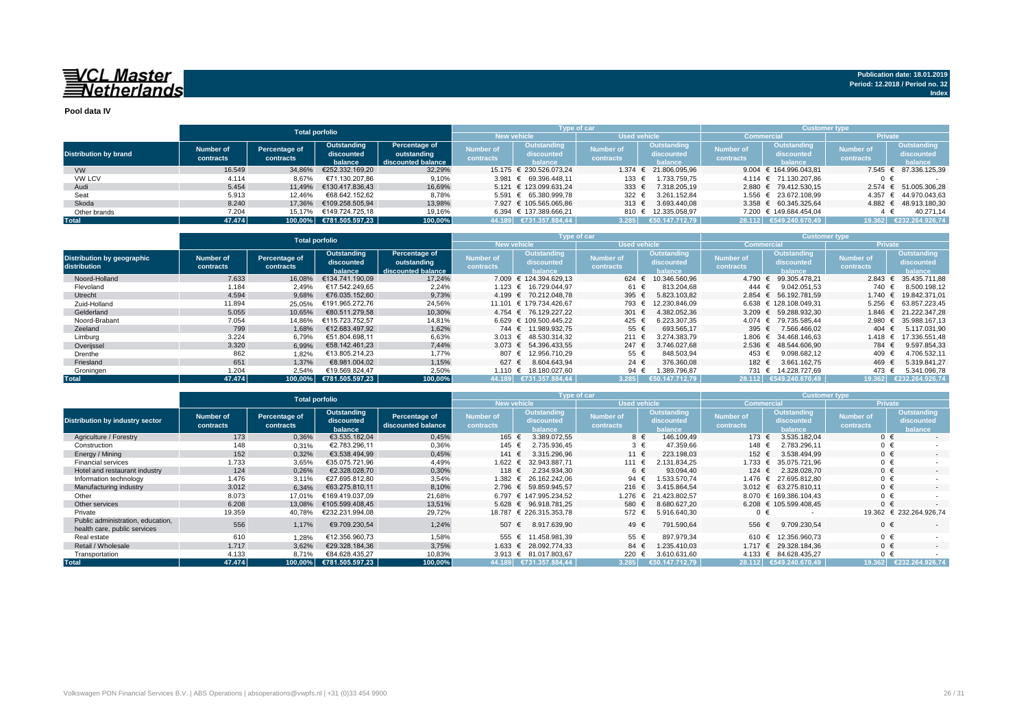**Pool data IV**

|                              |           |                           | <b>Total porfolio</b>   |                    |                  | <b>Type of car</b>      |                     |                       | <b>Customer type</b> |                        |                  |                       |  |  |  |  |
|------------------------------|-----------|---------------------------|-------------------------|--------------------|------------------|-------------------------|---------------------|-----------------------|----------------------|------------------------|------------------|-----------------------|--|--|--|--|
|                              |           |                           |                         |                    |                  | <b>New vehicle</b>      | <b>Used vehicle</b> |                       |                      | <b>Commercial</b>      | <b>Private</b>   |                       |  |  |  |  |
|                              | Number of | Percentage of             | Outstanding             | Percentage of      | <b>Number of</b> | Outstanding             | <b>Number of</b>    | Outstanding           | <b>Number of</b>     | Outstanding            | <b>Number of</b> | Outstanding           |  |  |  |  |
| <b>Distribution by brand</b> |           |                           | discounted              | outstanding        | contracts        | discounted              | contracts           | discounted            | contracts            | discounted             |                  | discounted            |  |  |  |  |
|                              | contracts | contracts                 | balance                 | discounted balance |                  | halance                 |                     | halance               |                      | alance                 | contracts        | balance               |  |  |  |  |
| <b>VW</b>                    | 16.549    | 34,86%                    | €252.332.169.20         | 32,29%             |                  | 15.175 € 230.526.073.24 |                     | 1.374 € 21.806.095,96 |                      | 9.004 € 164.996.043.81 |                  | 7.545 € 87.336.125,39 |  |  |  |  |
| <b>VW LCV</b>                | 4.114     | 8.67%                     | €71.130.207.86          | 9,10%              |                  | 3.981 € 69.396.448.11   | 133 €               | 1.733.759.75          |                      | 4.114 € 71.130.207.86  | 0 €              |                       |  |  |  |  |
| Audi                         | 5.454     | 11.49%                    | €130.417.836.43         | 16,69%             |                  | 5.121 € 123.099.631.24  | 333 $\epsilon$      | 7.318.205.19          |                      | 2.880 € 79.412.530.15  |                  | 2.574 € 51.005.306,28 |  |  |  |  |
| Seat                         | 5.913     | 12.46%                    | €68.642.152.62          | 8,78%              |                  | 5.591 € 65.380.999.78   | 322 $\epsilon$      | 3.261.152.84          |                      | 1.556 € 23.672.108.99  | 4.357            | € 44.970.043.63       |  |  |  |  |
| Skoda                        | 8.240     | 17.36%                    | €109.258.505.94         | 13.98%             |                  | 7.927 € 105.565.065.86  | 313 $\epsilon$      | 3.693.440.08          |                      | 3.358 € 60.345.325.64  |                  | 4.882 € 48.913.180,30 |  |  |  |  |
| Other brands                 | 7.204     | €149.724.725.18<br>15.17% |                         | 19.16%             |                  | 6.394 € 137.389.666.21  |                     | 810 € 12.335.058.97   |                      | 7.200 € 149.684.454.04 |                  | 40.271.14             |  |  |  |  |
| <b>Total</b>                 | 47.474    |                           | 100.00% €781.505.597.23 | 100,00%            |                  | 44.189 €731.357.884,44  | 3.285               | €50.147.712.79        |                      | 28.112 €549.240.670.49 | 19.362           | €232.264.926.74       |  |  |  |  |

|                                                   |                                                                                                                                                    |         | <b>Total porfolio</b>         |                                             |                               | Type of car                                        |                               |                                      | <b>Customer type</b>          |                                             |                |                             |  |  |  |
|---------------------------------------------------|----------------------------------------------------------------------------------------------------------------------------------------------------|---------|-------------------------------|---------------------------------------------|-------------------------------|----------------------------------------------------|-------------------------------|--------------------------------------|-------------------------------|---------------------------------------------|----------------|-----------------------------|--|--|--|
|                                                   |                                                                                                                                                    |         |                               |                                             |                               | <b>New vehicle</b>                                 | <b>Used vehicle</b>           |                                      |                               | Commercia                                   | <b>Private</b> |                             |  |  |  |
| <b>Distribution by geographic</b><br>distribution | Percentage of<br>Outstanding<br>Percentage of<br>Number of<br>outstanding<br>discounted<br>contracts<br>contracts<br>discounted balance<br>balance |         | <b>Number of</b><br>contracts | <b>Outstanding</b><br>discounted<br>balance | <b>Number of</b><br>contracts | <b>Outstanding</b><br>discounted<br><b>balance</b> | <b>Number of</b><br>contracts | Outstanding<br>discounted<br>balance | <b>Number of</b><br>contracts | <b>Outstanding</b><br>discounted<br>balance |                |                             |  |  |  |
| Noord-Holland                                     | 7.633                                                                                                                                              | 16.08%  | €134.741.190.09               | 17,24%                                      |                               | 7.009 € 124.394.629.13                             | 624 €                         | 10.346.560.96                        | 4.790 €                       | 99.305.478.21                               | 2.843          | 35.435.711.88<br>$\epsilon$ |  |  |  |
| Flevoland                                         | 1.184                                                                                                                                              | 2,49%   | €17.542.249.65                | 2,24%                                       |                               | 1.123 € 16.729.044.97                              | 61 €                          | 813.204.68                           | 444 €                         | 9.042.051.53                                | 740 €          | 8.500.198,12                |  |  |  |
| Utrecht                                           | 4.594                                                                                                                                              | 9,68%   | €76.035.152.60                | 9,73%                                       |                               | 4.199 € 70.212.048.78                              | 395 $\epsilon$                | 5.823.103.82                         |                               | 2.854 € 56.192.781.59                       | 1.740          | 19.842.371.01               |  |  |  |
| Zuid-Holland                                      | 11.894                                                                                                                                             | 25,05%  | €191.965.272.76               | 24,56%                                      |                               | 11.101 € 179.734.426.67                            | 793 €                         | 12.230.846.09                        |                               | 6.638 € 128.108.049.31                      | 5.256          | 63.857.223.45               |  |  |  |
| Gelderland                                        | 5.055                                                                                                                                              | 10.65%  | €80.511.279.58                | 10,30%                                      |                               | 4.754 € 76.129.227.22                              | 301 $\epsilon$                | 4.382.052.36                         |                               | 3.209 € 59.288.932.30                       | 1.846          | $\epsilon$ 21.222.347.28    |  |  |  |
| Noord-Brabant                                     | 7.054                                                                                                                                              | 14,86%  | €115.723.752.57               | 14,81%                                      |                               | 6.629 € 109.500.445.22                             | 425 €                         | 6.223.307.35                         | $4.074 \text{ } \in$          | 79.735.585.44                               | 2.980          | 35.988.167.13<br>€          |  |  |  |
| Zeeland                                           | 799                                                                                                                                                | 1,68%   | €12.683.497.92                | 1,62%                                       |                               | 744 € 11.989.932.75                                | 55 €                          | 693.565.17                           | 395 €                         | 7.566.466.02                                | 404 $\in$      | 5.117.031.90                |  |  |  |
| Limburg                                           | 3.224                                                                                                                                              | 6,79%   | €51.804.698.11                | 6,63%                                       |                               | 3.013 € 48.530.314,32                              | 211 €                         | 3.274.383.79                         | 1.806 €                       | 34.468.146.63                               | 1.418          | 17.336.551.48<br>$\epsilon$ |  |  |  |
| Overijssel                                        | 3.320                                                                                                                                              | 6,99%   | €58.142.461.23                | 7,44%                                       |                               | 3.073 € 54.396.433.55                              | 247 $\in$                     | 3.746.027.68                         | $2.536 \in$                   | 48.544.606.90                               | 784 €          | 9.597.854,33                |  |  |  |
| Drenthe                                           | 862                                                                                                                                                | 1,82%   | €13.805.214.23                | 1,77%                                       |                               | 807 € 12.956.710.29                                | 55 €                          | 848.503,94                           | 453 €                         | 9.098.682.12                                | 409 €          | 4.706.532.11                |  |  |  |
| Friesland                                         | 651                                                                                                                                                | 1.37%   | €8.981.004.02                 | 1,15%                                       | 627 €                         | 8.604.643.94                                       | 24 $\in$                      | 376.360.08                           | 182 €                         | 3.661.162.75                                | 469 €          | 5.319.841.27                |  |  |  |
| Groningen                                         | 1.204                                                                                                                                              | 2,54%   | €19.569.824.47                | 2,50%                                       | 1.110 €                       | 18.180.027.60                                      | 94 $\in$                      | 1.389.796,87                         |                               | 731 €<br>14.228.727.69                      | 473 €          | 5.341.096,78                |  |  |  |
| Total                                             | 47.474                                                                                                                                             | 100.00% | €781.505.597.23               | 100,00%                                     |                               | 44.189 €731.357.884.44                             | 3.285                         | €50.147.712.79                       |                               | 28.112 €549.240.670.49                      |                | 19.362 €232.264.926.74      |  |  |  |

|                                                                   |                               | <b>Total porfolio</b>      |                                      |                                     |                               | <b>Type of car</b>                          |                               | <b>Customer type</b>                        |                               |                                      |                               |                                             |  |  |  |
|-------------------------------------------------------------------|-------------------------------|----------------------------|--------------------------------------|-------------------------------------|-------------------------------|---------------------------------------------|-------------------------------|---------------------------------------------|-------------------------------|--------------------------------------|-------------------------------|---------------------------------------------|--|--|--|
|                                                                   |                               |                            |                                      |                                     | <b>New vehicle</b>            |                                             | <b>Used vehicle</b>           |                                             | Commercia                     |                                      | <b>Private</b>                |                                             |  |  |  |
| <b>Distribution by industry sector</b>                            | <b>Number of</b><br>contracts | Percentage of<br>contracts | Outstanding<br>discounted<br>balance | Percentage of<br>discounted balance | <b>Number of</b><br>contracts | <b>Outstanding</b><br>discounted<br>balance | <b>Number of</b><br>contracts | <b>Outstanding</b><br>discounted<br>balance | <b>Number of</b><br>contracts | Outstanding<br>discounted<br>balance | <b>Number of</b><br>contracts | <b>Outstanding</b><br>discounted<br>balance |  |  |  |
| Agriculture / Forestry                                            | 173                           | 0,36%                      | €3.535.182,04                        | 0,45%                               | 165 €                         | 3.389.072.55                                | 8 €                           | 146.109,49                                  | 173 €                         | 3.535.182.04                         | $0 \in$                       | $\sim$                                      |  |  |  |
| Construction                                                      | 148                           | 0,31%<br>€2.783.296.11     |                                      | 0,36%                               | 145 €                         | 2.735.936.45                                |                               | $3 \in$<br>47.359.66                        |                               | 2.783.296.11<br>148 €                | $0 \in$                       |                                             |  |  |  |
| Energy / Mining                                                   | 152                           | €3.538.494.99<br>0,32%     |                                      | 0,45%                               | $141$ €                       | 3.315.296.96                                | 11 €<br>223.198.03            |                                             | 152 €                         | 3.538.494.99                         | $0 \in$                       | $\sim$                                      |  |  |  |
| <b>Financial services</b>                                         | 1.733                         | 3,65%                      | €35.075.721.96                       | 4,49%                               | 1.622 €                       | 32.943.887.71                               | 111 €                         | 2.131.834.25                                | 1.733 €                       | 35.075.721.96                        | $0 \in$                       |                                             |  |  |  |
| Hotel and restaurant industry                                     | 124                           | 0,26%                      | €2.328.028.70                        | 0,30%                               | 118 €                         | 2.234.934.30                                | 6 €                           | 93.094.40                                   | 124 $\in$                     | 2.328.028.70                         | $0 \in$                       | $\sim$                                      |  |  |  |
| Information technology                                            | 1.476                         | 3,11%                      | €27.695.812.80                       | 3,54%                               | 1.382 €                       | 26.162.242.06                               | 94 $\in$                      | .533.570.74                                 | 1.476 €                       | 27.695.812.80                        | $0 \in$                       |                                             |  |  |  |
| Manufacturing industry                                            | 3.012                         | 6,34%                      | €63.275.810.11                       | 8,10%                               |                               | 2.796 € 59.859.945.57                       | 216 $\epsilon$                | 3.415.864.54                                | 3.012 $\epsilon$              | 63.275.810.11                        | $0 \in$                       | $\sim$                                      |  |  |  |
| Other                                                             | 8.073                         | 17.01%                     | €169.419.037.09                      | 21,68%                              |                               | 6.797 € 147.995.234.52                      | 1.276 €                       | 21.423.802.57                               |                               | 8.070 € 169.386.104.43               | $0 \in$                       |                                             |  |  |  |
| Other services                                                    | 6.208                         | 13,08%                     | €105.599.408.45                      | 13,51%                              |                               | 5.628 € 96.918.781.25                       | 580 €                         | 8.680.627.20                                |                               | 6.208 € 105.599.408.45               | $0 \in$                       |                                             |  |  |  |
| Private                                                           | 19.359                        | 40,78%                     | €232.231.994.08                      | 29,72%                              |                               | 18.787 € 226.315.353,78                     | 572 €                         | 5.916.640.30                                | $0 \in$                       |                                      |                               | 19.362 € 232.264.926,74                     |  |  |  |
| Public administration, education,<br>health care, public services | 556                           | 1,17%                      | €9.709.230,54                        | 1,24%                               | 507 €                         | 8.917.639,90                                | 49 €                          | 791.590,64                                  | 556 €                         | 9.709.230.54                         | $0 \in$                       |                                             |  |  |  |
| Real estate                                                       | 610                           | 1,28%                      | €12.356.960.73                       | 1.58%                               |                               | 555 € 11.458.981,39                         | 55 €                          | 897.979.34                                  | 610 €                         | 12.356.960.73                        | $0 \in$                       |                                             |  |  |  |
| Retail / Wholesale                                                | 1.717                         | 3,62%                      | €29.328.184.36                       | 3,75%                               |                               | 1.633 € 28.092.774.33                       | 84 €                          | 1.235.410.03                                | $1.717 \in$                   | 29.328.184.36                        | $0 \in$                       |                                             |  |  |  |
| Transportation                                                    | 4.133                         | 8.71%                      | €84.628.435.27                       | 10,83%                              |                               | 3.913 € 81.017.803,67                       | 220 $\epsilon$                | 3.610.631.60                                |                               | 4.133 € 84.628.435.27                | $0 \in$                       |                                             |  |  |  |
| <b>Total</b>                                                      | 47.474                        | 100,00%                    | €781.505.597,23                      | 100,00%                             |                               | 44.189 €731.357.884,44                      | 3.285                         | €50.147.712.79                              |                               | 28.112 €549.240.670.49               | 19.362                        | €232.264.926.74                             |  |  |  |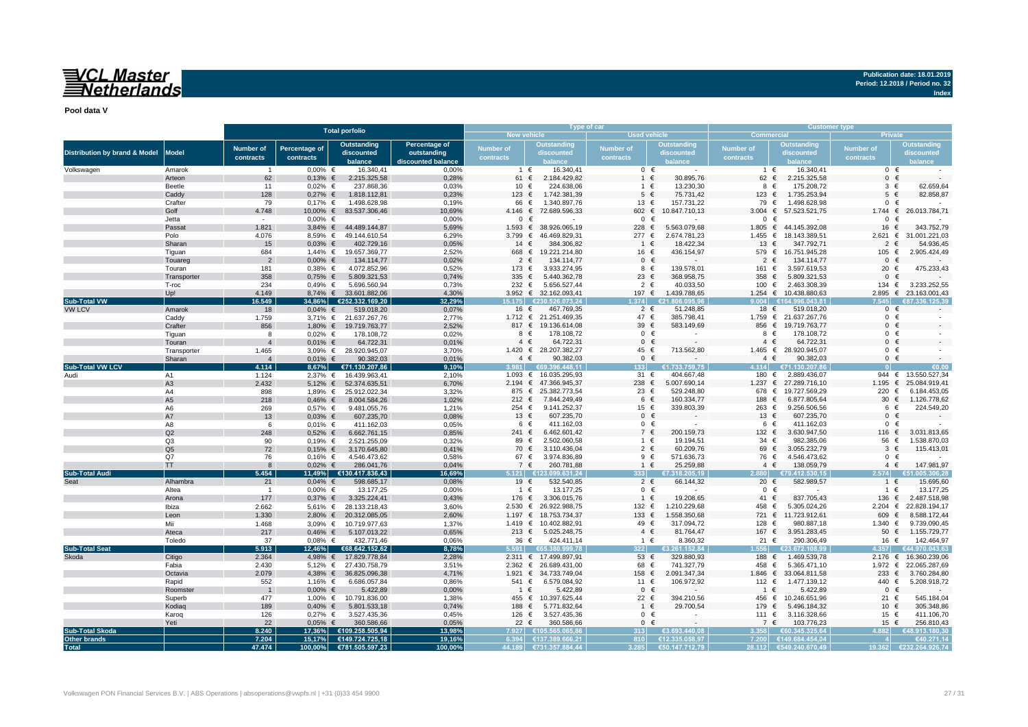## VCL Master<br>Netherlands

**Publication date: 18.01.2019 Period: 12.2018 / Period no. 32**

**Index**

**Pool data V**

|                                          |                   |                       |                        | <b>Total porfolio</b>                 |                    |                         |                                        | Type of car          |                            | <b>Customer type</b>       |                               |                      |                                            |  |  |  |
|------------------------------------------|-------------------|-----------------------|------------------------|---------------------------------------|--------------------|-------------------------|----------------------------------------|----------------------|----------------------------|----------------------------|-------------------------------|----------------------|--------------------------------------------|--|--|--|
|                                          |                   |                       |                        |                                       |                    | New vehicle             |                                        | <b>Used vehicle</b>  |                            | <b>Commercial</b>          |                               | <b>Private</b>       |                                            |  |  |  |
|                                          |                   | <b>Number of</b>      | <b>Percentage of</b>   | <b>Outstanding</b>                    | Percentage of      | Number of               | Outstanding                            | <b>Number of</b>     | <b>Outstanding</b>         | <b>Number of</b>           | <b>Outstanding</b>            | <b>Number of</b>     | <b>Outstanding</b>                         |  |  |  |
| <b>Distribution by brand &amp; Model</b> | <b>Model</b>      | contracts             | contracts              | discounted                            | outstanding        | contracts               | discounted                             | contracts            | discounted                 | contracts                  | discounted                    | contracts            | discounted                                 |  |  |  |
|                                          |                   |                       |                        | balance                               | discounted balance |                         |                                        |                      |                            |                            |                               |                      |                                            |  |  |  |
| Volkswagen                               | Amarok            | $\overline{1}$        | $0.00\%$ €             | 16.340,41                             | 0,00%              |                         | 1 €<br>16.340,41                       | $0 \in$              |                            | $1 \in$                    | 16.340,41                     |                      | $0 \in$                                    |  |  |  |
|                                          | Arteon            | 62                    | $0,13%$ €              | 2.215.325,58                          | 0,28%              | 61 €                    | 2.184.429,82                           | $1 \in$              | 30.895,76                  | 62 €                       | 2.215.325,58                  | $\mathbf{0}$         | $\epsilon$                                 |  |  |  |
|                                          | Beetle            | 11                    | $0,02%$ €              | 237.868,36                            | 0,03%              | 10 €                    | 224.638,06                             | 1 €                  | 13.230,30                  | 8 €                        | 175.208,72                    | $3 \in$              | 62.659,64                                  |  |  |  |
|                                          | Caddy             | 128                   | $0,27%$ €              | 1.818.112,81                          | 0,23%              | $123$ €                 | 1.742.381,39                           | $5 \in$              | 75.731,42                  | 123 $\epsilon$             | 1.735.253,94                  | $5 \in$              | 82.858.87                                  |  |  |  |
|                                          | Crafter           | 79                    | $0,17%$ €              | 1.498.628,98                          | 0,19%              | 66                      | 1.340.897,76<br>€                      | 13 €                 | 157.731,22                 | 79 €                       | 1.498.628,98                  |                      | $0 \in$                                    |  |  |  |
|                                          | Golf              | 4.748                 |                        | 10,00% € 83.537.306,46                | 10,69%             | 4.146 $∈$               | 72.689.596,33                          | 602 €                | 10.847.710,13              | 3.004                      | € 57.523.521,75               |                      | 1.744 € 26.013.784,7                       |  |  |  |
|                                          | Jetta             |                       | $0.00\%$ €             |                                       | 0,00%              |                         | $0 \in$                                | $0 \in$              |                            | $0 \in$                    |                               | $\mathbf{0}$         | €                                          |  |  |  |
|                                          | Passat            | 1.821                 | $3,84%$ €              | 44.489.144,87                         | 5,69%              | $1.593$ €               | 38.926.065,19                          | 228 €                | 5.563.079,68               | 1.805 $∈$                  | 44.145.392,08                 | 16 €                 | 343.752,79                                 |  |  |  |
|                                          | Polo              | 4.076                 |                        | 8,59% € 49.144.610,54                 | 6,29%              | 3.799 $\in$             | 46.469.829,31                          | 277 €                | 2.674.781,23               | 1.455 $∈$                  | 18.143.389,51                 | $2.621$ €            | 31.001.221,03                              |  |  |  |
|                                          | Sharan            | 15                    | $0,03%$ €              | 402.729,16                            | 0,05%              | 14 €                    | 384.306.82                             | 1 €                  | 18.422,34                  | 13 $\epsilon$              | 347.792,71                    | $\overline{2}$       | 54.936,45<br>€                             |  |  |  |
|                                          | Tiquan            | 684                   |                        | 1,44% € 19.657.369,77                 | 2,52%              | 668 €                   | 19.221.214,80                          | 16 €                 | 436.154,97                 |                            | 579 € 16.751.945,28           | 105 €<br>$\Omega$    | 2.905.424,49<br>$\epsilon$                 |  |  |  |
|                                          | Touareg           | $\overline{2}$        | $0,00%$ €              | 134.114,77                            | 0,02%              | 2                       | $\epsilon$<br>134.114,77               | $0 \in$              |                            | $2 \in$                    | 134.114,77                    |                      | 475.233,43                                 |  |  |  |
|                                          | Touran            | 181                   | $0,38%$ €              | 4.072.852,96                          | 0,52%              | 173 €<br>335 $\epsilon$ | 3.933.274,95<br>5.440.362,78           | 8 €<br>23 $\epsilon$ | 139.578,01<br>368.958,75   | 161 €<br>358 $\epsilon$    | 3.597.619,53<br>5.809.321,53  | 20 €<br>$\mathbf{0}$ | $\epsilon$                                 |  |  |  |
|                                          | Transporter       | 358                   | $0,75%$ €<br>$0,49%$ € | 5.809.321,53                          | 0,74%              | 232 €                   | 5.656.527,44                           | $2 \epsilon$         | 40.033,50                  |                            | 100 € 2.463.308,39            | 134 $\in$            | 3.233.252,55                               |  |  |  |
|                                          | T-roc<br>Up!      | 234<br>4.149          |                        | 5.696.560,94<br>8,74% € 33.601.882,06 | 0,73%<br>4.30%     |                         | 3.952 € 32.162.093,41                  | 197 €                | 1.439.788,65               |                            | 1.254 € 10.438.880,63         |                      | 2.895 € 23.163.001,43                      |  |  |  |
| <b>Sub-Total VW</b>                      |                   | 16.549                | 34.86%                 | €252.332.169.20                       | 32.29%             | 15.175                  | €230.526.073.24                        | 374                  | a ann a                    |                            | £16499604381                  |                      |                                            |  |  |  |
| <b>VW LCV</b>                            | Amarok            | 18                    | $0,04%$ €              | 519.018,20                            | 0,07%              | 16 €                    | 467.769,35                             | $2 \in$              | 51.248,85                  | 18 €                       | 519.018,20                    |                      | $0 \in$                                    |  |  |  |
|                                          | Caddy             | 1.759                 |                        | 3,71% € 21.637.267,76                 | 2,77%              |                         | 1.712 € 21.251.469,35                  | 47 €                 | 385.798,41                 |                            | 1.759 € 21.637.267,76         | $0 \in$              |                                            |  |  |  |
|                                          | Crafter           | 856                   | 1,80% €                | 19.719.763,77                         | 2.52%              |                         | 817 € 19.136.614,08                    | 39 $\epsilon$        | 583.149,69                 |                            | 856 € 19.719.763,77           |                      | $0 \in$                                    |  |  |  |
|                                          | Tiguan            | 8                     | $0,02%$ €              | 178.108,72                            | 0,02%              |                         | 178.108,72<br>8 €                      | $0 \in$              | $\sim$                     | 8 €                        | 178.108,72                    |                      | $0 \in$                                    |  |  |  |
|                                          | Touran            | $\overline{4}$        | $0,01\%$ €             | 64.722,31                             | 0,01%              |                         | $4 \in$<br>64.722,31                   | $0 \in$              |                            | $4 \in$                    | 64.722,31                     | $0 \in$              |                                            |  |  |  |
|                                          | Transporter       | 1.465                 |                        | 3,09% € 28.920.945,07                 | 3,70%              |                         | 1.420 € 28.207.382,27                  | 45 €                 | 713.562,80                 |                            | 1.465 € 28.920.945,07         |                      | $0 \in$                                    |  |  |  |
|                                          | Sharan            | $\overline{4}$        | $0,01\%$ €             | 90.382,03                             | 0,01%              |                         | 90.382,03<br>$4 \in$                   | $0 \in$              |                            | $4 \in$                    | 90.382,03                     |                      | $0 \in$                                    |  |  |  |
| <b>Sub-Total VW LCV</b>                  |                   | 4.114                 | 8,67%                  | €71.130.207,86                        | 9,10%              | 3.981                   | €69.396.448.11                         | 133                  | €1.733.759,75              |                            | 4.114 €71.130.207,86          |                      |                                            |  |  |  |
| Audi                                     | A1                | 1.124                 |                        | 2,37% € 16.439.963,41                 | 2,10%              | 1.093 $∈$               | 16.035.295,93                          | 31 €                 | 404.667,48                 | 180 €                      | 2.889.436,07                  |                      | 944 € 13.550.527,34                        |  |  |  |
|                                          | A <sub>3</sub>    | 2.432                 |                        | 5,12% € 52.374.635,51                 | 6,70%              | $2.194$ €               | 47.366.945,37                          | 238 €                | 5.007.690,14               | 1.237 $∈$                  | 27.289.716,10                 | 1.195 $∈$            | 25.084.919,41                              |  |  |  |
|                                          | A4                | 898                   |                        | 1,89% € 25.912.022,34                 | 3,32%              |                         | 875 € 25.382.773,54                    | 23 €                 | 529.248,80                 |                            | 678 € 19.727.569,29           | 220 €                | 6.184.453,05                               |  |  |  |
|                                          | A5                | 218                   | $0,46%$ €              | 8.004.584,26                          | 1,02%              | 212 €                   | 7.844.249,49                           | 6 €                  | 160.334,77                 | 188 €                      | 6.877.805,64                  | 30 $\epsilon$        | 1.126.778,62                               |  |  |  |
|                                          | A6                | 269                   | $0.57\%$ €             | 9.481.055,76                          | 1.21%              | 254 €                   | 9.141.252,37                           | 15 €                 | 339.803,39                 | 263 €                      | 9.256.506,56                  | 6                    | 224.549,20<br>€                            |  |  |  |
|                                          | A7                | 13                    | $0,03%$ €              | 607.235,70                            | 0,08%              | 13 $\epsilon$           | 607.235,70                             | $0 \in$              |                            | 13 €                       | 607.235,70                    | $\mathbf{0}$         |                                            |  |  |  |
|                                          | A8                | 6                     | $0,01\%$ €             | 411.162,03                            | 0,05%              |                         | 6 €<br>411.162,03                      | $0 \in$              |                            | 6 €                        | 411.162,03                    |                      | $0 \in$                                    |  |  |  |
|                                          | Q <sub>2</sub>    | 248                   | $0,52%$ €              | 6.662.761,15                          | 0.85%              | 241 $\in$               | 6.462.601.42                           | 7 €                  | 200.159,73                 | 132 $\epsilon$             | 3.630.947.50                  | 116 €                | 3.031.813.65                               |  |  |  |
|                                          | Q <sub>3</sub>    | 90                    | $0,19%$ €              | 2.521.255,09                          | 0,32%              | 89 €                    | 2.502.060,58                           | $1 \in$              | 19.194,51                  | 34 €                       | 982.385,06                    | 56 €                 | 1.538.870,03                               |  |  |  |
|                                          | Q <sub>5</sub>    | 72                    | $0,15%$ €              | 3.170.645,80                          | 0,41%              | 70 €                    | 3.110.436,04                           | $2 \in$              | 60.209,76                  | 69<br>€                    | 3.055.232,79                  | 3                    | 115.413,01<br>€                            |  |  |  |
|                                          | Q7                | 76                    | $0.16\%$ €             | 4.546.473,62                          | 0.58%              | 67 €                    | 3.974.836,89                           | 9 €                  | 571.636.73                 | 76 €                       | 4.546.473,62                  | $\mathbf{0}$         | €                                          |  |  |  |
|                                          | TT                | 8                     | $0,02%$ €              | 286.041,76                            | 0,04%              | 7 €                     | 260.781,88                             | $1 \in$              | 25.259,88                  | $4 \in$                    | 138.059,79                    | $4 \in$              | 147.981,97                                 |  |  |  |
| <b>Sub-Total Audi</b>                    |                   | 5.454                 |                        | 11,49% €130.417.836,43                | 16.69%             | 5.121                   | €123.099.631.24                        | $333 -$              | €7.318.205.19              |                            | 2.880 €79.412.530.15          | 2.574                | .005.306.28                                |  |  |  |
|                                          | Alhambra          | 21                    | $0,04%$ €              | 598.685,17                            | 0,08%              | 19 €                    | 532.540,85                             | $2 \in$              | 66.144,32                  | 20 €                       | 582.989.57                    | $1 \in$              | 15.695,60                                  |  |  |  |
|                                          | Altea             | $\overline{1}$        | $0,00%$ €              | 13.177,25                             | 0,00%              | 1 €                     | 13.177,25                              | $0 \in$              |                            | $0 \in$                    |                               | 1 €                  | 13.177,25                                  |  |  |  |
|                                          | Arona             | 177                   | $0,37%$ €              | 3.325.224,41                          | 0,43%              | 176 €                   | 3.306.015,76                           | $1 \in$              | 19.208,65                  | 41 $\in$                   | 837.705,43                    | 136 €                | 2.487.518,98                               |  |  |  |
|                                          | Ibiza             | 2.662                 |                        | 5,61% € 28.133.218,43                 | 3,60%              | 2.530 ∈                 | 26.922.988,75                          | 132 $∈$              | 1.210.229,68               | 458 €                      | 5.305.024,26                  | 2.204 ∈              | 22.828.194,17                              |  |  |  |
|                                          | Leon              | 1.330                 |                        | 2,80% € 20.312.085,05                 | 2,60%              |                         | 1.197 € 18.753.734,37                  | 133 $∈$              | 1.558.350,68               |                            | 721 € 11.723.912,61           | 609 €                | 8.588.172,44                               |  |  |  |
|                                          | Mii               | 1.468                 |                        | 3,09% € 10.719.977,63                 | 1,37%              | 1.419 $∈$               | 10.402.882,91                          | 49 €                 | 317.094,72                 | 128 €                      | 980.887,18                    | 1.340 $∈$            | 9.739.090,45                               |  |  |  |
|                                          | Ateca             | 217                   | $0,46%$ €              | 5.107.013,22                          | 0,65%              | 213 $∈$                 | 5.025.248,75                           | $4 \in$              | 81.764,47                  | 167 €                      | 3.951.283,45                  | 50 $\epsilon$        | 1.155.729,77                               |  |  |  |
|                                          | Toledo            | 37                    | $0,08%$ €              | 432.771,46                            | 0,06%              | 36 €                    | 424.411,14                             | $1 \in$              | 8.360,32                   | 21 $\in$                   | 290.306,49                    | 16 €                 | 142.464.97                                 |  |  |  |
| <b>Sub-Total Seat</b>                    |                   | 5.913                 | 12,46%                 | €68.642.152,62                        | 8,78%              | 5.591                   | E65.380.999.78                         | 3221                 | €3.261.152.84              |                            | €23.672.108.99                | 1.357                | 14.970.043.63                              |  |  |  |
| Skoda                                    | Citigo            | 2.364                 |                        | 4,98% € 17.829.778,84                 | 2,28%              |                         | 2.311 € 17.499.897,91                  | 53 $\epsilon$        | 329.880,93                 | 188 €                      | 1.469.539,78                  |                      | 2.176 € 16.360.239,06                      |  |  |  |
|                                          | Fabia             | 2.430                 |                        | 5,12% € 27.430.758,79                 | 3,51%              | 1.921 $∈$               | 2.362 € 26.689.431,00<br>34.733.749,04 | 68 €<br>158 €        | 741.327,79<br>2.091.347,34 | 458<br>€<br>1.846<br>€     | 5.365.471,10<br>33.064.811,58 | 233                  | 1.972 € 22.065.287,69<br>3.760.284,80<br>€ |  |  |  |
|                                          | Octavia           | 2.079                 | 1,16% €                | 4,38% € 36.825.096,38                 | 4,71%              | 541 €                   | 6.579.084,92                           | 11 €                 | 106.972,92                 | 112 €                      |                               | 440 €                | 5.208.918,72                               |  |  |  |
|                                          | Rapid<br>Roomster | 552<br>$\overline{1}$ | $0,00%$ €              | 6.686.057,84<br>5.422,89              | 0,86%<br>0,00%     | 1 €                     | 5.422,89                               | $0 \in$              |                            | $\epsilon$<br>$\mathbf{1}$ | 1.477.139,12<br>5.422,89      | $\Omega$             | $\epsilon$                                 |  |  |  |
|                                          | Superb            | 477                   |                        | 1,00% € 10.791.836,00                 | 1,38%              |                         | 455 € 10.397.625,44                    | 22 €                 | 394.210,56                 | 456 €                      | 10.246.651,96                 | 21 €                 | 545.184,04                                 |  |  |  |
|                                          | Kodiaq            | 189                   | $0,40%$ €              | 5.801.533,18                          | 0,74%              | 188 €                   | 5.771.832,64                           | 1 €                  | 29.700,54                  | 179 €                      | 5.496.184,32                  | 10 €                 | 305.348,86                                 |  |  |  |
|                                          | Karog             | 126                   | $0,27%$ €              | 3.527.435,36                          | 0,45%              | 126 €                   | 3.527.435,36                           | $0 \in$              |                            | 111 €                      | 3.116.328,66                  | 15 €                 | 411.106,70                                 |  |  |  |
|                                          | Yeti              | 22                    | $0,05%$ €              | 360.586,66                            | 0,05%              | 22 $\epsilon$           | 360.586,66                             | $0 \in$              |                            | 7 €                        | 103.776,23                    | 15 €                 | 256.810,43                                 |  |  |  |
| <b>Sub-Total Skoda</b>                   |                   | 8.240                 | 17,36%                 | €109.258.505,94                       | 13,98%             | 7.927                   | €105.565.065.86                        | 313                  | €3.693.440.08              | 3.358                      | €60.345.325.64                | 4.882                | €48.913.180,30                             |  |  |  |
| <b>Other brands</b>                      |                   | 7.204                 | 15.17%                 | €149.724.725.18                       | 19.16%             |                         | 6.394 €137.389.666.21                  | 810                  | €12.335.058.97             |                            | 7.200 €149.684.454.04         |                      | €40.271,14                                 |  |  |  |
| <b>Total</b>                             |                   | 47.474                |                        | 100,00% €781.505.597,23               | 100,00%            |                         | 44.189 €731.357.884,44                 |                      | 3.285│ €50.147.712,79      |                            | 28.112 €549.240.670,49        | 19.362               | €232.264.926,74                            |  |  |  |
|                                          |                   |                       |                        |                                       |                    |                         |                                        |                      |                            |                            |                               |                      |                                            |  |  |  |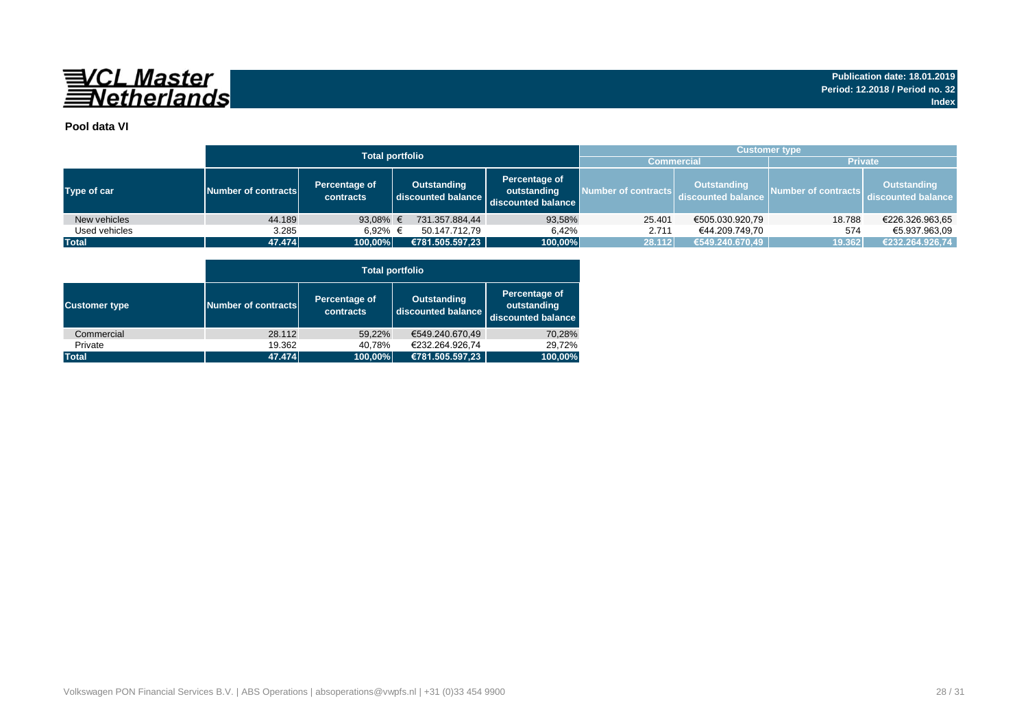

### **Pool data VI**

|               |                                                   | <b>Total portfolio</b> | <b>Customer type</b>              |                                                    |                     |                                          |                     |                                   |  |  |  |  |
|---------------|---------------------------------------------------|------------------------|-----------------------------------|----------------------------------------------------|---------------------|------------------------------------------|---------------------|-----------------------------------|--|--|--|--|
|               |                                                   |                        |                                   |                                                    | <b>Commercial</b>   |                                          | <b>Private</b>      |                                   |  |  |  |  |
| Type of car   | Percentage of<br>Number of contracts<br>contracts |                        | Outstanding<br>discounted balance | Percentage of<br>outstanding<br>discounted balance | Number of contracts | <b>Outstanding</b><br>discounted balance | Number of contracts | Outstanding<br>discounted balance |  |  |  |  |
| New vehicles  | 44.189                                            | 93,08% €               | 731.357.884.44                    | 93,58%                                             | 25.401              | €505.030.920,79                          | 18.788              | €226.326.963,65                   |  |  |  |  |
| Used vehicles | 3.285                                             | 6.92% €                | 50.147.712.79                     | 6.42%                                              | 2.711               | €44.209.749.70                           | 574                 | €5.937.963.09                     |  |  |  |  |
| <b>Total</b>  | 47.474                                            | 100,00%                | €781.505.597,23                   | 100,00%                                            | 28.112              | €549.240.670,49                          | 19.362              | €232.264.926,74                   |  |  |  |  |

|                      |                     |                            | <b>Total portfolio</b>                   |                                                    |
|----------------------|---------------------|----------------------------|------------------------------------------|----------------------------------------------------|
| <b>Customer type</b> | Number of contracts | Percentage of<br>contracts | <b>Outstanding</b><br>discounted balance | Percentage of<br>outstanding<br>discounted balance |
| Commercial           | 28.112              | 59.22%                     | €549.240.670.49                          | 70,28%                                             |
| Private              | 19.362              | 40,78%                     | €232.264.926.74                          | 29.72%                                             |
| <b>Total</b>         | 47.474              | 100,00%                    | €781.505.597,23                          | 100,00%                                            |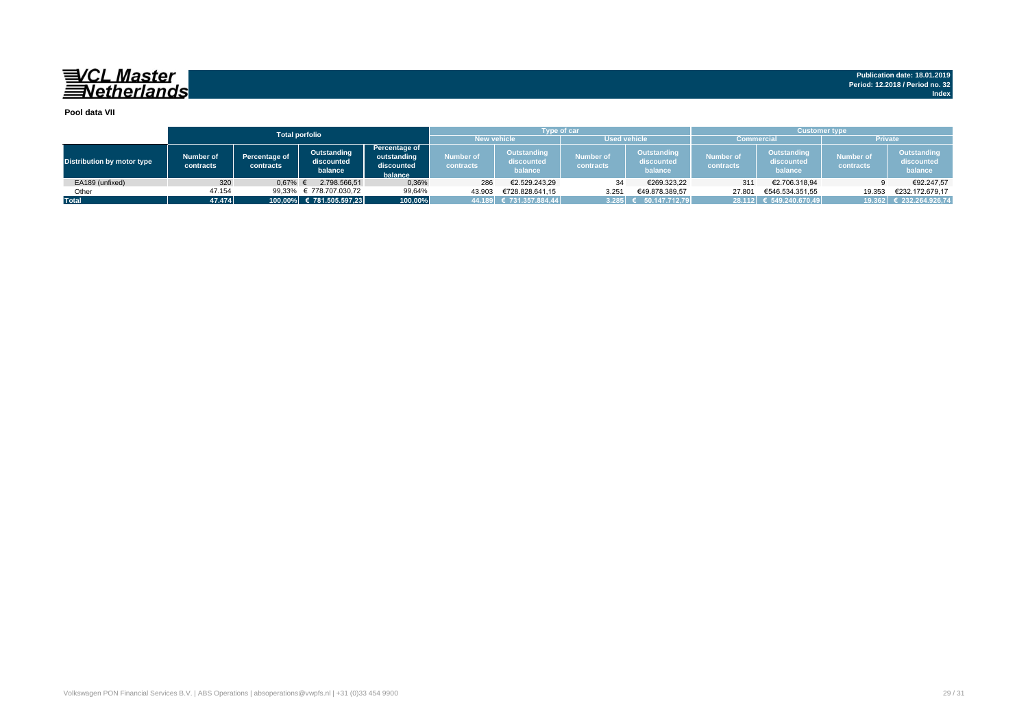#### **Pool data VII**

|                                   |                        |                                               | <b>Total porfolio</b>                |                                                       |                             | <b>Type of car</b>                   |                               |                                      | <b>Customer type</b>    |                                      |                               |                                      |  |  |  |  |
|-----------------------------------|------------------------|-----------------------------------------------|--------------------------------------|-------------------------------------------------------|-----------------------------|--------------------------------------|-------------------------------|--------------------------------------|-------------------------|--------------------------------------|-------------------------------|--------------------------------------|--|--|--|--|
|                                   |                        |                                               |                                      |                                                       |                             | <b>New vehicle</b>                   | <b>Used vehicle</b>           |                                      |                         | <b>Commercial</b>                    | <b>Private</b>                |                                      |  |  |  |  |
| <b>Distribution by motor type</b> | Number of<br>contracts | <b>Percentage of</b><br>contracts             | Outstanding<br>discounted<br>balance | Percentage of<br>outstanding<br>discounted<br>balance | Number of<br>contracts      | Outstanding<br>discounted<br>balance | <b>Number of</b><br>contracts | Outstanding<br>discounted<br>balance | Number of<br>contracts  | Outstanding<br>discounted<br>balance | <b>Number of</b><br>contracts | Outstanding<br>discounted<br>balance |  |  |  |  |
| EA189 (unfixed)                   | 320                    | 0,67%                                         | 2.798.566.51                         | 0,36%                                                 | 286                         | €2.529.243.29                        | 34                            | €269.323,22                          | 311                     | €2.706.318,94                        |                               | €92.247,57                           |  |  |  |  |
| Other                             | 47.154                 |                                               | € 778.707.030.72<br>99,64%<br>99,33% |                                                       | 43.903                      | €728.828.641.15                      | 3.251                         | €49.878.389.57                       | 27.801                  | €546.534.351,55                      | 19.353                        | €232.172.679.17                      |  |  |  |  |
| <b>Total</b>                      |                        | 47.474<br>100,00% € 781.505.597,23<br>100,00% |                                      |                                                       | $ 44.189 $ € 731.357.884,44 | 3.285                                | 50.147.712.79                 |                                      | 28.112 € 549.240.670.49 |                                      | 19.362 € 232.264.926,74       |                                      |  |  |  |  |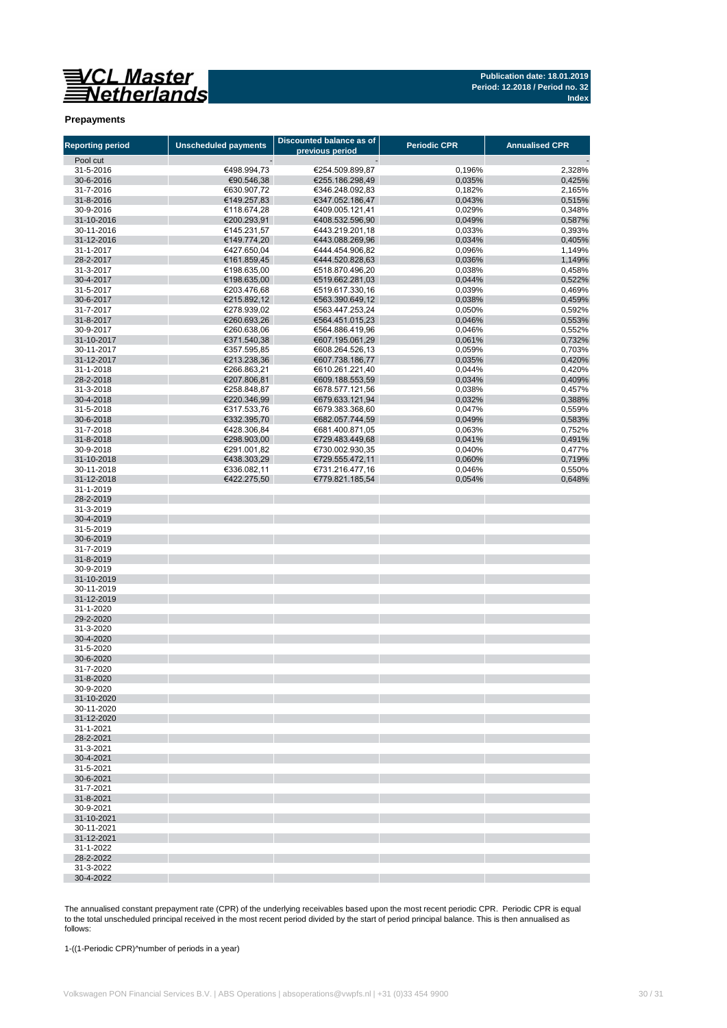**Publication date: 18.01.2019 Period: 12.2018 / Period no. 32 Index**

#### **Prepayments**

| <b>Reporting period</b>  | <b>Unscheduled payments</b> | Discounted balance as of<br>previous period | <b>Periodic CPR</b> | <b>Annualised CPR</b> |
|--------------------------|-----------------------------|---------------------------------------------|---------------------|-----------------------|
| Pool cut                 |                             |                                             |                     |                       |
| 31-5-2016                | €498.994,73                 | €254.509.899,87                             | 0,196%              | 2,328%                |
| 30-6-2016                | €90.546,38                  | €255.186.298,49                             | 0,035%              | 0,425%                |
| 31-7-2016                | €630.907,72                 | €346.248.092,83                             | 0,182%              | 2,165%                |
| 31-8-2016                | €149.257,83                 | €347.052.186,47                             | 0,043%              | 0,515%                |
| 30-9-2016                | €118.674,28                 | €409.005.121,41                             | 0,029%              | 0,348%                |
| 31-10-2016<br>30-11-2016 | €200.293,91<br>€145.231,57  | €408.532.596,90<br>€443.219.201,18          | 0,049%<br>0,033%    | 0,587%<br>0,393%      |
| 31-12-2016               | €149.774,20                 | €443.088.269,96                             | 0,034%              | 0,405%                |
| 31-1-2017                | €427.650,04                 | €444.454.906,82                             | 0,096%              | 1,149%                |
| 28-2-2017                | €161.859,45                 | €444.520.828,63                             | 0,036%              | 1,149%                |
| 31-3-2017                | €198.635,00                 | €518.870.496,20                             | 0,038%              | 0,458%                |
| 30-4-2017                | €198.635,00                 | €519.662.281,03                             | 0,044%              | 0,522%                |
| 31-5-2017                | €203.476,68                 | €519.617.330,16                             | 0,039%              | 0,469%                |
| 30-6-2017                | €215.892,12                 | €563.390.649,12                             | 0,038%              | 0,459%                |
| 31-7-2017                | €278.939,02                 | €563.447.253,24                             | 0,050%              | 0,592%                |
| 31-8-2017                | €260.693,26                 | €564.451.015,23                             | 0,046%              | 0,553%                |
| 30-9-2017                | €260.638,06                 | €564.886.419,96                             | 0,046%              | 0,552%                |
| 31-10-2017<br>30-11-2017 | €371.540,38<br>€357.595,85  | €607.195.061,29<br>€608.264.526,13          | 0,061%<br>0,059%    | 0,732%<br>0,703%      |
| 31-12-2017               | €213.238,36                 | €607.738.186,77                             | 0,035%              | 0,420%                |
| 31-1-2018                | €266.863,21                 | €610.261.221,40                             | 0,044%              | 0,420%                |
| 28-2-2018                | €207.806,81                 | €609.188.553,59                             | 0,034%              | 0,409%                |
| 31-3-2018                | €258.848,87                 | €678.577.121,56                             | 0,038%              | 0,457%                |
| 30-4-2018                | €220.346,99                 | €679.633.121,94                             | 0,032%              | 0,388%                |
| 31-5-2018                | €317.533,76                 | €679.383.368,60                             | 0,047%              | 0,559%                |
| 30-6-2018                | €332.395,70                 | €682.057.744,59                             | 0,049%              | 0,583%                |
| 31-7-2018                | €428.306,84                 | €681.400.871,05                             | 0,063%              | 0,752%                |
| 31-8-2018                | €298.903,00                 | €729.483.449,68                             | 0,041%              | 0,491%                |
| 30-9-2018                | €291.001,82                 | €730.002.930,35                             | 0,040%              | 0,477%                |
| 31-10-2018               | €438.303,29                 | €729.555.472.11                             | 0,060%              | 0,719%                |
| 30-11-2018               | €336.082,11                 | €731.216.477,16                             | 0,046%              | 0,550%                |
| 31-12-2018<br>31-1-2019  | €422.275,50                 | €779.821.185,54                             | 0,054%              | 0,648%                |
| 28-2-2019                |                             |                                             |                     |                       |
| 31-3-2019                |                             |                                             |                     |                       |
| 30-4-2019                |                             |                                             |                     |                       |
| 31-5-2019                |                             |                                             |                     |                       |
| 30-6-2019                |                             |                                             |                     |                       |
| 31-7-2019                |                             |                                             |                     |                       |
| 31-8-2019                |                             |                                             |                     |                       |
| 30-9-2019                |                             |                                             |                     |                       |
| 31-10-2019               |                             |                                             |                     |                       |
| 30-11-2019               |                             |                                             |                     |                       |
| 31-12-2019<br>31-1-2020  |                             |                                             |                     |                       |
| 29-2-2020                |                             |                                             |                     |                       |
| 31-3-2020                |                             |                                             |                     |                       |
| 30-4-2020                |                             |                                             |                     |                       |
| 31-5-2020                |                             |                                             |                     |                       |
| 30-6-2020                |                             |                                             |                     |                       |
| 31-7-2020                |                             |                                             |                     |                       |
| 31-8-2020                |                             |                                             |                     |                       |
| 30-9-2020                |                             |                                             |                     |                       |
| 31-10-2020               |                             |                                             |                     |                       |
| 30-11-2020               |                             |                                             |                     |                       |
| 31-12-2020<br>31-1-2021  |                             |                                             |                     |                       |
| 28-2-2021                |                             |                                             |                     |                       |
| 31-3-2021                |                             |                                             |                     |                       |
| 30-4-2021                |                             |                                             |                     |                       |
| 31-5-2021                |                             |                                             |                     |                       |
| 30-6-2021                |                             |                                             |                     |                       |
| 31-7-2021                |                             |                                             |                     |                       |
| 31-8-2021                |                             |                                             |                     |                       |
| 30-9-2021                |                             |                                             |                     |                       |
| 31-10-2021               |                             |                                             |                     |                       |
| 30-11-2021               |                             |                                             |                     |                       |
| 31-12-2021               |                             |                                             |                     |                       |
| 31-1-2022<br>28-2-2022   |                             |                                             |                     |                       |
| 31-3-2022                |                             |                                             |                     |                       |
| 30-4-2022                |                             |                                             |                     |                       |

The annualised constant prepayment rate (CPR) of the underlying receivables based upon the most recent periodic CPR. Periodic CPR is equal to the total unscheduled principal received in the most recent period divided by the start of period principal balance. This is then annualised as follows:

1-((1-Periodic CPR)^number of periods in a year)